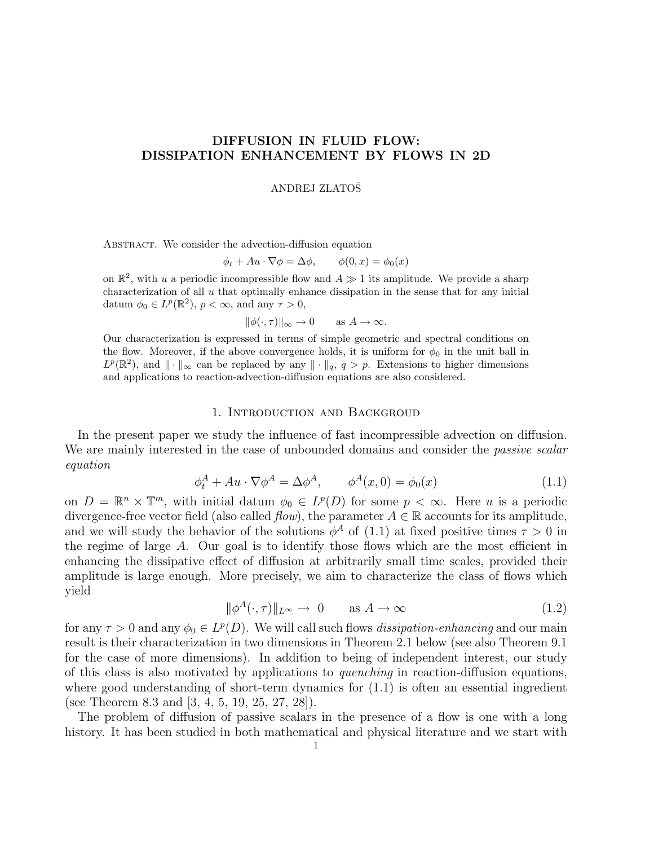# DIFFUSION IN FLUID FLOW: DISSIPATION ENHANCEMENT BY FLOWS IN 2D

# ANDREJ ZLATOŠ

ABSTRACT. We consider the advection-diffusion equation

$$
\phi_t + Au \cdot \nabla \phi = \Delta \phi, \qquad \phi(0, x) = \phi_0(x)
$$

on  $\mathbb{R}^2$ , with u a periodic incompressible flow and  $A \gg 1$  its amplitude. We provide a sharp characterization of all  $u$  that optimally enhance dissipation in the sense that for any initial datum  $\phi_0 \in L^p(\mathbb{R}^2)$ ,  $p < \infty$ , and any  $\tau > 0$ ,

 $\|\phi(\cdot, \tau)\|_{\infty} \to 0 \quad \text{as } A \to \infty.$ 

Our characterization is expressed in terms of simple geometric and spectral conditions on the flow. Moreover, if the above convergence holds, it is uniform for  $\phi_0$  in the unit ball in  $L^p(\mathbb{R}^2)$ , and  $\|\cdot\|_{\infty}$  can be replaced by any  $\|\cdot\|_q$ ,  $q > p$ . Extensions to higher dimensions and applications to reaction-advection-diffusion equations are also considered.

### 1. Introduction and Backgroud

In the present paper we study the influence of fast incompressible advection on diffusion. We are mainly interested in the case of unbounded domains and consider the *passive scalar* equation

$$
\phi_t^A + Au \cdot \nabla \phi^A = \Delta \phi^A, \qquad \phi^A(x,0) = \phi_0(x) \tag{1.1}
$$

on  $D = \mathbb{R}^n \times \mathbb{T}^m$ , with initial datum  $\phi_0 \in L^p(D)$  for some  $p < \infty$ . Here u is a periodic divergence-free vector field (also called  $flow$ ), the parameter  $A \in \mathbb{R}$  accounts for its amplitude, and we will study the behavior of the solutions  $\phi^A$  of (1.1) at fixed positive times  $\tau > 0$  in the regime of large A. Our goal is to identify those flows which are the most efficient in enhancing the dissipative effect of diffusion at arbitrarily small time scales, provided their amplitude is large enough. More precisely, we aim to characterize the class of flows which yield

$$
\|\phi^A(\cdot,\tau)\|_{L^\infty} \to 0 \quad \text{as } A \to \infty \tag{1.2}
$$

for any  $\tau > 0$  and any  $\phi_0 \in L^p(D)$ . We will call such flows *dissipation-enhancing* and our main result is their characterization in two dimensions in Theorem 2.1 below (see also Theorem 9.1 for the case of more dimensions). In addition to being of independent interest, our study of this class is also motivated by applications to quenching in reaction-diffusion equations, where good understanding of short-term dynamics for  $(1.1)$  is often an essential ingredient (see Theorem 8.3 and [3, 4, 5, 19, 25, 27, 28]).

The problem of diffusion of passive scalars in the presence of a flow is one with a long history. It has been studied in both mathematical and physical literature and we start with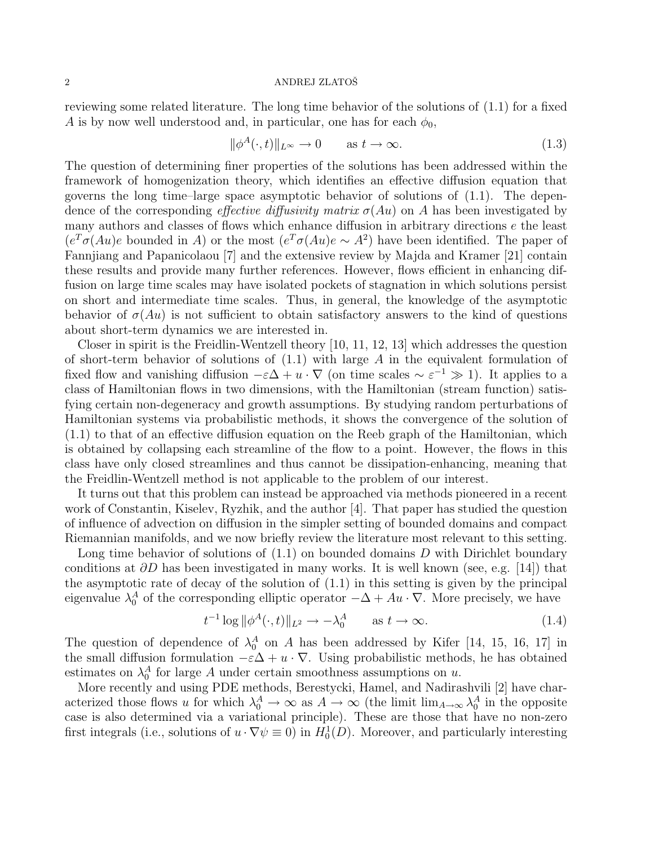### $2\,$  ANDREJ ZLATOŠ $\,$

reviewing some related literature. The long time behavior of the solutions of (1.1) for a fixed A is by now well understood and, in particular, one has for each  $\phi_0$ ,

$$
\|\phi^A(\cdot,t)\|_{L^\infty} \to 0 \quad \text{as } t \to \infty. \tag{1.3}
$$

The question of determining finer properties of the solutions has been addressed within the framework of homogenization theory, which identifies an effective diffusion equation that governs the long time–large space asymptotic behavior of solutions of (1.1). The dependence of the corresponding *effective diffusivity matrix*  $\sigma(Au)$  on A has been investigated by many authors and classes of flows which enhance diffusion in arbitrary directions  $e$  the least  $(e^T \sigma(Au)e)$  bounded in A) or the most  $(e^T \sigma(Au)e \sim A^2)$  have been identified. The paper of Fannjiang and Papanicolaou [7] and the extensive review by Majda and Kramer [21] contain these results and provide many further references. However, flows efficient in enhancing diffusion on large time scales may have isolated pockets of stagnation in which solutions persist on short and intermediate time scales. Thus, in general, the knowledge of the asymptotic behavior of  $\sigma(Au)$  is not sufficient to obtain satisfactory answers to the kind of questions about short-term dynamics we are interested in.

Closer in spirit is the Freidlin-Wentzell theory [10, 11, 12, 13] which addresses the question of short-term behavior of solutions of (1.1) with large A in the equivalent formulation of fixed flow and vanishing diffusion  $-\varepsilon\Delta + u \cdot \nabla$  (on time scales  $\sim \varepsilon^{-1} \gg 1$ ). It applies to a class of Hamiltonian flows in two dimensions, with the Hamiltonian (stream function) satisfying certain non-degeneracy and growth assumptions. By studying random perturbations of Hamiltonian systems via probabilistic methods, it shows the convergence of the solution of (1.1) to that of an effective diffusion equation on the Reeb graph of the Hamiltonian, which is obtained by collapsing each streamline of the flow to a point. However, the flows in this class have only closed streamlines and thus cannot be dissipation-enhancing, meaning that the Freidlin-Wentzell method is not applicable to the problem of our interest.

It turns out that this problem can instead be approached via methods pioneered in a recent work of Constantin, Kiselev, Ryzhik, and the author [4]. That paper has studied the question of influence of advection on diffusion in the simpler setting of bounded domains and compact Riemannian manifolds, and we now briefly review the literature most relevant to this setting.

Long time behavior of solutions of  $(1.1)$  on bounded domains D with Dirichlet boundary conditions at  $\partial D$  has been investigated in many works. It is well known (see, e.g. [14]) that the asymptotic rate of decay of the solution of (1.1) in this setting is given by the principal eigenvalue  $\lambda_0^A$  of the corresponding elliptic operator  $-\Delta + Au \cdot \nabla$ . More precisely, we have

$$
t^{-1}\log \|\phi^A(\cdot, t)\|_{L^2} \to -\lambda_0^A \qquad \text{as } t \to \infty. \tag{1.4}
$$

The question of dependence of  $\lambda_0^A$  on A has been addressed by Kifer [14, 15, 16, 17] in the small diffusion formulation  $-\varepsilon\Delta + u \cdot \nabla$ . Using probabilistic methods, he has obtained estimates on  $\lambda_0^A$  for large A under certain smoothness assumptions on u.

More recently and using PDE methods, Berestycki, Hamel, and Nadirashvili [2] have characterized those flows u for which  $\lambda_0^A \to \infty$  as  $A \to \infty$  (the limit  $\lim_{A \to \infty} \lambda_0^A$  in the opposite case is also determined via a variational principle). These are those that have no non-zero first integrals (i.e., solutions of  $u \cdot \nabla \psi \equiv 0$ ) in  $H_0^1(D)$ . Moreover, and particularly interesting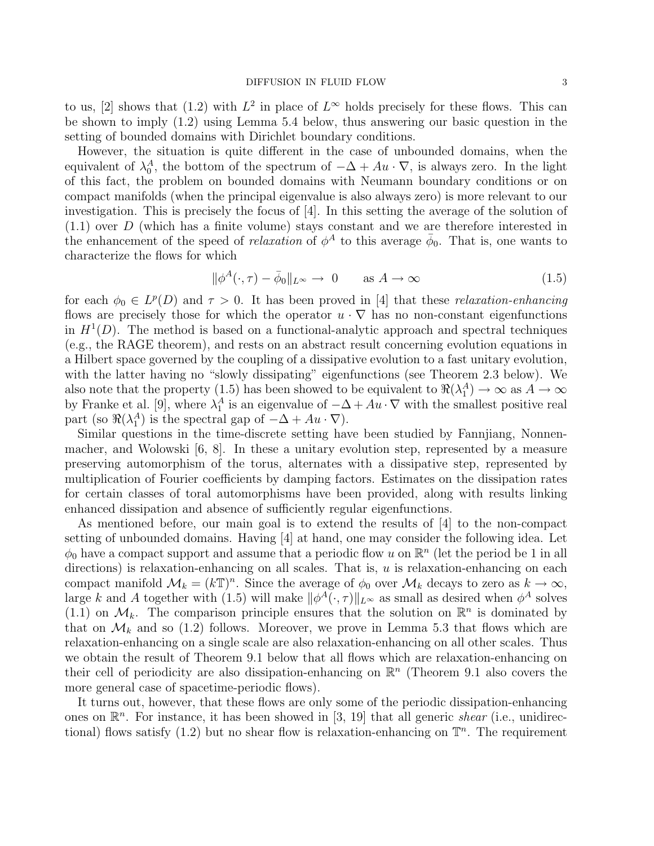to us, [2] shows that (1.2) with  $L^2$  in place of  $L^{\infty}$  holds precisely for these flows. This can be shown to imply (1.2) using Lemma 5.4 below, thus answering our basic question in the setting of bounded domains with Dirichlet boundary conditions.

However, the situation is quite different in the case of unbounded domains, when the equivalent of  $\lambda_0^A$ , the bottom of the spectrum of  $-\Delta + Au \cdot \nabla$ , is always zero. In the light of this fact, the problem on bounded domains with Neumann boundary conditions or on compact manifolds (when the principal eigenvalue is also always zero) is more relevant to our investigation. This is precisely the focus of [4]. In this setting the average of the solution of (1.1) over D (which has a finite volume) stays constant and we are therefore interested in the enhancement of the speed of *relaxation* of  $\phi^A$  to this average  $\bar{\phi}_0$ . That is, one wants to characterize the flows for which

$$
\|\phi^A(\cdot,\tau) - \bar{\phi}_0\|_{L^\infty} \to 0 \quad \text{as } A \to \infty \tag{1.5}
$$

for each  $\phi_0 \in L^p(D)$  and  $\tau > 0$ . It has been proved in [4] that these *relaxation-enhancing* flows are precisely those for which the operator  $u \cdot \nabla$  has no non-constant eigenfunctions in  $H^1(D)$ . The method is based on a functional-analytic approach and spectral techniques (e.g., the RAGE theorem), and rests on an abstract result concerning evolution equations in a Hilbert space governed by the coupling of a dissipative evolution to a fast unitary evolution, with the latter having no "slowly dissipating" eigenfunctions (see Theorem 2.3 below). We also note that the property (1.5) has been showed to be equivalent to  $\Re(\lambda_1^A) \to \infty$  as  $A \to \infty$ by Franke et al. [9], where  $\lambda_1^A$  is an eigenvalue of  $-\Delta + Au \cdot \nabla$  with the smallest positive real part (so  $\Re(\lambda_1^A)$  is the spectral gap of  $-\Delta + Au \cdot \nabla$ ).

Similar questions in the time-discrete setting have been studied by Fannjiang, Nonnenmacher, and Wolowski [6, 8]. In these a unitary evolution step, represented by a measure preserving automorphism of the torus, alternates with a dissipative step, represented by multiplication of Fourier coefficients by damping factors. Estimates on the dissipation rates for certain classes of toral automorphisms have been provided, along with results linking enhanced dissipation and absence of sufficiently regular eigenfunctions.

As mentioned before, our main goal is to extend the results of [4] to the non-compact setting of unbounded domains. Having  $|4|$  at hand, one may consider the following idea. Let  $\phi_0$  have a compact support and assume that a periodic flow u on  $\mathbb{R}^n$  (let the period be 1 in all directions) is relaxation-enhancing on all scales. That is, u is relaxation-enhancing on each compact manifold  $\mathcal{M}_k = (k\mathbb{T})^n$ . Since the average of  $\phi_0$  over  $\mathcal{M}_k$  decays to zero as  $k \to \infty$ , large k and A together with (1.5) will make  $\|\phi^A(\cdot, \tau)\|_{L^\infty}$  as small as desired when  $\phi^A$  solves  $(1.1)$  on  $\mathcal{M}_k$ . The comparison principle ensures that the solution on  $\mathbb{R}^n$  is dominated by that on  $\mathcal{M}_k$  and so (1.2) follows. Moreover, we prove in Lemma 5.3 that flows which are relaxation-enhancing on a single scale are also relaxation-enhancing on all other scales. Thus we obtain the result of Theorem 9.1 below that all flows which are relaxation-enhancing on their cell of periodicity are also dissipation-enhancing on  $\mathbb{R}^n$  (Theorem 9.1 also covers the more general case of spacetime-periodic flows).

It turns out, however, that these flows are only some of the periodic dissipation-enhancing ones on  $\mathbb{R}^n$ . For instance, it has been showed in [3, 19] that all generic shear (i.e., unidirectional) flows satisfy (1.2) but no shear flow is relaxation-enhancing on  $\mathbb{T}^n$ . The requirement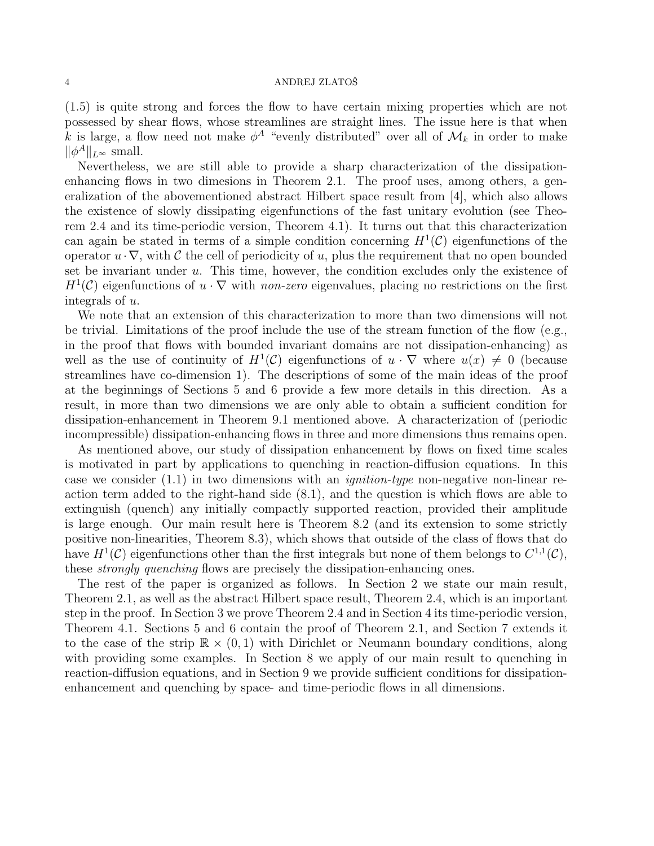(1.5) is quite strong and forces the flow to have certain mixing properties which are not possessed by shear flows, whose streamlines are straight lines. The issue here is that when k is large, a flow need not make  $\phi^A$  "evenly distributed" over all of  $\mathcal{M}_k$  in order to make  $\|\phi^A\|_{L^{\infty}}$  small.

Nevertheless, we are still able to provide a sharp characterization of the dissipationenhancing flows in two dimesions in Theorem 2.1. The proof uses, among others, a generalization of the abovementioned abstract Hilbert space result from [4], which also allows the existence of slowly dissipating eigenfunctions of the fast unitary evolution (see Theorem 2.4 and its time-periodic version, Theorem 4.1). It turns out that this characterization can again be stated in terms of a simple condition concerning  $H^1(\mathcal{C})$  eigenfunctions of the operator  $u\cdot\nabla$ , with C the cell of periodicity of u, plus the requirement that no open bounded set be invariant under  $u$ . This time, however, the condition excludes only the existence of  $H^1(\mathcal{C})$  eigenfunctions of  $u \cdot \nabla$  with non-zero eigenvalues, placing no restrictions on the first integrals of u.

We note that an extension of this characterization to more than two dimensions will not be trivial. Limitations of the proof include the use of the stream function of the flow (e.g., in the proof that flows with bounded invariant domains are not dissipation-enhancing) as well as the use of continuity of  $H^1(\mathcal{C})$  eigenfunctions of  $u \cdot \nabla$  where  $u(x) \neq 0$  (because streamlines have co-dimension 1). The descriptions of some of the main ideas of the proof at the beginnings of Sections 5 and 6 provide a few more details in this direction. As a result, in more than two dimensions we are only able to obtain a sufficient condition for dissipation-enhancement in Theorem 9.1 mentioned above. A characterization of (periodic incompressible) dissipation-enhancing flows in three and more dimensions thus remains open.

As mentioned above, our study of dissipation enhancement by flows on fixed time scales is motivated in part by applications to quenching in reaction-diffusion equations. In this case we consider  $(1.1)$  in two dimensions with an *ignition-type* non-negative non-linear reaction term added to the right-hand side (8.1), and the question is which flows are able to extinguish (quench) any initially compactly supported reaction, provided their amplitude is large enough. Our main result here is Theorem 8.2 (and its extension to some strictly positive non-linearities, Theorem 8.3), which shows that outside of the class of flows that do have  $H^1(\mathcal{C})$  eigenfunctions other than the first integrals but none of them belongs to  $C^{1,1}(\mathcal{C})$ , these *strongly quenching* flows are precisely the dissipation-enhancing ones.

The rest of the paper is organized as follows. In Section 2 we state our main result, Theorem 2.1, as well as the abstract Hilbert space result, Theorem 2.4, which is an important step in the proof. In Section 3 we prove Theorem 2.4 and in Section 4 its time-periodic version, Theorem 4.1. Sections 5 and 6 contain the proof of Theorem 2.1, and Section 7 extends it to the case of the strip  $\mathbb{R} \times (0,1)$  with Dirichlet or Neumann boundary conditions, along with providing some examples. In Section 8 we apply of our main result to quenching in reaction-diffusion equations, and in Section 9 we provide sufficient conditions for dissipationenhancement and quenching by space- and time-periodic flows in all dimensions.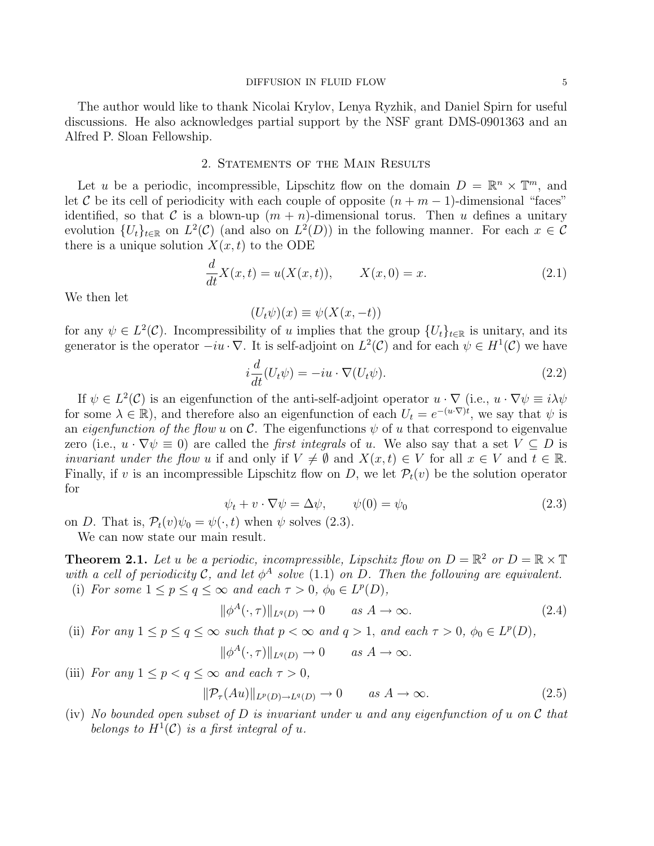The author would like to thank Nicolai Krylov, Lenya Ryzhik, and Daniel Spirn for useful discussions. He also acknowledges partial support by the NSF grant DMS-0901363 and an Alfred P. Sloan Fellowship.

# 2. Statements of the Main Results

Let u be a periodic, incompressible, Lipschitz flow on the domain  $D = \mathbb{R}^n \times \mathbb{T}^m$ , and let C be its cell of periodicity with each couple of opposite  $(n + m - 1)$ -dimensional "faces" identified, so that C is a blown-up  $(m + n)$ -dimensional torus. Then u defines a unitary evolution  $\{U_t\}_{t\in\mathbb{R}}$  on  $L^2(\mathcal{C})$  (and also on  $L^2(D)$ ) in the following manner. For each  $x \in \mathcal{C}$ there is a unique solution  $X(x, t)$  to the ODE

$$
\frac{d}{dt}X(x,t) = u(X(x,t)), \qquad X(x,0) = x.
$$
\n(2.1)

We then let

$$
(U_t\psi)(x) \equiv \psi(X(x, -t))
$$

for any  $\psi \in L^2(\mathcal{C})$ . Incompressibility of u implies that the group  $\{U_t\}_{t \in \mathbb{R}}$  is unitary, and its generator is the operator  $-iu \cdot \nabla$ . It is self-adjoint on  $L^2(\mathcal{C})$  and for each  $\psi \in H^1(\mathcal{C})$  we have

$$
i\frac{d}{dt}(U_t\psi) = -iu \cdot \nabla(U_t\psi). \tag{2.2}
$$

If  $\psi \in L^2(\mathcal{C})$  is an eigenfunction of the anti-self-adjoint operator  $u \cdot \nabla$  (i.e.,  $u \cdot \nabla \psi \equiv i \lambda \psi$ for some  $\lambda \in \mathbb{R}$ , and therefore also an eigenfunction of each  $U_t = e^{-(u \cdot \nabla)t}$ , we say that  $\psi$  is an *eigenfunction of the flow u* on C. The eigenfunctions  $\psi$  of u that correspond to eigenvalue zero (i.e.,  $u \cdot \nabla \psi \equiv 0$ ) are called the *first integrals* of u. We also say that a set  $V \subseteq D$  is *invariant under the flow u* if and only if  $V \neq \emptyset$  and  $X(x, t) \in V$  for all  $x \in V$  and  $t \in \mathbb{R}$ . Finally, if v is an incompressible Lipschitz flow on D, we let  $\mathcal{P}_t(v)$  be the solution operator for

$$
\psi_t + v \cdot \nabla \psi = \Delta \psi, \qquad \psi(0) = \psi_0 \tag{2.3}
$$

on D. That is,  $\mathcal{P}_t(v)\psi_0 = \psi(\cdot, t)$  when  $\psi$  solves (2.3).

We can now state our main result.

**Theorem 2.1.** Let u be a periodic, incompressible, Lipschitz flow on  $D = \mathbb{R}^2$  or  $D = \mathbb{R} \times \mathbb{T}$ with a cell of periodicity C, and let  $\phi^A$  solve (1.1) on D. Then the following are equivalent. (i) For some  $1 \le p \le q \le \infty$  and each  $\tau > 0$ ,  $\phi_0 \in L^p(D)$ ,

$$
\|\phi^A(\cdot,\tau)\|_{L^q(D)} \to 0 \qquad \text{as } A \to \infty. \tag{2.4}
$$

(ii) For any  $1 \le p \le q \le \infty$  such that  $p < \infty$  and  $q > 1$ , and each  $\tau > 0$ ,  $\phi_0 \in L^p(D)$ ,

$$
\|\phi^A(\cdot,\tau)\|_{L^q(D)} \to 0 \quad \text{as } A \to \infty.
$$

(iii) For any  $1 \leq p < q \leq \infty$  and each  $\tau > 0$ ,

$$
\|\mathcal{P}_{\tau}(Au)\|_{L^{p}(D)\to L^{q}(D)} \to 0 \quad \text{as } A \to \infty. \tag{2.5}
$$

(iv) No bounded open subset of D is invariant under u and any eigenfunction of u on  $\mathcal C$  that belongs to  $H^1(\mathcal{C})$  is a first integral of u.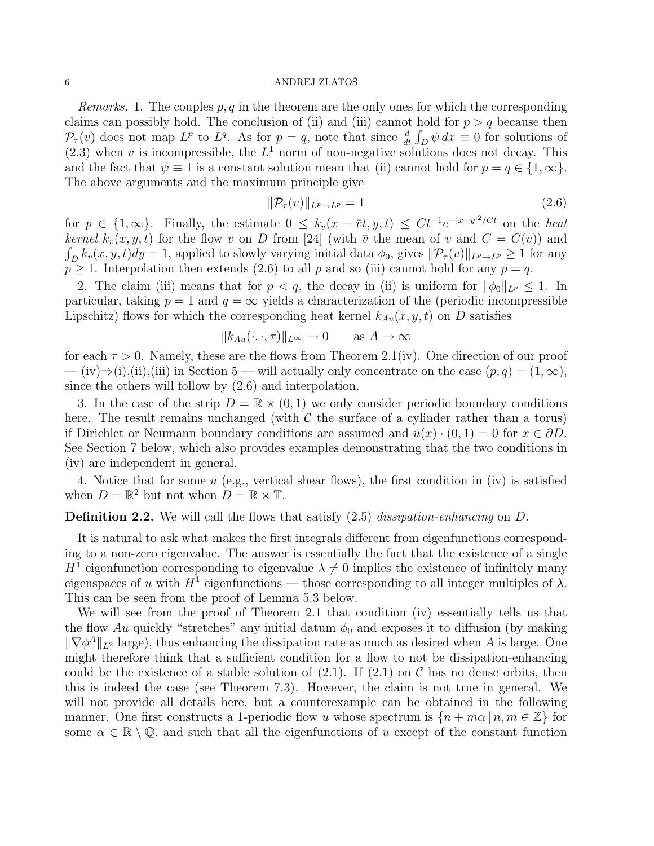*Remarks.* 1. The couples  $p, q$  in the theorem are the only ones for which the corresponding claims can possibly hold. The conclusion of (ii) and (iii) cannot hold for  $p > q$  because then  $\mathcal{P}_{\tau}(v)$  does not map  $L^p$  to  $L^q$ . As for  $p = q$ , note that since  $\frac{d}{dt} \int_D \psi dx \equiv 0$  for solutions of  $(2.3)$  when v is incompressible, the  $L<sup>1</sup>$  norm of non-negative solutions does not decay. This and the fact that  $\psi \equiv 1$  is a constant solution mean that (ii) cannot hold for  $p = q \in \{1, \infty\}$ . The above arguments and the maximum principle give

$$
\|\mathcal{P}_{\tau}(v)\|_{L^p \to L^p} = 1\tag{2.6}
$$

for  $p \in \{1,\infty\}$ . Finally, the estimate  $0 \leq k_v(x - \bar{v}t, y, t) \leq Ct^{-1}e^{-|x-y|^2/Ct}$  on the heat kernel  $k_v(x, y, t)$  for the flow v on D from [24] (with  $\bar{v}$  the mean of v and  $C = C(v)$ ) and  $\int_D k_v(x, y, t) dy = 1$ , applied to slowly varying initial data  $\phi_0$ , gives  $\|\mathcal{P}_{\tau}(v)\|_{L^p \to L^p} \ge 1$  for any  $p \geq 1$ . Interpolation then extends (2.6) to all p and so (iii) cannot hold for any  $p = q$ .

2. The claim (iii) means that for  $p < q$ , the decay in (ii) is uniform for  $\|\phi_0\|_{L^p} \leq 1$ . In particular, taking  $p = 1$  and  $q = \infty$  yields a characterization of the (periodic incompressible Lipschitz) flows for which the corresponding heat kernel  $k_{Au}(x, y, t)$  on D satisfies

$$
||k_{Au}(\cdot,\cdot,\tau)||_{L^{\infty}} \to 0 \quad \text{as } A \to \infty
$$

for each  $\tau > 0$ . Namely, these are the flows from Theorem 2.1(iv). One direction of our proof — (iv)⇒(i),(ii),(iii) in Section 5 — will actually only concentrate on the case  $(p, q) = (1, \infty)$ , since the others will follow by (2.6) and interpolation.

3. In the case of the strip  $D = \mathbb{R} \times (0, 1)$  we only consider periodic boundary conditions here. The result remains unchanged (with  $\mathcal C$  the surface of a cylinder rather than a torus) if Dirichlet or Neumann boundary conditions are assumed and  $u(x) \cdot (0,1) = 0$  for  $x \in \partial D$ . See Section 7 below, which also provides examples demonstrating that the two conditions in (iv) are independent in general.

4. Notice that for some  $u$  (e.g., vertical shear flows), the first condition in (iv) is satisfied when  $D = \mathbb{R}^2$  but not when  $D = \mathbb{R} \times \mathbb{T}$ .

Definition 2.2. We will call the flows that satisfy  $(2.5)$  dissipation-enhancing on D.

It is natural to ask what makes the first integrals different from eigenfunctions corresponding to a non-zero eigenvalue. The answer is essentially the fact that the existence of a single  $H^1$  eigenfunction corresponding to eigenvalue  $\lambda \neq 0$  implies the existence of infinitely many eigenspaces of u with  $H^1$  eigenfunctions — those corresponding to all integer multiples of  $\lambda$ . This can be seen from the proof of Lemma 5.3 below.

We will see from the proof of Theorem 2.1 that condition (iv) essentially tells us that the flow Au quickly "stretches" any initial datum  $\phi_0$  and exposes it to diffusion (by making  $\|\nabla \phi^A\|_{L^2}$  large), thus enhancing the dissipation rate as much as desired when A is large. One might therefore think that a sufficient condition for a flow to not be dissipation-enhancing could be the existence of a stable solution of  $(2.1)$ . If  $(2.1)$  on C has no dense orbits, then this is indeed the case (see Theorem 7.3). However, the claim is not true in general. We will not provide all details here, but a counterexample can be obtained in the following manner. One first constructs a 1-periodic flow u whose spectrum is  $\{n + m\alpha \mid n, m \in \mathbb{Z}\}\$ for some  $\alpha \in \mathbb{R} \setminus \mathbb{Q}$ , and such that all the eigenfunctions of u except of the constant function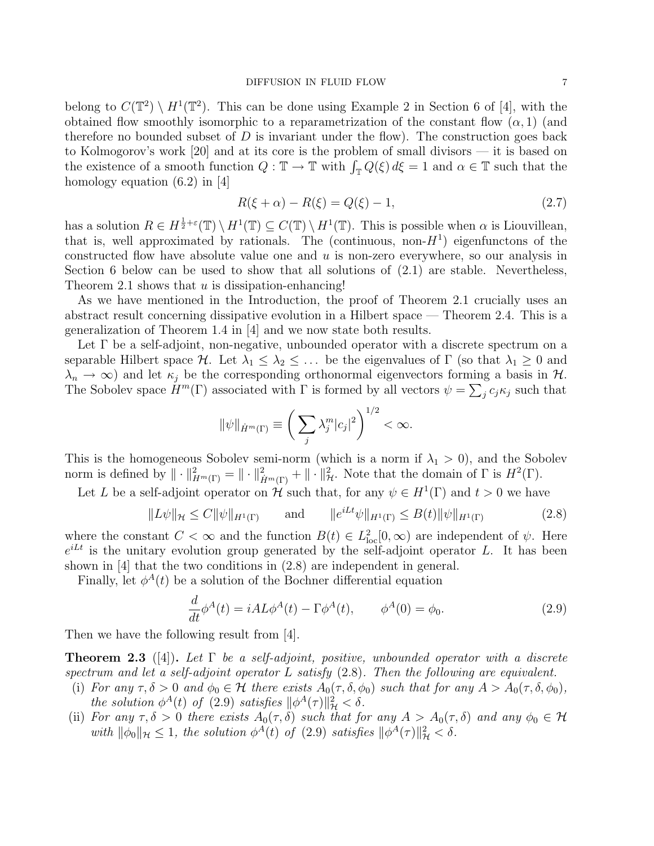belong to  $C(\mathbb{T}^2) \setminus H^1(\mathbb{T}^2)$ . This can be done using Example 2 in Section 6 of [4], with the obtained flow smoothly isomorphic to a reparametrization of the constant flow  $(\alpha, 1)$  (and therefore no bounded subset of  $D$  is invariant under the flow). The construction goes back to Kolmogorov's work [20] and at its core is the problem of small divisors — it is based on the existence of a smooth function  $Q: \mathbb{T} \to \mathbb{T}$  with  $\int_{\mathbb{T}} Q(\xi) d\xi = 1$  and  $\alpha \in \mathbb{T}$  such that the homology equation (6.2) in [4]

$$
R(\xi + \alpha) - R(\xi) = Q(\xi) - 1,\tag{2.7}
$$

has a solution  $R \in H^{\frac{1}{2}+\varepsilon}(\mathbb{T}) \setminus H^1(\mathbb{T}) \subseteq C(\mathbb{T}) \setminus H^1(\mathbb{T})$ . This is possible when  $\alpha$  is Liouvillean, that is, well approximated by rationals. The (continuous, non- $H<sup>1</sup>$ ) eigenfunctons of the constructed flow have absolute value one and  $u$  is non-zero everywhere, so our analysis in Section 6 below can be used to show that all solutions of (2.1) are stable. Nevertheless, Theorem 2.1 shows that  $u$  is dissipation-enhancing!

As we have mentioned in the Introduction, the proof of Theorem 2.1 crucially uses an abstract result concerning dissipative evolution in a Hilbert space — Theorem 2.4. This is a generalization of Theorem 1.4 in [4] and we now state both results.

Let  $\Gamma$  be a self-adjoint, non-negative, unbounded operator with a discrete spectrum on a separable Hilbert space H. Let  $\lambda_1 \leq \lambda_2 \leq \ldots$  be the eigenvalues of  $\Gamma$  (so that  $\lambda_1 \geq 0$  and  $\lambda_n \to \infty$ ) and let  $\kappa_i$  be the corresponding orthonormal eigenvectors forming a basis in H. The Sobolev space  $H^m(\Gamma)$  associated with  $\Gamma$  is formed by all vectors  $\psi = \sum_j c_j \kappa_j$  such that

$$
\|\psi\|_{\dot{H}^m(\Gamma)} \equiv \left(\sum_j \lambda_j^m |c_j|^2\right)^{1/2} < \infty.
$$

This is the homogeneous Sobolev semi-norm (which is a norm if  $\lambda_1 > 0$ ), and the Sobolev norm is defined by  $\|\cdot\|_{H^m(\Gamma)}^2 = \|\cdot\|_{\dot{H}^m(\Gamma)}^2 + \|\cdot\|_{\mathcal{H}}^2$ . Note that the domain of  $\Gamma$  is  $H^2(\Gamma)$ .

Let L be a self-adjoint operator on H such that, for any  $\psi \in H^1(\Gamma)$  and  $t > 0$  we have

$$
||L\psi||_{\mathcal{H}} \le C ||\psi||_{H^{1}(\Gamma)} \quad \text{and} \quad ||e^{iLt}\psi||_{H^{1}(\Gamma)} \le B(t)||\psi||_{H^{1}(\Gamma)} \tag{2.8}
$$

where the constant  $C < \infty$  and the function  $B(t) \in L^2_{loc}[0,\infty)$  are independent of  $\psi$ . Here  $e^{iLt}$  is the unitary evolution group generated by the self-adjoint operator L. It has been shown in [4] that the two conditions in (2.8) are independent in general.

Finally, let  $\phi^A(t)$  be a solution of the Bochner differential equation

$$
\frac{d}{dt}\phi^A(t) = iAL\phi^A(t) - \Gamma\phi^A(t), \qquad \phi^A(0) = \phi_0.
$$
\n(2.9)

Then we have the following result from [4].

**Theorem 2.3** ([4]). Let  $\Gamma$  be a self-adjoint, positive, unbounded operator with a discrete spectrum and let a self-adjoint operator L satisfy  $(2.8)$ . Then the following are equivalent.

- (i) For any  $\tau, \delta > 0$  and  $\phi_0 \in \mathcal{H}$  there exists  $A_0(\tau, \delta, \phi_0)$  such that for any  $A > A_0(\tau, \delta, \phi_0)$ , the solution  $\phi^A(t)$  of (2.9) satisfies  $\|\phi^A(\tau)\|_{\mathcal{H}}^2 < \delta$ .
- (ii) For any  $\tau, \delta > 0$  there exists  $A_0(\tau, \delta)$  such that for any  $A > A_0(\tau, \delta)$  and any  $\phi_0 \in \mathcal{H}$ with  $\|\phi_0\|_{\mathcal{H}} \leq 1$ , the solution  $\phi^A(t)$  of (2.9) satisfies  $\|\phi^A(\tau)\|_{\mathcal{H}}^2 < \delta$ .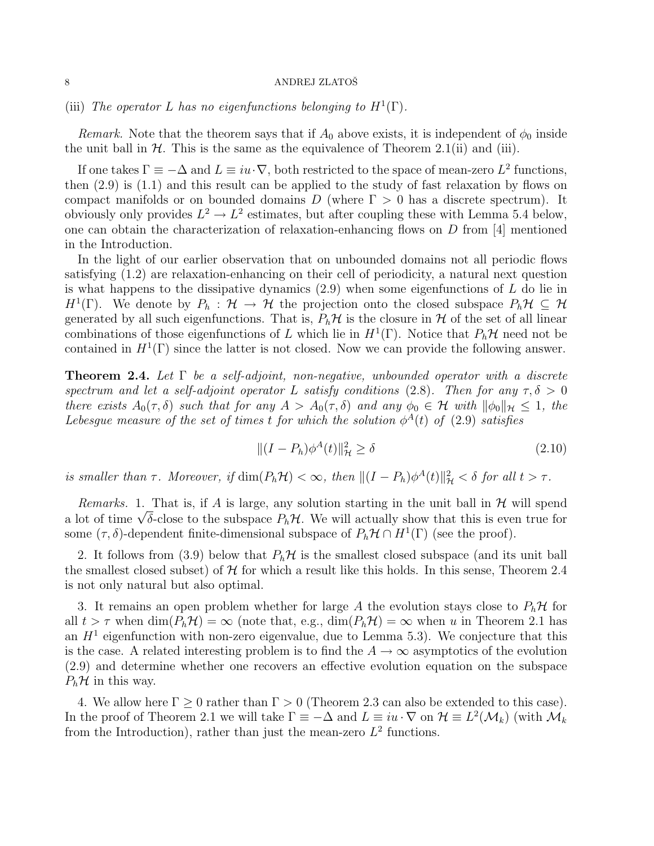(iii) The operator L has no eigenfunctions belonging to  $H^1(\Gamma)$ .

Remark. Note that the theorem says that if  $A_0$  above exists, it is independent of  $\phi_0$  inside the unit ball in  $H$ . This is the same as the equivalence of Theorem 2.1(ii) and (iii).

If one takes  $\Gamma \equiv -\Delta$  and  $L \equiv iu \cdot \nabla$ , both restricted to the space of mean-zero  $L^2$  functions, then (2.9) is (1.1) and this result can be applied to the study of fast relaxation by flows on compact manifolds or on bounded domains  $D$  (where  $\Gamma > 0$  has a discrete spectrum). It obviously only provides  $L^2 \to L^2$  estimates, but after coupling these with Lemma 5.4 below, one can obtain the characterization of relaxation-enhancing flows on D from [4] mentioned in the Introduction.

In the light of our earlier observation that on unbounded domains not all periodic flows satisfying (1.2) are relaxation-enhancing on their cell of periodicity, a natural next question is what happens to the dissipative dynamics  $(2.9)$  when some eigenfunctions of L do lie in  $H^1(\Gamma)$ . We denote by  $P_h : \mathcal{H} \to \mathcal{H}$  the projection onto the closed subspace  $P_h \mathcal{H} \subseteq \mathcal{H}$ generated by all such eigenfunctions. That is,  $P_h\mathcal{H}$  is the closure in  $\mathcal{H}$  of the set of all linear combinations of those eigenfunctions of L which lie in  $H^1(\Gamma)$ . Notice that  $P_h\mathcal{H}$  need not be contained in  $H^1(\Gamma)$  since the latter is not closed. Now we can provide the following answer.

**Theorem 2.4.** Let  $\Gamma$  be a self-adjoint, non-negative, unbounded operator with a discrete spectrum and let a self-adjoint operator L satisfy conditions (2.8). Then for any  $\tau, \delta > 0$ there exists  $A_0(\tau, \delta)$  such that for any  $A > A_0(\tau, \delta)$  and any  $\phi_0 \in \mathcal{H}$  with  $\|\phi_0\|_{\mathcal{H}} \leq 1$ , the Lebesgue measure of the set of times t for which the solution  $\phi^{A}(t)$  of (2.9) satisfies

$$
\|(I - P_h)\phi^A(t)\|_{\mathcal{H}}^2 \ge \delta \tag{2.10}
$$

is smaller than  $\tau$ . Moreover, if  $\dim(P_h \mathcal{H}) < \infty$ , then  $|| (I - P_h) \phi^A(t) ||^2_{\mathcal{H}} < \delta$  for all  $t > \tau$ .

Remarks. 1. That is, if A is large, any solution starting in the unit ball in  $\mathcal H$  will spend *Remarks.* 1. That is, if A is large, any solution starting in the unit ball in  $\pi$  will spend<br>a lot of time  $\sqrt{\delta}$ -close to the subspace  $P_h\mathcal{H}$ . We will actually show that this is even true for some  $(\tau, \delta)$ -dependent finite-dimensional subspace of  $P_h \mathcal{H} \cap H^1(\Gamma)$  (see the proof).

2. It follows from (3.9) below that  $P_h\mathcal{H}$  is the smallest closed subspace (and its unit ball the smallest closed subset) of  $H$  for which a result like this holds. In this sense, Theorem 2.4 is not only natural but also optimal.

3. It remains an open problem whether for large A the evolution stays close to  $P_h\mathcal{H}$  for all  $t > \tau$  when  $\dim(P_h \mathcal{H}) = \infty$  (note that, e.g.,  $\dim(P_h \mathcal{H}) = \infty$  when u in Theorem 2.1 has an  $H<sup>1</sup>$  eigenfunction with non-zero eigenvalue, due to Lemma 5.3). We conjecture that this is the case. A related interesting problem is to find the  $A \rightarrow \infty$  asymptotics of the evolution (2.9) and determine whether one recovers an effective evolution equation on the subspace  $P_h$ H in this way.

4. We allow here  $\Gamma \geq 0$  rather than  $\Gamma > 0$  (Theorem 2.3 can also be extended to this case). In the proof of Theorem 2.1 we will take  $\Gamma \equiv -\Delta$  and  $L \equiv iu \cdot \nabla$  on  $\mathcal{H} \equiv L^2(\mathcal{M}_k)$  (with  $\mathcal{M}_k$ from the Introduction), rather than just the mean-zero  $L^2$  functions.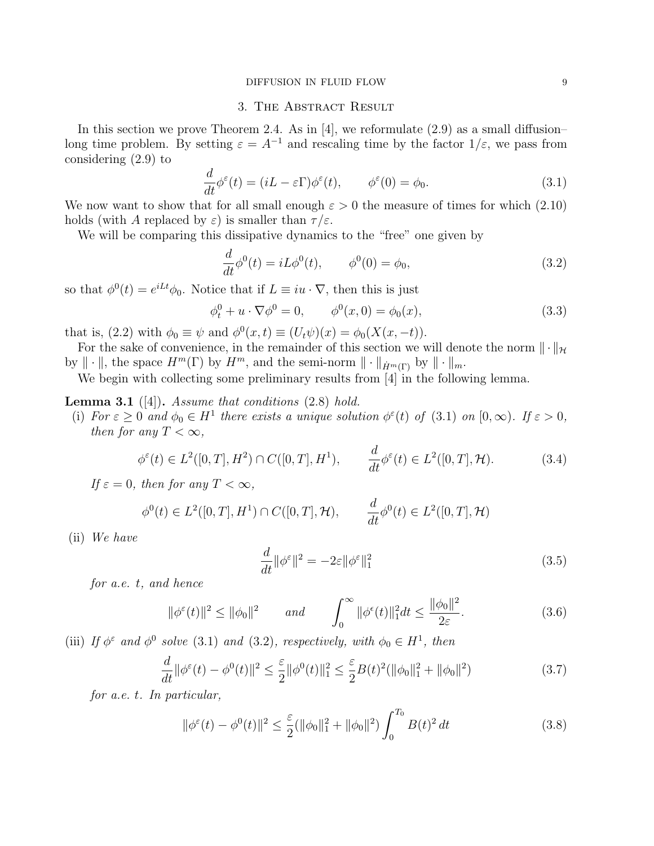# 3. The Abstract Result

In this section we prove Theorem 2.4. As in [4], we reformulate  $(2.9)$  as a small diffusion– long time problem. By setting  $\varepsilon = A^{-1}$  and rescaling time by the factor  $1/\varepsilon$ , we pass from considering (2.9) to

$$
\frac{d}{dt}\phi^{\varepsilon}(t) = (iL - \varepsilon\Gamma)\phi^{\varepsilon}(t), \qquad \phi^{\varepsilon}(0) = \phi_0.
$$
\n(3.1)

We now want to show that for all small enough  $\varepsilon > 0$  the measure of times for which (2.10) holds (with A replaced by  $\varepsilon$ ) is smaller than  $\tau/\varepsilon$ .

We will be comparing this dissipative dynamics to the "free" one given by

$$
\frac{d}{dt}\phi^0(t) = iL\phi^0(t), \qquad \phi^0(0) = \phi_0,
$$
\n(3.2)

so that  $\phi^0(t) = e^{iLt}\phi_0$ . Notice that if  $L \equiv iu \cdot \nabla$ , then this is just

$$
\phi_t^0 + u \cdot \nabla \phi^0 = 0, \qquad \phi^0(x, 0) = \phi_0(x), \tag{3.3}
$$

that is, (2.2) with  $\phi_0 \equiv \psi$  and  $\phi^0(x,t) \equiv (U_t \psi)(x) = \phi_0(X(x,-t)).$ 

For the sake of convenience, in the remainder of this section we will denote the norm  $\|\cdot\|_{\mathcal{H}}$ by  $\|\cdot\|$ , the space  $H^m(\Gamma)$  by  $H^m$ , and the semi-norm  $\|\cdot\|_{\dot{H}^m(\Gamma)}$  by  $\|\cdot\|_m$ .

We begin with collecting some preliminary results from [4] in the following lemma.

**Lemma 3.1** ([4]). Assume that conditions  $(2.8)$  hold.

(i) For  $\varepsilon \geq 0$  and  $\phi_0 \in H^1$  there exists a unique solution  $\phi^{\varepsilon}(t)$  of (3.1) on  $[0, \infty)$ . If  $\varepsilon > 0$ , then for any  $T < \infty$ ,

$$
\phi^{\varepsilon}(t) \in L^{2}([0,T], H^{2}) \cap C([0,T], H^{1}), \qquad \frac{d}{dt} \phi^{\varepsilon}(t) \in L^{2}([0,T], \mathcal{H}). \tag{3.4}
$$

If  $\varepsilon = 0$ , then for any  $T < \infty$ ,

$$
\phi^{0}(t) \in L^{2}([0, T], H^{1}) \cap C([0, T], \mathcal{H}), \qquad \frac{d}{dt}\phi^{0}(t) \in L^{2}([0, T], \mathcal{H})
$$

(ii) We have

$$
\frac{d}{dt} \|\phi^{\varepsilon}\|^2 = -2\varepsilon \|\phi^{\varepsilon}\|^2_1 \tag{3.5}
$$

for a.e. t, and hence

$$
\|\phi^{\varepsilon}(t)\|^{2} \le \|\phi_{0}\|^{2} \quad \text{and} \quad \int_{0}^{\infty} \|\phi^{\varepsilon}(t)\|_{1}^{2} dt \le \frac{\|\phi_{0}\|^{2}}{2\varepsilon}.
$$
 (3.6)

(iii) If  $\phi^{\varepsilon}$  and  $\phi^0$  solve (3.1) and (3.2), respectively, with  $\phi_0 \in H^1$ , then

$$
\frac{d}{dt} \|\phi^{\varepsilon}(t) - \phi^{0}(t)\|^{2} \le \frac{\varepsilon}{2} \|\phi^{0}(t)\|_{1}^{2} \le \frac{\varepsilon}{2} B(t)^{2} (\|\phi_{0}\|_{1}^{2} + \|\phi_{0}\|^{2})
$$
\n(3.7)

for a.e. t. In particular,

$$
\|\phi^{\varepsilon}(t) - \phi^{0}(t)\|^{2} \le \frac{\varepsilon}{2} (\|\phi_{0}\|_{1}^{2} + \|\phi_{0}\|^{2}) \int_{0}^{T_{0}} B(t)^{2} dt \qquad (3.8)
$$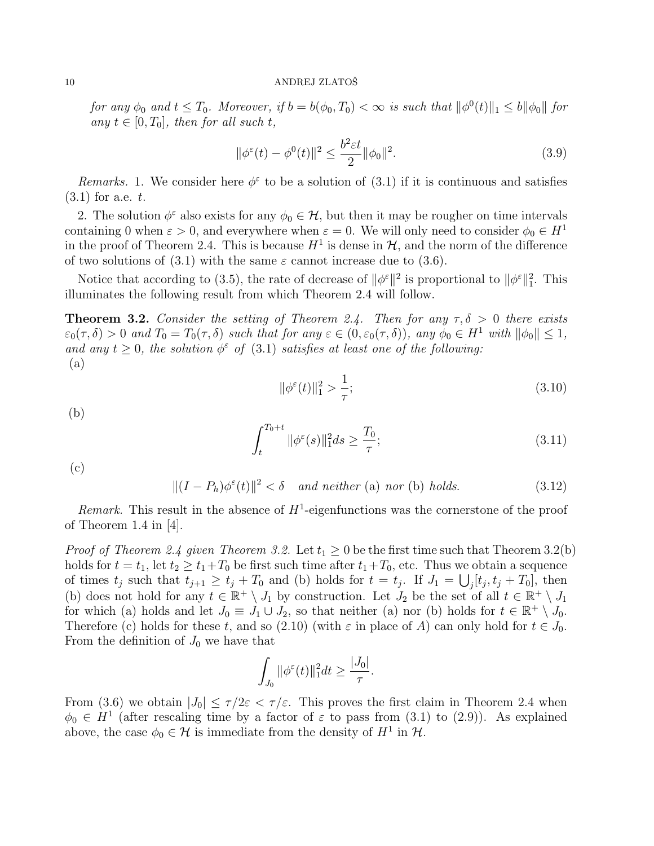for any  $\phi_0$  and  $t \leq T_0$ . Moreover, if  $b = b(\phi_0, T_0) < \infty$  is such that  $\|\phi^0(t)\|_1 \leq b \|\phi_0\|$  for any  $t \in [0, T_0]$ , then for all such t,

$$
\|\phi^{\varepsilon}(t) - \phi^{0}(t)\|^{2} \le \frac{b^{2}\varepsilon t}{2} \|\phi_{0}\|^{2}.
$$
\n(3.9)

Remarks. 1. We consider here  $\phi^{\varepsilon}$  to be a solution of (3.1) if it is continuous and satisfies  $(3.1)$  for a.e. t.

2. The solution  $\phi^{\varepsilon}$  also exists for any  $\phi_0 \in \mathcal{H}$ , but then it may be rougher on time intervals containing 0 when  $\varepsilon > 0$ , and everywhere when  $\varepsilon = 0$ . We will only need to consider  $\phi_0 \in H^1$ in the proof of Theorem 2.4. This is because  $H^1$  is dense in  $\mathcal{H}$ , and the norm of the difference of two solutions of (3.1) with the same  $\varepsilon$  cannot increase due to (3.6).

Notice that according to (3.5), the rate of decrease of  $\|\phi^{\varepsilon}\|^2$  is proportional to  $\|\phi^{\varepsilon}\|^2_1$ . This illuminates the following result from which Theorem 2.4 will follow.

**Theorem 3.2.** Consider the setting of Theorem 2.4. Then for any  $\tau, \delta > 0$  there exists  $\varepsilon_0(\tau, \delta) > 0$  and  $T_0 = T_0(\tau, \delta)$  such that for any  $\varepsilon \in (0, \varepsilon_0(\tau, \delta))$ , any  $\phi_0 \in H^1$  with  $\|\phi_0\| \leq 1$ , and any  $t \geq 0$ , the solution  $\phi^{\varepsilon}$  of (3.1) satisfies at least one of the following: (a)

$$
\|\phi^{\varepsilon}(t)\|_{1}^{2} > \frac{1}{\tau};\tag{3.10}
$$

(b)

$$
\int_{t}^{T_0+t} \|\phi^{\varepsilon}(s)\|_{1}^{2}ds \ge \frac{T_0}{\tau};\tag{3.11}
$$

(c)

 $||(I - P_h)\phi^{\varepsilon}(t)||^2 < \delta$  and neither (a) nor (b) holds. (3.12)

Remark. This result in the absence of  $H^1$ -eigenfunctions was the cornerstone of the proof of Theorem 1.4 in [4].

*Proof of Theorem 2.4 given Theorem 3.2.* Let  $t_1 \geq 0$  be the first time such that Theorem 3.2(b) holds for  $t = t_1$ , let  $t_2 \ge t_1 + T_0$  be first such time after  $t_1 + T_0$ , etc. Thus we obtain a sequence of times  $t_j$  such that  $t_{j+1} \ge t_j + T_0$  and (b) holds for  $t = t_j$ . If  $J_1 = \bigcup_j [t_j, t_j + T_0]$ , then (b) does not hold for any  $t \in \mathbb{R}^+ \setminus J_1$  by construction. Let  $J_2$  be the set of all  $t \in \mathbb{R}^+ \setminus J_1$ for which (a) holds and let  $J_0 \equiv J_1 \cup J_2$ , so that neither (a) nor (b) holds for  $t \in \mathbb{R}^+ \setminus J_0$ . Therefore (c) holds for these t, and so (2.10) (with  $\varepsilon$  in place of A) can only hold for  $t \in J_0$ . From the definition of  $J_0$  we have that

$$
\int_{J_0} \|\phi^{\varepsilon}(t)\|_{1}^{2} dt \geq \frac{|J_0|}{\tau}.
$$

From (3.6) we obtain  $|J_0| \le \tau/2\varepsilon < \tau/\varepsilon$ . This proves the first claim in Theorem 2.4 when  $\phi_0 \in H^1$  (after rescaling time by a factor of  $\varepsilon$  to pass from (3.1) to (2.9)). As explained above, the case  $\phi_0 \in \mathcal{H}$  is immediate from the density of  $H^1$  in  $\mathcal{H}$ .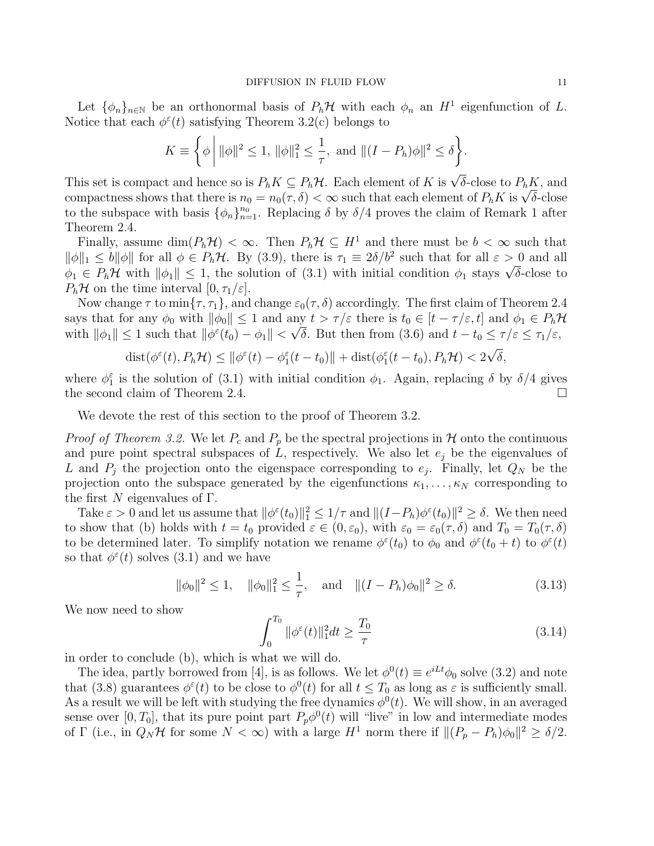Let  $\{\phi_n\}_{n\in\mathbb{N}}$  be an orthonormal basis of  $P_h\mathcal{H}$  with each  $\phi_n$  an  $H^1$  eigenfunction of L. Notice that each  $\phi^{\varepsilon}(t)$  satisfying Theorem 3.2(c) belongs to

$$
K \equiv \left\{ \phi \, \middle| \, \|\phi\|^2 \le 1, \, \|\phi\|_1^2 \le \frac{1}{\tau}, \text{ and } \|(I - P_h)\phi\|^2 \le \delta \right\}.
$$

This set is compact and hence so is  $P_h K \subseteq P_h H$ . Each element of K is  $\sqrt{\delta}$ -close to  $P_h K$ , and This set is compact and hence so is  $P_h K \subseteq P_h H$ . Each element of K is  $\sqrt{\theta}$ -close to  $P_h K$ , and compactness shows that there is  $n_0 = n_0(\tau, \delta) < \infty$  such that each element of  $P_h K$  is  $\sqrt{\delta}$ -close to the subspace with basis  $\{\phi_n\}_{n=1}^{n_0}$ . Replacing  $\delta$  by  $\delta/4$  proves the claim of Remark 1 after Theorem 2.4.

Finally, assume  $\dim(P_h\mathcal{H}) < \infty$ . Then  $P_h\mathcal{H} \subseteq H^1$  and there must be  $b < \infty$  such that  $\|\phi\|_1 \leq b\|\phi\|$  for all  $\phi \in P_h\mathcal{H}$ . By (3.9), there is  $\tau_1 \equiv 2\delta/b^2$  such that for all  $\varepsilon > 0$  and all  $\|\varphi\|_1 \leq \varphi\|\varphi\|$  for an  $\varphi \in P_h$ . By (5.9), there is  $\tau_1 = 2\varphi/\varphi$  such that for an  $\varepsilon > 0$  and an  $\varphi_1 \in P_h$  with  $\|\varphi_1\| \leq 1$ , the solution of (3.1) with initial condition  $\varphi_1$  stays  $\sqrt{\delta}$ -close to  $P_h$ H on the time interval  $[0, \tau_1/\varepsilon]$ .

Now change  $\tau$  to  $\min{\lbrace \tau, \tau_1 \rbrace}$ , and change  $\varepsilon_0(\tau, \delta)$  accordingly. The first claim of Theorem 2.4 says that for any  $\phi_0$  with  $\|\phi_0\| \leq 1$  and any  $t > \tau/\varepsilon$  there is  $t_0 \in [t - \tau/\varepsilon, t]$  and  $\phi_1 \in P_h$ H with  $\|\phi_1\| \leq 1$  such that  $\|\phi^\varepsilon(t_0) - \phi_1\| < \sqrt{\delta}$ . But then from (3.6) and  $t - t_0 \leq \tau/\varepsilon \leq \tau_1/\varepsilon$ , √

$$
dist(\phi^{\varepsilon}(t), P_h \mathcal{H}) \le ||\phi^{\varepsilon}(t) - \phi_1^{\varepsilon}(t - t_0)|| + dist(\phi_1^{\varepsilon}(t - t_0), P_h \mathcal{H}) < 2\sqrt{\delta},
$$

where  $\phi_1^{\varepsilon}$  is the solution of (3.1) with initial condition  $\phi_1$ . Again, replacing  $\delta$  by  $\delta/4$  gives the second claim of Theorem 2.4.

We devote the rest of this section to the proof of Theorem 3.2.

*Proof of Theorem 3.2.* We let  $P_c$  and  $P_p$  be the spectral projections in  $H$  onto the continuous and pure point spectral subspaces of  $L$ , respectively. We also let  $e_j$  be the eigenvalues of L and  $P_j$  the projection onto the eigenspace corresponding to  $e_j$ . Finally, let  $Q_N$  be the projection onto the subspace generated by the eigenfunctions  $\kappa_1, \ldots, \kappa_N$  corresponding to the first N eigenvalues of  $\Gamma$ .

Take  $\varepsilon > 0$  and let us assume that  $\|\phi^{\varepsilon}(t_0)\|_{1}^{2} \leq 1/\tau$  and  $\|(I-P_h)\phi^{\varepsilon}(t_0)\|^{2} \geq \delta$ . We then need to show that (b) holds with  $t = t_0$  provided  $\varepsilon \in (0, \varepsilon_0)$ , with  $\varepsilon_0 = \varepsilon_0(\tau, \delta)$  and  $T_0 = T_0(\tau, \delta)$ to be determined later. To simplify notation we rename  $\phi^{\varepsilon}(t_0)$  to  $\phi_0$  and  $\phi^{\varepsilon}(t_0 + t)$  to  $\phi^{\varepsilon}(t)$ so that  $\phi^{\varepsilon}(t)$  solves  $(3.1)$  and we have

$$
\|\phi_0\|^2 \le 1
$$
,  $\|\phi_0\|_1^2 \le \frac{1}{\tau}$ , and  $\|(I - P_h)\phi_0\|^2 \ge \delta$ . (3.13)

We now need to show

$$
\int_{0}^{T_0} \|\phi^{\varepsilon}(t)\|_{1}^{2} dt \ge \frac{T_0}{\tau}
$$
\n(3.14)

in order to conclude (b), which is what we will do.

The idea, partly borrowed from [4], is as follows. We let  $\phi^0(t) \equiv e^{iLt}\phi_0$  solve (3.2) and note that (3.8) guarantees  $\phi^{\epsilon}(t)$  to be close to  $\phi^{0}(t)$  for all  $t \leq T_0$  as long as  $\varepsilon$  is sufficiently small. As a result we will be left with studying the free dynamics  $\phi^0(t)$ . We will show, in an averaged sense over  $[0, T_0]$ , that its pure point part  $P_p \phi^0(t)$  will "live" in low and intermediate modes of  $\Gamma$  (i.e., in  $Q_N\mathcal{H}$  for some  $N < \infty$ ) with a large  $H^1$  norm there if  $||(P_p - P_h)\phi_0||^2 \ge \delta/2$ .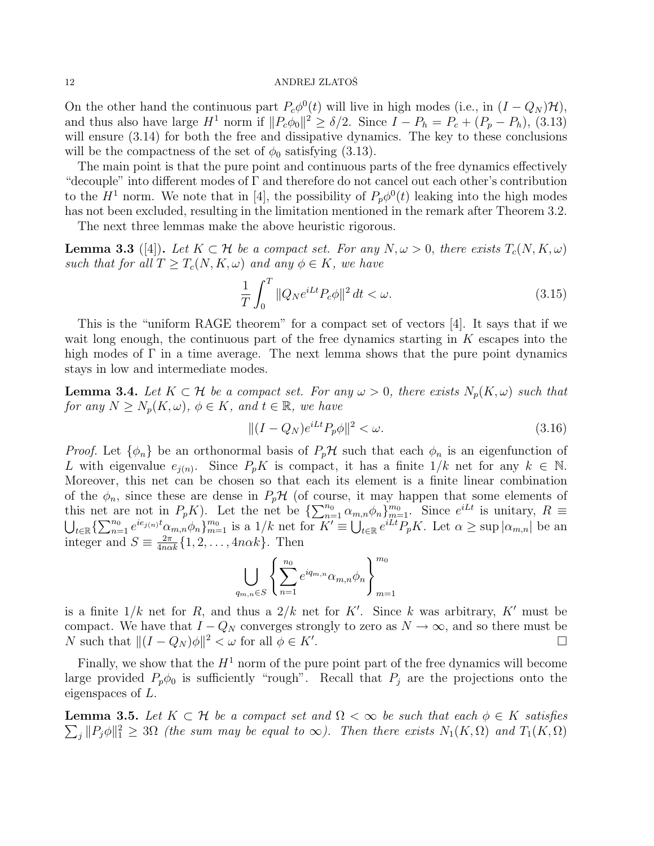On the other hand the continuous part  $P_c\phi^0(t)$  will live in high modes (i.e., in  $(I - Q_N)\mathcal{H}$ ), and thus also have large  $H^1$  norm if  $||P_c\phi_0||^2 \ge \delta/2$ . Since  $I - P_h = P_c + (P_p - P_h)$ , (3.13) will ensure  $(3.14)$  for both the free and dissipative dynamics. The key to these conclusions will be the compactness of the set of  $\phi_0$  satisfying (3.13).

The main point is that the pure point and continuous parts of the free dynamics effectively "decouple" into different modes of Γ and therefore do not cancel out each other's contribution to the  $H^1$  norm. We note that in [4], the possibility of  $P_p\phi^0(t)$  leaking into the high modes has not been excluded, resulting in the limitation mentioned in the remark after Theorem 3.2.

The next three lemmas make the above heuristic rigorous.

**Lemma 3.3** ([4]). Let  $K \subset \mathcal{H}$  be a compact set. For any  $N, \omega > 0$ , there exists  $T_c(N, K, \omega)$ such that for all  $T \geq T_c(N, K, \omega)$  and any  $\phi \in K$ , we have

$$
\frac{1}{T} \int_0^T \|Q_N e^{iLt} P_c \phi\|^2 dt < \omega. \tag{3.15}
$$

This is the "uniform RAGE theorem" for a compact set of vectors [4]. It says that if we wait long enough, the continuous part of the free dynamics starting in  $K$  escapes into the high modes of  $\Gamma$  in a time average. The next lemma shows that the pure point dynamics stays in low and intermediate modes.

**Lemma 3.4.** Let  $K \subset \mathcal{H}$  be a compact set. For any  $\omega > 0$ , there exists  $N_p(K, \omega)$  such that for any  $N \geq N_p(K, \omega)$ ,  $\phi \in K$ , and  $t \in \mathbb{R}$ , we have

$$
\|(I - Q_N)e^{iLt}P_p\phi\|^2 < \omega.
$$
\n(3.16)

*Proof.* Let  $\{\phi_n\}$  be an orthonormal basis of  $P_p\mathcal{H}$  such that each  $\phi_n$  is an eigenfunction of L with eigenvalue  $e_{j(n)}$ . Since  $P_p K$  is compact, it has a finite  $1/k$  net for any  $k \in \mathbb{N}$ . Moreover, this net can be chosen so that each its element is a finite linear combination of the  $\phi_n$ , since these are dense in  $P_p\mathcal{H}$  (of course, it may happen that some elements of this net are not in  $P_pK$ ). Let the net be  $\{\sum_{n=1}^{n_0} \alpha_{m,n} \phi_n\}_{m=1}^{m_0}$ . Since  $e^{iLt}$  is unitary,  $R \equiv$  $\bigcup_{t\in\mathbb{R}}\{\sum_{n=1}^{n_0}e^{ie_{j(n)}t}\alpha_{m,n}\phi_n\}_{m=1}^{m_0}$  is a  $1/k$  net for  $K'\equiv\bigcup_{t\in\mathbb{R}}e^{i\tilde{L}t}\tilde{P}_pK$ . Let  $\alpha\geq\sup|\alpha_{m,n}|$  be an integer and  $S \equiv \frac{2\pi}{4n\alpha k} \{1, 2, \dots, 4n\alpha k\}$ . Then

$$
\bigcup_{q_{m,n}\in S}\left\{\sum_{n=1}^{n_0}e^{iq_{m,n}}\alpha_{m,n}\phi_n\right\}_{m=1}^{m_0}
$$

is a finite  $1/k$  net for R, and thus a  $2/k$  net for K'. Since k was arbitrary, K' must be compact. We have that  $I - Q_N$  converges strongly to zero as  $N \to \infty$ , and so there must be N such that  $||(I - Q_N)\phi||^2 < \omega$  for all  $\phi \in K'$ .

Finally, we show that the  $H^1$  norm of the pure point part of the free dynamics will become large provided  $P_p\phi_0$  is sufficiently "rough". Recall that  $P_j$  are the projections onto the eigenspaces of L.

**Lemma 3.5.** Let  $K \subset \mathcal{H}$  be a compact set and  $\Omega < \infty$  be such that each  $\phi \in K$  satisfies  $\sum_j ||P_j \phi||_1^2 \geq 3\Omega$  (the sum may be equal to  $\infty$ ). Then there exists  $N_1(K, \Omega)$  and  $T_1(K, \Omega)$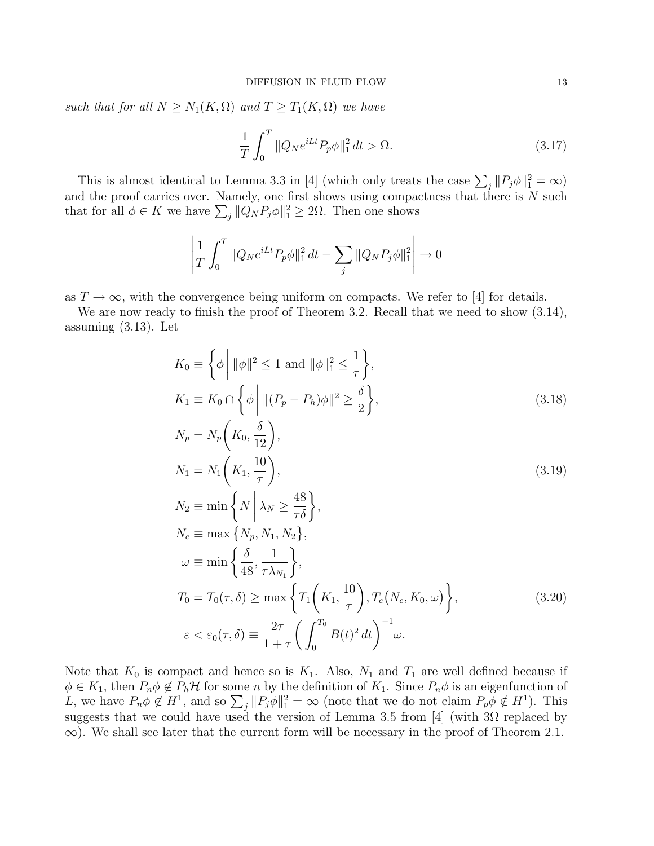such that for all  $N \geq N_1(K, \Omega)$  and  $T \geq T_1(K, \Omega)$  we have

$$
\frac{1}{T} \int_0^T \|Q_N e^{iLt} P_p \phi\|_1^2 dt > \Omega.
$$
\n(3.17)

This is almost identical to Lemma 3.3 in [4] (which only treats the case  $\sum_j ||P_j \phi||_1^2 = \infty$ ) and the proof carries over. Namely, one first shows using compactness that there is  $N$  such that for all  $\phi \in K$  we have  $\sum_j ||Q_N P_j \phi||_1^2 \ge 2\Omega$ . Then one shows

$$
\left| \frac{1}{T} \int_0^T \|Q_N e^{iLt} P_p \phi \|_1^2 dt - \sum_j \|Q_N P_j \phi \|_1^2 \right| \to 0
$$

as  $T \to \infty$ , with the convergence being uniform on compacts. We refer to [4] for details.

We are now ready to finish the proof of Theorem 3.2. Recall that we need to show  $(3.14)$ , assuming (3.13). Let

$$
K_0 \equiv \left\{ \phi \mid ||\phi||^2 \le 1 \text{ and } ||\phi||_1^2 \le \frac{1}{\tau} \right\},\
$$
  

$$
K_1 \equiv K_0 \cap \left\{ \phi \mid ||(P_p - P_h)\phi||^2 \ge \frac{\delta}{2} \right\},\
$$
(3.18)

$$
N_p = N_p \left( K_0, \frac{\delta}{12} \right),
$$
  
\n
$$
N_1 = N_1 \left( K_1, \frac{10}{\tau} \right),
$$
  
\n
$$
N_2 \equiv \min \left\{ N \middle| \lambda_N \ge \frac{48}{\tau \delta} \right\},
$$
  
\n
$$
N_c \equiv \max \left\{ N_p, N_1, N_2 \right\},
$$
  
\n
$$
\omega \equiv \min \left\{ \frac{\delta}{48}, \frac{1}{\tau \lambda_{N_1}} \right\},
$$
  
\n
$$
T_0 = T_0(\tau, \delta) \ge \max \left\{ T_1 \left( K_1, \frac{10}{\tau} \right), T_c(N_c, K_0, \omega) \right\},
$$
  
\n
$$
\varepsilon < \varepsilon_0(\tau, \delta) \equiv \frac{2\tau}{1 + \varepsilon} \left( \int^{T_0} B(t)^2 dt \right)^{-1} \omega.
$$
\n(3.20)

Note that  $K_0$  is compact and hence so is  $K_1$ . Also,  $N_1$  and  $T_1$  are well defined because if  $\phi \in K_1$ , then  $P_n \phi \notin P_h \mathcal{H}$  for some n by the definition of  $K_1$ . Since  $P_n \phi$  is an eigenfunction of L, we have  $P_n \phi \notin H^1$ , and so  $\sum_j ||P_j \phi||_1^2 = \infty$  (note that we do not claim  $P_p \phi \notin H^1$ ). This suggests that we could have used the version of Lemma 3.5 from [4] (with  $3\Omega$  replaced by  $\infty$ ). We shall see later that the current form will be necessary in the proof of Theorem 2.1.

 $\boldsymbol{0}$ 

 $1 + \tau$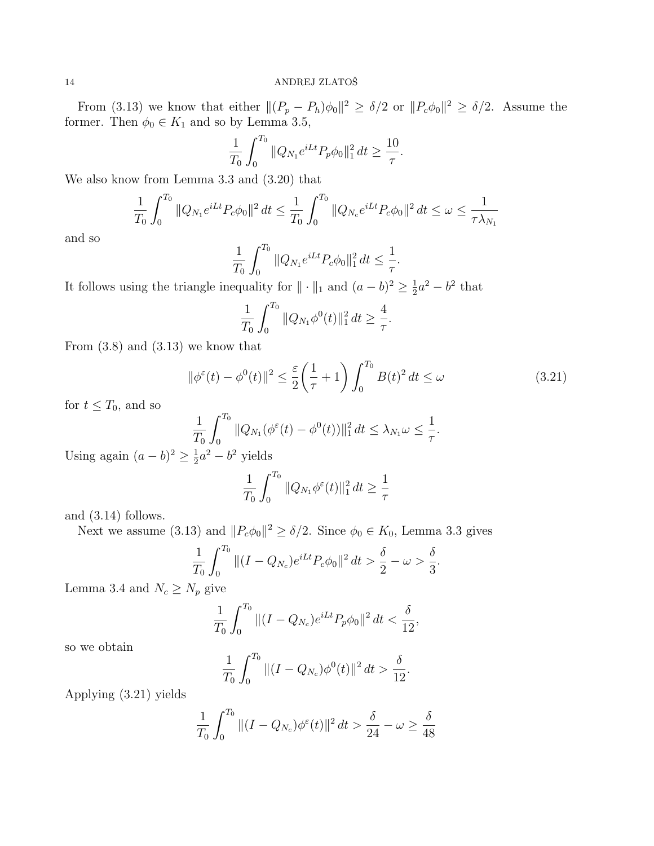From (3.13) we know that either  $||(P_p - P_h)\phi_0||^2 \ge \delta/2$  or  $||P_c\phi_0||^2 \ge \delta/2$ . Assume the former. Then  $\phi_0 \in K_1$  and so by Lemma 3.5,

$$
\frac{1}{T_0} \int_0^{T_0} \|Q_{N_1} e^{iLt} P_p \phi_0\|_1^2 dt \ge \frac{10}{\tau}.
$$

We also know from Lemma 3.3 and (3.20) that

$$
\frac{1}{T_0} \int_0^{T_0} \|Q_{N_1} e^{iLt} P_c \phi_0\|^2 dt \le \frac{1}{T_0} \int_0^{T_0} \|Q_{N_c} e^{iLt} P_c \phi_0\|^2 dt \le \omega \le \frac{1}{\tau \lambda_{N_1}}
$$

and so

$$
\frac{1}{T_0} \int_0^{T_0} \|Q_{N_1} e^{iLt} P_c \phi_0\|_1^2 dt \le \frac{1}{\tau}.
$$

It follows using the triangle inequality for  $\|\cdot\|_1$  and  $(a - b)^2 \geq \frac{1}{2}$  $\frac{1}{2}a^2 - b^2$  that

$$
\frac{1}{T_0} \int_0^{T_0} \|Q_{N_1} \phi^0(t)\|_1^2 dt \ge \frac{4}{\tau}.
$$

From  $(3.8)$  and  $(3.13)$  we know that

$$
\|\phi^{\varepsilon}(t) - \phi^{0}(t)\|^{2} \le \frac{\varepsilon}{2} \left(\frac{1}{\tau} + 1\right) \int_{0}^{T_{0}} B(t)^{2} dt \le \omega \tag{3.21}
$$

for  $t \leq T_0$ , and so

$$
\frac{1}{T_0} \int_0^{T_0} \|Q_{N_1}(\phi^{\varepsilon}(t) - \phi^0(t))\|_1^2 dt \le \lambda_{N_1} \omega \le \frac{1}{\tau}.
$$

Using again  $(a - b)^2 \geq \frac{1}{2}$  $\frac{1}{2}a^2 - b^2$  yields

$$
\frac{1}{T_0} \int_0^{T_0} \|Q_{N_1} \phi^{\varepsilon}(t)\|_1^2 dt \ge \frac{1}{\tau}
$$

and (3.14) follows.

Next we assume (3.13) and  $||P_c\phi_0||^2 \ge \delta/2$ . Since  $\phi_0 \in K_0$ , Lemma 3.3 gives

$$
\frac{1}{T_0} \int_0^{T_0} \| (I - Q_{N_c}) e^{iLt} P_c \phi_0 \|^2 dt > \frac{\delta}{2} - \omega > \frac{\delta}{3}.
$$

Lemma 3.4 and  $N_c \geq N_p$  give

$$
\frac{1}{T_0} \int_0^{T_0} \| (I - Q_{N_c}) e^{iLt} P_p \phi_0 \|^2 dt < \frac{\delta}{12},
$$

so we obtain

$$
\frac{1}{T_0} \int_0^{T_0} ||(I - Q_{N_c})\phi^0(t)||^2 dt > \frac{\delta}{12}.
$$

Applying (3.21) yields

$$
\frac{1}{T_0} \int_0^{T_0} ||(I - Q_{N_c})\phi^{\varepsilon}(t)||^2 dt > \frac{\delta}{24} - \omega \ge \frac{\delta}{48}
$$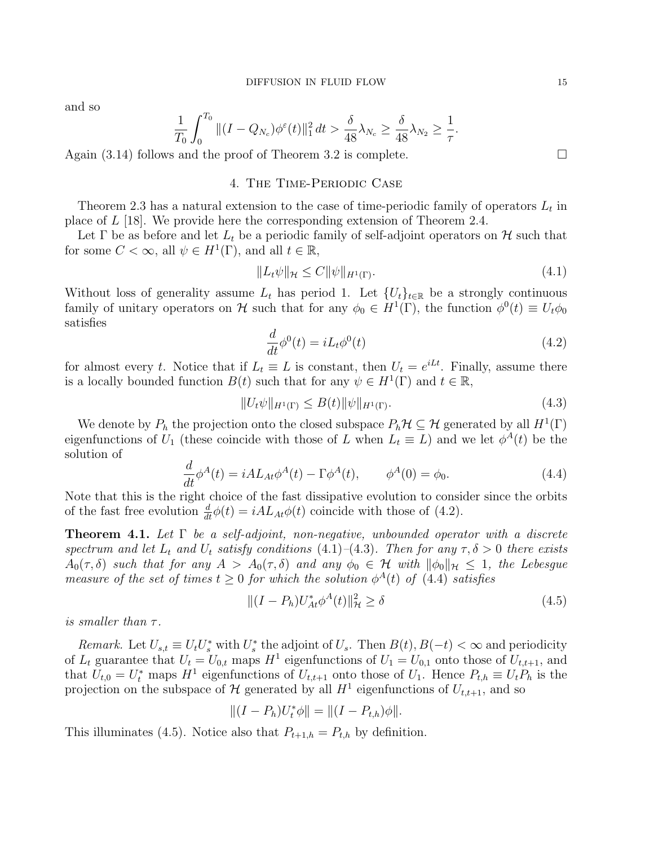and so

$$
\frac{1}{T_0} \int_0^{T_0} \| (I - Q_{N_c}) \phi^{\varepsilon}(t) \|_1^2 dt > \frac{\delta}{48} \lambda_{N_c} \ge \frac{\delta}{48} \lambda_{N_2} \ge \frac{1}{\tau}.
$$

Again  $(3.14)$  follows and the proof of Theorem 3.2 is complete.

# 4. The Time-Periodic Case

Theorem 2.3 has a natural extension to the case of time-periodic family of operators  $L_t$  in place of  $L$  [18]. We provide here the corresponding extension of Theorem 2.4.

Let  $\Gamma$  be as before and let  $L_t$  be a periodic family of self-adjoint operators on  $\mathcal H$  such that for some  $C < \infty$ , all  $\psi \in H^1(\Gamma)$ , and all  $t \in \mathbb{R}$ ,

$$
||L_t \psi||_{\mathcal{H}} \le C ||\psi||_{H^1(\Gamma)}.
$$
\n
$$
(4.1)
$$

Without loss of generality assume  $L_t$  has period 1. Let  $\{U_t\}_{t\in\mathbb{R}}$  be a strongly continuous family of unitary operators on H such that for any  $\phi_0 \in H^1(\Gamma)$ , the function  $\phi^0(t) \equiv U_t \phi_0$ satisfies

$$
\frac{d}{dt}\phi^0(t) = iL_t\phi^0(t)
$$
\n(4.2)

for almost every t. Notice that if  $L_t \equiv L$  is constant, then  $U_t = e^{iLt}$ . Finally, assume there is a locally bounded function  $B(t)$  such that for any  $\psi \in H^1(\Gamma)$  and  $t \in \mathbb{R}$ ,

$$
||U_t \psi||_{H^1(\Gamma)} \le B(t) ||\psi||_{H^1(\Gamma)}.
$$
\n(4.3)

We denote by  $P_h$  the projection onto the closed subspace  $P_h \mathcal{H} \subseteq \mathcal{H}$  generated by all  $H^1(\Gamma)$ eigenfunctions of  $U_1$  (these coincide with those of L when  $L_t \equiv L$ ) and we let  $\phi^A(t)$  be the solution of

$$
\frac{d}{dt}\phi^A(t) = iAL_{At}\phi^A(t) - \Gamma\phi^A(t), \qquad \phi^A(0) = \phi_0.
$$
\n(4.4)

Note that this is the right choice of the fast dissipative evolution to consider since the orbits of the fast free evolution  $\frac{d}{dt}\phi(t) = iAL_{At}\phi(t)$  coincide with those of (4.2).

**Theorem 4.1.** Let  $\Gamma$  be a self-adjoint, non-negative, unbounded operator with a discrete spectrum and let  $L_t$  and  $U_t$  satisfy conditions (4.1)–(4.3). Then for any  $\tau, \delta > 0$  there exists  $A_0(\tau, \delta)$  such that for any  $A > A_0(\tau, \delta)$  and any  $\phi_0 \in \mathcal{H}$  with  $\|\phi_0\|_{\mathcal{H}} \leq 1$ , the Lebesgue measure of the set of times  $t \geq 0$  for which the solution  $\phi^{A}(t)$  of (4.4) satisfies

$$
\|(I - P_h)U_{At}^*\phi^A(t)\|_{\mathcal{H}}^2 \ge \delta \tag{4.5}
$$

is smaller than  $\tau$ .

Remark. Let  $U_{s,t} \equiv U_t U_s^*$  with  $U_s^*$  the adjoint of  $U_s$ . Then  $B(t)$ ,  $B(-t) < \infty$  and periodicity of  $L_t$  guarantee that  $U_t = U_{0,t}$  maps  $H^1$  eigenfunctions of  $U_1 = U_{0,1}$  onto those of  $U_{t,t+1}$ , and that  $U_{t,0} = U_t^*$  maps  $H^1$  eigenfunctions of  $U_{t,t+1}$  onto those of  $U_1$ . Hence  $P_{t,h} \equiv U_t P_h$  is the projection on the subspace of H generated by all  $H^1$  eigenfunctions of  $U_{t,t+1}$ , and so

$$
||(I - P_h)U_t^*\phi|| = ||(I - P_{t,h})\phi||.
$$

This illuminates (4.5). Notice also that  $P_{t+1,h} = P_{t,h}$  by definition.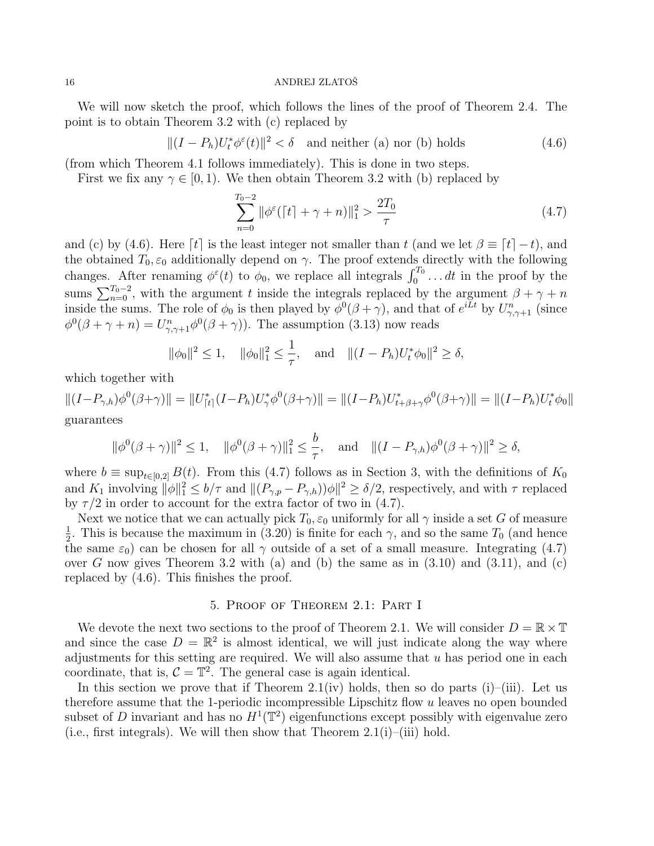We will now sketch the proof, which follows the lines of the proof of Theorem 2.4. The point is to obtain Theorem 3.2 with (c) replaced by

 $||(I - P_h)U_t^*\phi^{\varepsilon}(t)||^2 < \delta$  and neither (a) nor (b) holds (4.6)

(from which Theorem 4.1 follows immediately). This is done in two steps.

First we fix any  $\gamma \in [0, 1)$ . We then obtain Theorem 3.2 with (b) replaced by

$$
\sum_{n=0}^{T_0 - 2} \|\phi^{\varepsilon}(\lceil t \rceil + \gamma + n)\|_{1}^{2} > \frac{2T_0}{\tau} \tag{4.7}
$$

and (c) by (4.6). Here  $\lceil t \rceil$  is the least integer not smaller than t (and we let  $\beta \equiv \lceil t \rceil - t$ ), and the obtained  $T_0$ ,  $\varepsilon_0$  additionally depend on  $\gamma$ . The proof extends directly with the following changes. After renaming  $\phi^{\varepsilon}(t)$  to  $\phi_0$ , we replace all integrals  $\int_0^{T_0} \dots dt$  in the proof by the sums  $\sum_{n=0}^{T_0-2}$ , with the argument t inside the integrals replaced by the argument  $\beta + \gamma + n$ inside the sums. The role of  $\phi_0$  is then played by  $\phi^0(\beta + \gamma)$ , and that of  $e^{iLt}$  by  $U_{\gamma,\gamma+1}^n$  (since  $\phi^0(\beta + \gamma + n) = U_{\gamma,\gamma+1}^n \phi^0(\beta + \gamma)$ . The assumption (3.13) now reads

$$
\|\phi_0\|^2 \le 1
$$
,  $\|\phi_0\|_1^2 \le \frac{1}{\tau}$ , and  $\|(I - P_h)U_t^*\phi_0\|^2 \ge \delta$ ,

which together with

 $||(I-P_{\gamma,h})\phi^0(\beta+\gamma)|| = ||U^*_{[t]}(I-P_h)U^*_{\gamma}\phi^0(\beta+\gamma)|| = ||(I-P_h)U^*_{t+\beta+\gamma}\phi^0(\beta+\gamma)|| = ||(I-P_h)U^*_{t}\phi_0||$ guarantees

$$
\|\phi^0(\beta+\gamma)\|^2\leq 1,\quad \|\phi^0(\beta+\gamma)\|^2_1\leq \frac{b}{\tau},\quad \text{and}\quad \|(I-P_{\gamma,h})\phi^0(\beta+\gamma)\|^2\geq \delta,
$$

where  $b \equiv \sup_{t \in [0,2]} B(t)$ . From this (4.7) follows as in Section 3, with the definitions of  $K_0$ and  $K_1$  involving  $\|\phi\|_1^2 \le b/\tau$  and  $\|(P_{\gamma,p} - P_{\gamma,h})\phi\|^2 \ge \delta/2$ , respectively, and with  $\tau$  replaced by  $\tau/2$  in order to account for the extra factor of two in (4.7).

Next we notice that we can actually pick  $T_0$ ,  $\varepsilon_0$  uniformly for all  $\gamma$  inside a set G of measure 1  $\frac{1}{2}$ . This is because the maximum in (3.20) is finite for each  $\gamma$ , and so the same  $T_0$  (and hence the same  $\varepsilon_0$ ) can be chosen for all  $\gamma$  outside of a set of a small measure. Integrating (4.7) over G now gives Theorem 3.2 with (a) and (b) the same as in  $(3.10)$  and  $(3.11)$ , and  $(c)$ replaced by (4.6). This finishes the proof.

# 5. Proof of Theorem 2.1: Part I

We devote the next two sections to the proof of Theorem 2.1. We will consider  $D = \mathbb{R} \times \mathbb{T}$ and since the case  $D = \mathbb{R}^2$  is almost identical, we will just indicate along the way where adjustments for this setting are required. We will also assume that  $u$  has period one in each coordinate, that is,  $C = \mathbb{T}^2$ . The general case is again identical.

In this section we prove that if Theorem 2.1(iv) holds, then so do parts (i)–(iii). Let us therefore assume that the 1-periodic incompressible Lipschitz flow u leaves no open bounded subset of D invariant and has no  $H^1(\mathbb{T}^2)$  eigenfunctions except possibly with eigenvalue zero (i.e., first integrals). We will then show that Theorem  $2.1(i)$ –(iii) hold.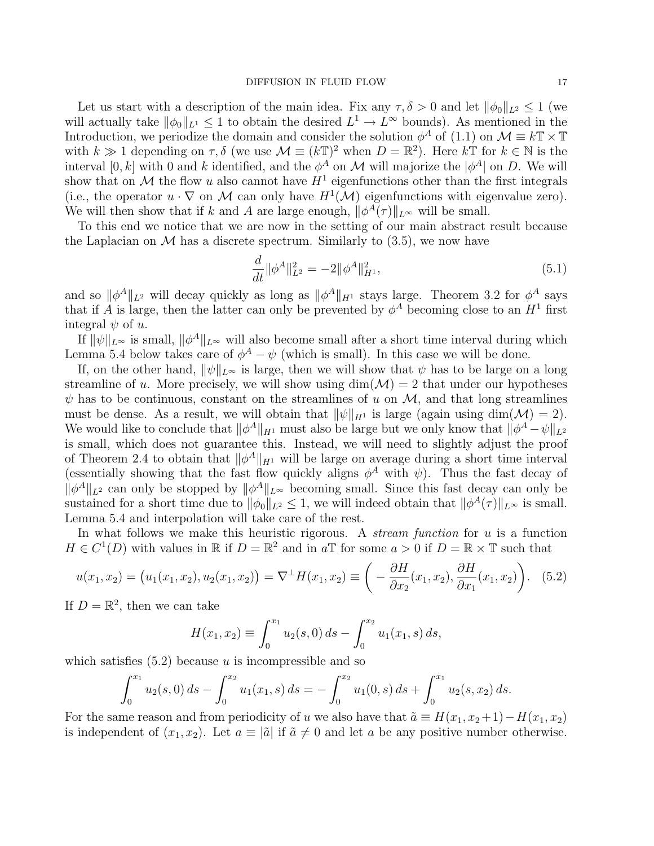Let us start with a description of the main idea. Fix any  $\tau, \delta > 0$  and let  $\|\phi_0\|_{L^2} \leq 1$  (we will actually take  $\|\phi_0\|_{L^1} \leq 1$  to obtain the desired  $L^1 \to L^{\infty}$  bounds). As mentioned in the Introduction, we periodize the domain and consider the solution  $\phi^A$  of (1.1) on  $\mathcal{M} \equiv k \mathbb{T} \times \mathbb{T}$ with  $k \gg 1$  depending on  $\tau, \delta$  (we use  $\mathcal{M} \equiv (k\mathbb{T})^2$  when  $D = \mathbb{R}^2$ ). Here  $k\mathbb{T}$  for  $k \in \mathbb{N}$  is the interval [0, k] with 0 and k identified, and the  $\phi^A$  on M will majorize the  $|\phi^A|$  on D. We will show that on M the flow u also cannot have  $H^1$  eigenfunctions other than the first integrals (i.e., the operator  $u \cdot \nabla$  on M can only have  $H^1(\mathcal{M})$  eigenfunctions with eigenvalue zero). We will then show that if k and A are large enough,  $\|\phi^A(\tau)\|_{L^\infty}$  will be small.

To this end we notice that we are now in the setting of our main abstract result because the Laplacian on  $\mathcal M$  has a discrete spectrum. Similarly to (3.5), we now have

$$
\frac{d}{dt} \|\phi^A\|_{L^2}^2 = -2\|\phi^A\|_{H^1}^2,\tag{5.1}
$$

and so  $\|\phi^A\|_{L^2}$  will decay quickly as long as  $\|\phi^A\|_{H^1}$  stays large. Theorem 3.2 for  $\phi^A$  says that if A is large, then the latter can only be prevented by  $\phi^A$  becoming close to an  $H^1$  first integral  $\psi$  of u.

If  $\|\psi\|_{L^{\infty}}$  is small,  $\|\phi^A\|_{L^{\infty}}$  will also become small after a short time interval during which Lemma 5.4 below takes care of  $\phi^A - \psi$  (which is small). In this case we will be done.

If, on the other hand,  $\|\psi\|_{L^{\infty}}$  is large, then we will show that  $\psi$  has to be large on a long streamline of u. More precisely, we will show using  $\dim(\mathcal{M}) = 2$  that under our hypotheses  $\psi$  has to be continuous, constant on the streamlines of u on  $\mathcal{M}$ , and that long streamlines must be dense. As a result, we will obtain that  $\|\psi\|_{H^1}$  is large (again using dim $(\mathcal{M}) = 2$ ). We would like to conclude that  $\|\phi^A\|_{H^1}$  must also be large but we only know that  $\|\phi^A - \psi\|_{L^2}$ is small, which does not guarantee this. Instead, we will need to slightly adjust the proof of Theorem 2.4 to obtain that  $\|\phi^A\|_{H^1}$  will be large on average during a short time interval (essentially showing that the fast flow quickly aligns  $\phi^A$  with  $\psi$ ). Thus the fast decay of  $\|\phi^A\|_{L^2}$  can only be stopped by  $\|\phi^A\|_{L^{\infty}}$  becoming small. Since this fast decay can only be sustained for a short time due to  $\|\phi_0\|_{L^2} \leq 1$ , we will indeed obtain that  $\|\phi^A(\tau)\|_{L^\infty}$  is small. Lemma 5.4 and interpolation will take care of the rest.

In what follows we make this heuristic rigorous. A *stream function* for  $u$  is a function  $H \in C^1(D)$  with values in  $\mathbb R$  if  $D = \mathbb R^2$  and in aT for some  $a > 0$  if  $D = \mathbb R \times \mathbb T$  such that

$$
u(x_1, x_2) = (u_1(x_1, x_2), u_2(x_1, x_2)) = \nabla^{\perp} H(x_1, x_2) \equiv \left( -\frac{\partial H}{\partial x_2}(x_1, x_2), \frac{\partial H}{\partial x_1}(x_1, x_2) \right). \tag{5.2}
$$

If  $D = \mathbb{R}^2$ , then we can take

$$
H(x_1, x_2) \equiv \int_0^{x_1} u_2(s, 0) \, ds - \int_0^{x_2} u_1(x_1, s) \, ds,
$$

which satisfies  $(5.2)$  because u is incompressible and so

$$
\int_0^{x_1} u_2(s,0) \, ds - \int_0^{x_2} u_1(x_1,s) \, ds = -\int_0^{x_2} u_1(0,s) \, ds + \int_0^{x_1} u_2(s,x_2) \, ds.
$$

For the same reason and from periodicity of u we also have that  $\tilde{a} \equiv H(x_1, x_2+1)-H(x_1, x_2)$ is independent of  $(x_1, x_2)$ . Let  $a \equiv |\tilde{a}|$  if  $\tilde{a} \neq 0$  and let a be any positive number otherwise.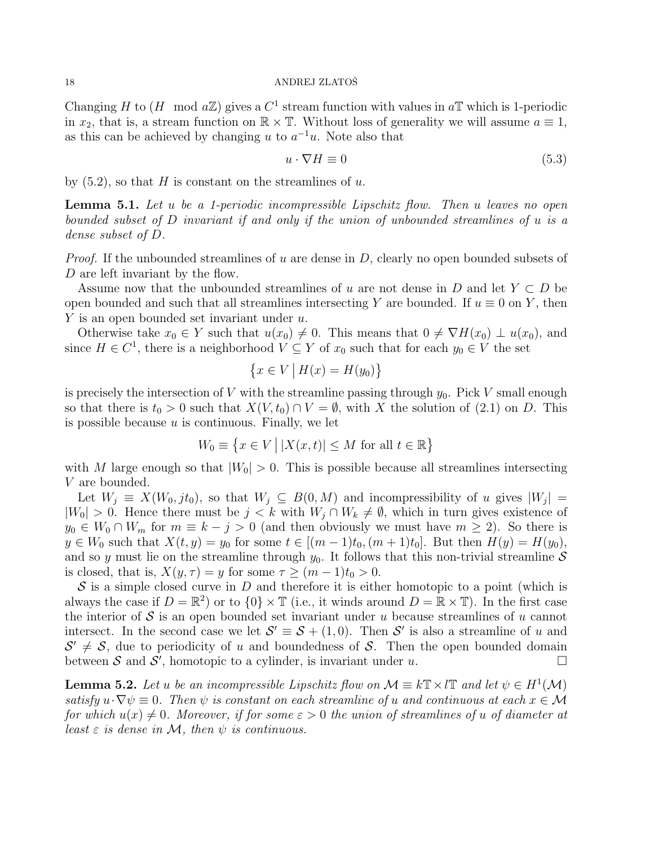Changing H to  $(H \mod a\mathbb{Z})$  gives a  $C^1$  stream function with values in  $a\mathbb{T}$  which is 1-periodic in  $x_2$ , that is, a stream function on  $\mathbb{R} \times \mathbb{T}$ . Without loss of generality we will assume  $a \equiv 1$ , as this can be achieved by changing u to  $a^{-1}u$ . Note also that

$$
u \cdot \nabla H \equiv 0 \tag{5.3}
$$

by  $(5.2)$ , so that H is constant on the streamlines of u.

Lemma 5.1. Let u be a 1-periodic incompressible Lipschitz flow. Then u leaves no open bounded subset of D invariant if and only if the union of unbounded streamlines of u is a dense subset of D.

*Proof.* If the unbounded streamlines of u are dense in  $D$ , clearly no open bounded subsets of D are left invariant by the flow.

Assume now that the unbounded streamlines of u are not dense in D and let  $Y \subset D$  be open bounded and such that all streamlines intersecting Y are bounded. If  $u \equiv 0$  on Y, then Y is an open bounded set invariant under u.

Otherwise take  $x_0 \in Y$  such that  $u(x_0) \neq 0$ . This means that  $0 \neq \nabla H(x_0) \perp u(x_0)$ , and since  $H \in C^1$ , there is a neighborhood  $V \subseteq Y$  of  $x_0$  such that for each  $y_0 \in V$  the set

$$
\left\{x \in V \, \big| \, H(x) = H(y_0) \right\}
$$

is precisely the intersection of V with the streamline passing through  $y_0$ . Pick V small enough so that there is  $t_0 > 0$  such that  $X(V, t_0) \cap V = \emptyset$ , with X the solution of (2.1) on D. This is possible because  $u$  is continuous. Finally, we let

$$
W_0 \equiv \left\{ x \in V \, \big| \, |X(x,t)| \le M \text{ for all } t \in \mathbb{R} \right\}
$$

with M large enough so that  $|W_0| > 0$ . This is possible because all streamlines intersecting V are bounded.

Let  $W_j \equiv X(W_0, j t_0)$ , so that  $W_j \subseteq B(0, M)$  and incompressibility of u gives  $|W_j| =$  $|W_0| > 0$ . Hence there must be  $j < k$  with  $W_j \cap W_k \neq \emptyset$ , which in turn gives existence of  $y_0 \in W_0 \cap W_m$  for  $m \equiv k - j > 0$  (and then obviously we must have  $m \geq 2$ ). So there is  $y \in W_0$  such that  $X(t, y) = y_0$  for some  $t \in [(m-1)t_0, (m+1)t_0]$ . But then  $H(y) = H(y_0)$ , and so y must lie on the streamline through  $y_0$ . It follows that this non-trivial streamline S is closed, that is,  $X(y, \tau) = y$  for some  $\tau \ge (m - 1)t_0 > 0$ .

 $S$  is a simple closed curve in D and therefore it is either homotopic to a point (which is always the case if  $D = \mathbb{R}^2$  or to  $\{0\} \times \mathbb{T}$  (i.e., it winds around  $D = \mathbb{R} \times \mathbb{T}$ ). In the first case the interior of  $S$  is an open bounded set invariant under u because streamlines of u cannot intersect. In the second case we let  $S' \equiv S + (1,0)$ . Then S' is also a streamline of u and  $S' \neq S$ , due to periodicity of u and boundedness of S. Then the open bounded domain between S and  $S'$ , homotopic to a cylinder, is invariant under u.

**Lemma 5.2.** Let u be an incompressible Lipschitz flow on  $\mathcal{M} \equiv k \mathbb{T} \times l \mathbb{T}$  and let  $\psi \in H^1(\mathcal{M})$ satisfy  $u \cdot \nabla \psi \equiv 0$ . Then  $\psi$  is constant on each streamline of u and continuous at each  $x \in \mathcal{M}$ for which  $u(x) \neq 0$ . Moreover, if for some  $\varepsilon > 0$  the union of streamlines of u of diameter at least  $\varepsilon$  is dense in M, then  $\psi$  is continuous.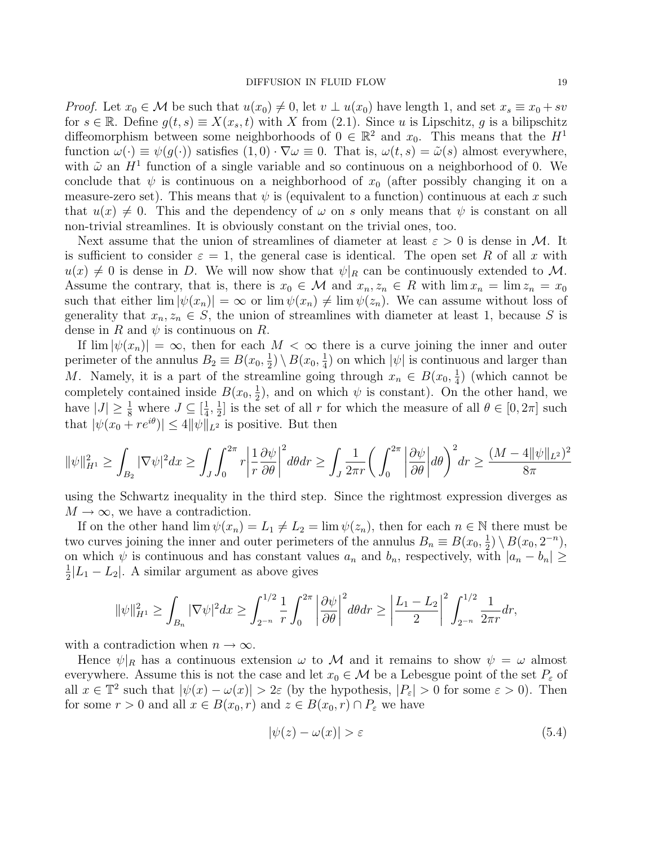*Proof.* Let  $x_0 \in \mathcal{M}$  be such that  $u(x_0) \neq 0$ , let  $v \perp u(x_0)$  have length 1, and set  $x_s \equiv x_0 + sv$ for  $s \in \mathbb{R}$ . Define  $g(t, s) \equiv X(x_s, t)$  with X from (2.1). Since u is Lipschitz, g is a bilipschitz diffeomorphism between some neighborhoods of  $0 \in \mathbb{R}^2$  and  $x_0$ . This means that the  $H<sup>1</sup>$ function  $\omega(\cdot) \equiv \psi(g(\cdot))$  satisfies  $(1,0) \cdot \nabla \omega \equiv 0$ . That is,  $\omega(t,s) = \tilde{\omega}(s)$  almost everywhere, with  $\tilde{\omega}$  an  $H^1$  function of a single variable and so continuous on a neighborhood of 0. We conclude that  $\psi$  is continuous on a neighborhood of  $x_0$  (after possibly changing it on a measure-zero set). This means that  $\psi$  is (equivalent to a function) continuous at each x such that  $u(x) \neq 0$ . This and the dependency of  $\omega$  on s only means that  $\psi$  is constant on all non-trivial streamlines. It is obviously constant on the trivial ones, too.

Next assume that the union of streamlines of diameter at least  $\varepsilon > 0$  is dense in M. It is sufficient to consider  $\varepsilon = 1$ , the general case is identical. The open set R of all x with  $u(x) \neq 0$  is dense in D. We will now show that  $\psi|_R$  can be continuously extended to M. Assume the contrary, that is, there is  $x_0 \in \mathcal{M}$  and  $x_n, z_n \in R$  with  $\lim x_n = \lim z_n = x_0$ such that either  $\lim |\psi(x_n)| = \infty$  or  $\lim \psi(x_n) \neq \lim \psi(z_n)$ . We can assume without loss of generality that  $x_n, z_n \in S$ , the union of streamlines with diameter at least 1, because S is dense in R and  $\psi$  is continuous on R.

If  $\lim |\psi(x_n)| = \infty$ , then for each  $M < \infty$  there is a curve joining the inner and outer perimeter of the annulus  $B_2 \equiv B(x_0, \frac{1}{2})$  $(\frac{1}{2}) \setminus B(x_0, \frac{1}{4})$  $\frac{1}{4}$ ) on which  $|\psi|$  is continuous and larger than M. Namely, it is a part of the streamline going through  $x_n \in B(x_0, \frac{1}{4})$  $(\frac{1}{4})$  (which cannot be completely contained inside  $B(x_0, \frac{1}{2})$  $\frac{1}{2}$ , and on which  $\psi$  is constant). On the other hand, we have  $|J| \geq \frac{1}{8}$  where  $J \subseteq [\frac{1}{4}]$  $\frac{1}{4}, \frac{1}{2}$  $\frac{1}{2}$  is the set of all r for which the measure of all  $\theta \in [0, 2\pi]$  such that  $|\psi(x_0 + re^{i\theta})| \leq 4 ||\psi||_{L^2}$  is positive. But then

$$
\|\psi\|_{H^1}^2 \ge \int_{B_2} |\nabla \psi|^2 dx \ge \int_J \int_0^{2\pi} r \left| \frac{1}{r} \frac{\partial \psi}{\partial \theta} \right|^2 d\theta dr \ge \int_J \frac{1}{2\pi r} \left( \int_0^{2\pi} \left| \frac{\partial \psi}{\partial \theta} \right| d\theta \right)^2 dr \ge \frac{(M - 4\|\psi\|_{L^2})^2}{8\pi}
$$

using the Schwartz inequality in the third step. Since the rightmost expression diverges as  $M \to \infty$ , we have a contradiction.

If on the other hand  $\lim \psi(x_n) = L_1 \neq L_2 = \lim \psi(z_n)$ , then for each  $n \in \mathbb{N}$  there must be two curves joining the inner and outer perimeters of the annulus  $B_n \equiv B(x_0, \frac{1}{2})$  $(\frac{1}{2}) \setminus B(x_0, 2^{-n}),$ on which  $\psi$  is continuous and has constant values  $a_n$  and  $b_n$ , respectively, with  $|a_n - b_n| \ge$ 1  $\frac{1}{2}|L_1 - L_2|$ . A similar argument as above gives

$$
\|\psi\|_{H^1}^2 \ge \int_{B_n} |\nabla \psi|^2 dx \ge \int_{2^{-n}}^{1/2} \frac{1}{r} \int_0^{2\pi} \left|\frac{\partial \psi}{\partial \theta}\right|^2 d\theta dr \ge \left|\frac{L_1 - L_2}{2}\right|^2 \int_{2^{-n}}^{1/2} \frac{1}{2\pi r} dr,
$$

with a contradiction when  $n \to \infty$ .

Hence  $\psi|_R$  has a continuous extension  $\omega$  to M and it remains to show  $\psi = \omega$  almost everywhere. Assume this is not the case and let  $x_0 \in \mathcal{M}$  be a Lebesgue point of the set  $P_\varepsilon$  of all  $x \in \mathbb{T}^2$  such that  $|\psi(x) - \omega(x)| > 2\varepsilon$  (by the hypothesis,  $|P_{\varepsilon}| > 0$  for some  $\varepsilon > 0$ ). Then for some  $r > 0$  and all  $x \in B(x_0, r)$  and  $z \in B(x_0, r) \cap P_{\varepsilon}$  we have

$$
|\psi(z) - \omega(x)| > \varepsilon \tag{5.4}
$$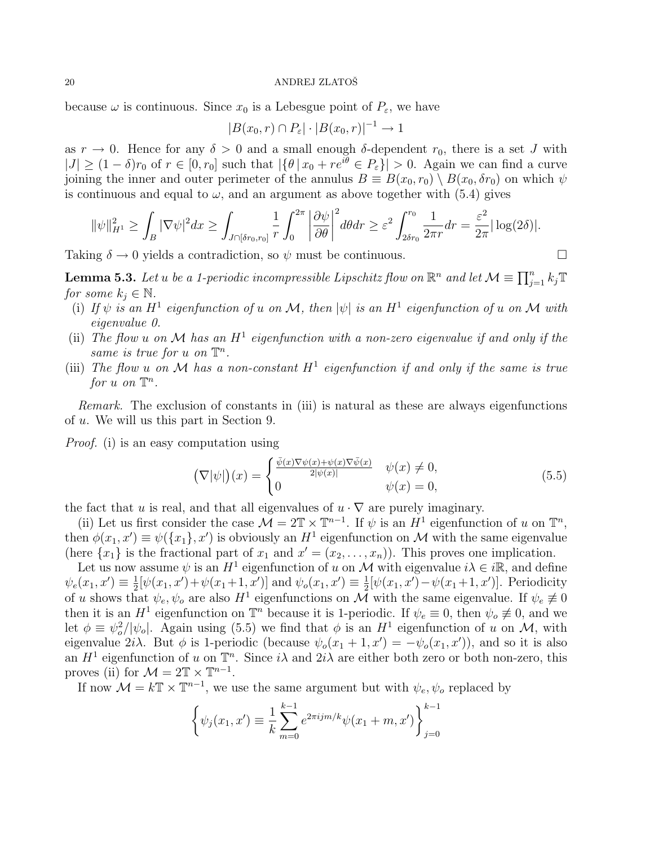because  $\omega$  is continuous. Since  $x_0$  is a Lebesgue point of  $P_{\varepsilon}$ , we have

$$
|B(x_0,r) \cap P_{\varepsilon}| \cdot |B(x_0,r)|^{-1} \to 1
$$

as  $r \to 0$ . Hence for any  $\delta > 0$  and a small enough  $\delta$ -dependent  $r_0$ , there is a set J with  $|J| \geq (1-\delta)r_0$  of  $r \in [0, r_0]$  such that  $|\{\theta | x_0 + re^{i\theta} \in P_{\varepsilon}\}| > 0$ . Again we can find a curve joining the inner and outer perimeter of the annulus  $B \equiv B(x_0, r_0) \setminus B(x_0, \delta r_0)$  on which  $\psi$ is continuous and equal to  $\omega$ , and an argument as above together with (5.4) gives

$$
\|\psi\|_{H^1}^2 \ge \int_B |\nabla \psi|^2 dx \ge \int_{J \cap [\delta r_0, r_0]} \frac{1}{r} \int_0^{2\pi} \left|\frac{\partial \psi}{\partial \theta}\right|^2 d\theta dr \ge \varepsilon^2 \int_{2\delta r_0}^{r_0} \frac{1}{2\pi r} dr = \frac{\varepsilon^2}{2\pi} |\log(2\delta)|.
$$

Taking  $\delta \to 0$  yields a contradiction, so  $\psi$  must be continuous.

**Lemma 5.3.** Let u be a 1-periodic incompressible Lipschitz flow on  $\mathbb{R}^n$  and let  $\mathcal{M} \equiv \prod_{j=1}^n k_j \mathbb{T}$ for some  $k_i \in \mathbb{N}$ .

- (i) If  $\psi$  is an H<sup>1</sup> eigenfunction of u on M, then  $|\psi|$  is an H<sup>1</sup> eigenfunction of u on M with eigenvalue 0.
- (ii) The flow u on M has an  $H^1$  eigenfunction with a non-zero eigenvalue if and only if the same is true for  $u$  on  $\mathbb{T}^n$ .
- (iii) The flow u on M has a non-constant  $H^1$  eigenfunction if and only if the same is true for  $u$  on  $\mathbb{T}^n$ .

Remark. The exclusion of constants in (iii) is natural as these are always eigenfunctions of u. We will us this part in Section 9.

Proof. (i) is an easy computation using

$$
\left(\nabla|\psi|\right)(x) = \begin{cases} \frac{\bar{\psi}(x)\nabla\psi(x) + \psi(x)\nabla\bar{\psi}(x)}{2|\psi(x)|} & \psi(x) \neq 0, \\ 0 & \psi(x) = 0, \end{cases} \tag{5.5}
$$

the fact that u is real, and that all eigenvalues of  $u \cdot \nabla$  are purely imaginary.

(ii) Let us first consider the case  $\mathcal{M} = 2\mathbb{T} \times \mathbb{T}^{n-1}$ . If  $\psi$  is an  $H^1$  eigenfunction of u on  $\mathbb{T}^n$ , then  $\phi(x_1, x') \equiv \psi(\lbrace x_1 \rbrace, x')$  is obviously an  $H^1$  eigenfunction on M with the same eigenvalue (here  $\{x_1\}$  is the fractional part of  $x_1$  and  $x' = (x_2, \ldots, x_n)$ ). This proves one implication.

Let us now assume  $\psi$  is an  $H^1$  eigenfunction of u on M with eigenvalue  $i\lambda \in i\mathbb{R}$ , and define  $\psi_e(x_1, x') \equiv \frac{1}{2}$  $\frac{1}{2}[\psi(x_1, x') + \psi(x_1 + 1, x')]$  and  $\psi_o(x_1, x') \equiv \frac{1}{2}$  $\frac{1}{2}[\psi(x_1, x') - \psi(x_1 + 1, x')]$ . Periodicity of u shows that  $\psi_e, \psi_o$  are also  $H^1$  eigenfunctions on M with the same eigenvalue. If  $\psi_e \neq 0$ then it is an  $H^1$  eigenfunction on  $\mathbb{T}^n$  because it is 1-periodic. If  $\psi_e \equiv 0$ , then  $\psi_o \not\equiv 0$ , and we let  $\phi \equiv \psi_o^2/|\psi_o|$ . Again using (5.5) we find that  $\phi$  is an  $H^1$  eigenfunction of u on M, with eigenvalue  $2i\lambda$ . But  $\phi$  is 1-periodic (because  $\psi_o(x_1 + 1, x') = -\psi_o(x_1, x')$ ), and so it is also an  $H^1$  eigenfunction of u on  $\mathbb{T}^n$ . Since  $i\lambda$  and  $2i\lambda$  are either both zero or both non-zero, this proves (ii) for  $\mathcal{M} = 2\mathbb{T} \times \mathbb{T}^{n-1}$ .

If now  $\mathcal{M} = k\mathbb{T} \times \mathbb{T}^{n-1}$ , we use the same argument but with  $\psi_e, \psi_o$  replaced by

$$
\left\{\psi_j(x_1, x') \equiv \frac{1}{k} \sum_{m=0}^{k-1} e^{2\pi i j m/k} \psi(x_1 + m, x')\right\}_{j=0}^{k-1}
$$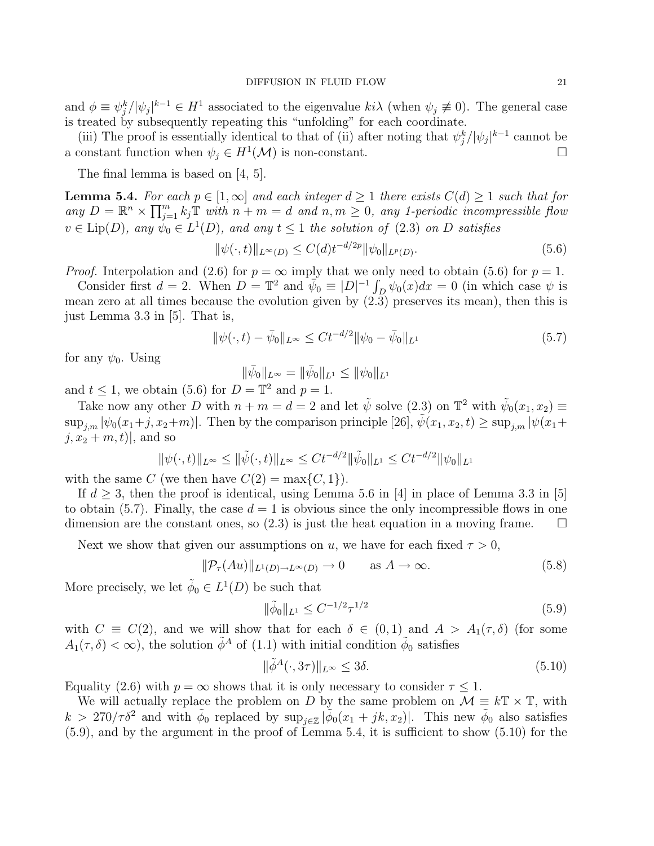and  $\phi \equiv \psi_j^k / |\psi_j|^{k-1} \in H^1$  associated to the eigenvalue  $k i \lambda$  (when  $\psi_j \not\equiv 0$ ). The general case is treated by subsequently repeating this "unfolding" for each coordinate.

(iii) The proof is essentially identical to that of (ii) after noting that  $\psi_j^k/|\psi_j|^{k-1}$  cannot be a constant function when  $\psi_j \in H^1(\mathcal{M})$  is non-constant.

The final lemma is based on [4, 5].

**Lemma 5.4.** For each  $p \in [1,\infty]$  and each integer  $d \geq 1$  there exists  $C(d) \geq 1$  such that for any  $D = \mathbb{R}^n \times \prod_{j=1}^m k_j \mathbb{T}$  with  $n + m = d$  and  $n, m \geq 0$ , any 1-periodic incompressible flow  $v \in \text{Lip}(D)$ , any  $\psi_0 \in L^1(D)$ , and any  $t \leq 1$  the solution of (2.3) on D satisfies

$$
\|\psi(\cdot,t)\|_{L^{\infty}(D)} \le C(d)t^{-d/2p} \|\psi_0\|_{L^p(D)}.
$$
\n(5.6)

*Proof.* Interpolation and (2.6) for  $p = \infty$  imply that we only need to obtain (5.6) for  $p = 1$ .

Consider first  $d = 2$ . When  $D = \mathbb{T}^2$  and  $\psi_0 \equiv |D|^{-1} \int_D \psi_0(x) dx = 0$  (in which case  $\psi$  is mean zero at all times because the evolution given by  $(2.\bar{3})$  preserves its mean), then this is just Lemma 3.3 in [5]. That is,

$$
\|\psi(\cdot,t) - \bar{\psi}_0\|_{L^\infty} \le Ct^{-d/2} \|\psi_0 - \bar{\psi}_0\|_{L^1}
$$
\n(5.7)

for any  $\psi_0$ . Using

$$
\|\bar{\psi}_0\|_{L^\infty} = \|\bar{\psi}_0\|_{L^1} \le \|\psi_0\|_{L^1}
$$

and  $t \leq 1$ , we obtain (5.6) for  $D = \mathbb{T}^2$  and  $p = 1$ .

Take now any other D with  $n+m=d=2$  and let  $\tilde{\psi}$  solve (2.3) on  $\mathbb{T}^2$  with  $\tilde{\psi}_0(x_1, x_2) \equiv$  $\sup_{i,m} |\psi_0(x_1+j, x_2+m)|$ . Then by the comparison principle [26],  $\tilde{\psi}(x_1, x_2, t) \geq \sup_{i,m} |\psi(x_1 + t)|$  $j, x_2 + m, t$ , and so

$$
\|\psi(\cdot,t)\|_{L^{\infty}} \le \|\tilde{\psi}(\cdot,t)\|_{L^{\infty}} \le Ct^{-d/2} \|\tilde{\psi}_0\|_{L^1} \le Ct^{-d/2} \|\psi_0\|_{L^1}
$$

with the same C (we then have  $C(2) = \max\{C, 1\}$ ).

If  $d > 3$ , then the proof is identical, using Lemma 5.6 in [4] in place of Lemma 3.3 in [5] to obtain (5.7). Finally, the case  $d = 1$  is obvious since the only incompressible flows in one dimension are the constant ones, so  $(2.3)$  is just the heat equation in a moving frame.  $\Box$ 

Next we show that given our assumptions on u, we have for each fixed  $\tau > 0$ ,

$$
\|\mathcal{P}_{\tau}(Au)\|_{L^{1}(D)\to L^{\infty}(D)} \to 0 \quad \text{as } A \to \infty.
$$
 (5.8)

More precisely, we let  $\tilde{\phi}_0 \in L^1(D)$  be such that

$$
\|\tilde{\phi}_0\|_{L^1} \le C^{-1/2} \tau^{1/2} \tag{5.9}
$$

with  $C \equiv C(2)$ , and we will show that for each  $\delta \in (0,1)$  and  $A > A_1(\tau, \delta)$  (for some  $A_1(\tau,\delta) < \infty$ , the solution  $\tilde{\phi}^A$  of (1.1) with initial condition  $\tilde{\phi}_0$  satisfies

$$
\|\tilde{\phi}^A(\cdot,3\tau)\|_{L^\infty} \le 3\delta. \tag{5.10}
$$

Equality (2.6) with  $p = \infty$  shows that it is only necessary to consider  $\tau \leq 1$ .

We will actually replace the problem on D by the same problem on  $\mathcal{M} \equiv k \mathbb{T} \times \mathbb{T}$ , with  $k > 270/\tau \delta^2$  and with  $\tilde{\phi}_0$  replaced by  $\sup_{j\in\mathbb{Z}}|\tilde{\phi}_0(x_1+jk,x_2)|$ . This new  $\tilde{\phi}_0$  also satisfies (5.9), and by the argument in the proof of Lemma 5.4, it is sufficient to show (5.10) for the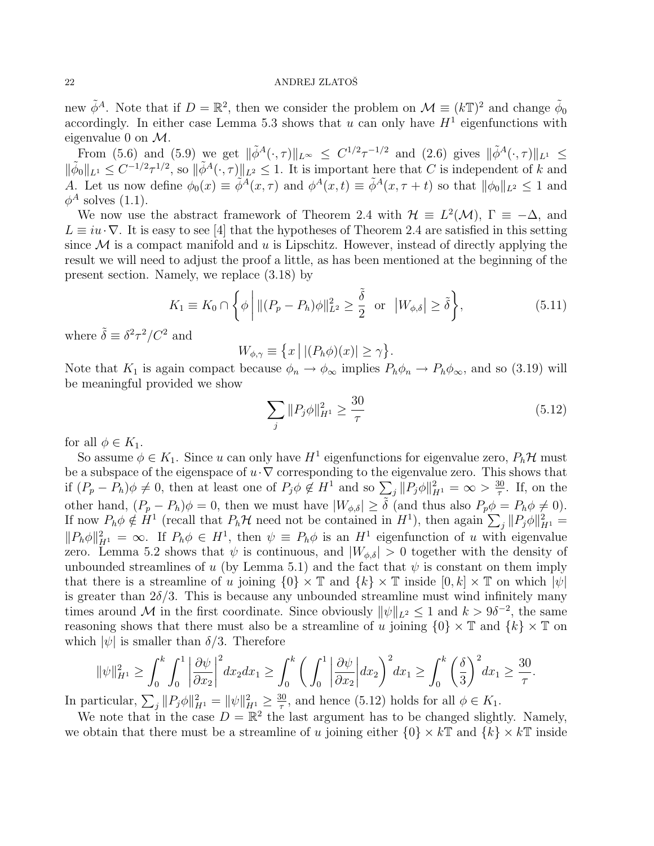new  $\tilde{\phi}^A$ . Note that if  $D = \mathbb{R}^2$ , then we consider the problem on  $\mathcal{M} \equiv (k\mathbb{T})^2$  and change  $\tilde{\phi}_0$ accordingly. In either case Lemma 5.3 shows that u can only have  $H<sup>1</sup>$  eigenfunctions with eigenvalue 0 on  $\mathcal{M}$ .

From (5.6) and (5.9) we get  $\|\tilde{\phi}^A(\cdot,\tau)\|_{L^\infty} \leq C^{1/2}\tau^{-1/2}$  and (2.6) gives  $\|\tilde{\phi}^A(\cdot,\tau)\|_{L^1} \leq$  $\|\tilde{\phi}_0\|_{L^1} \leq C^{-1/2} \tau^{1/2}$ , so  $\|\tilde{\phi}^A(\cdot,\tau)\|_{L^2} \leq 1$ . It is important here that C is independent of k and A. Let us now define  $\phi_0(x) \equiv \tilde{\phi}^A(x, \tau)$  and  $\phi^A(x, t) \equiv \tilde{\phi}^A(x, \tau + t)$  so that  $\|\phi_0\|_{L^2} \leq 1$  and  $\phi^A$  solves  $(1.1)$ .

We now use the abstract framework of Theorem 2.4 with  $\mathcal{H} \equiv L^2(\mathcal{M})$ ,  $\Gamma \equiv -\Delta$ , and  $L \equiv iu \cdot \nabla$ . It is easy to see [4] that the hypotheses of Theorem 2.4 are satisfied in this setting since  $\mathcal M$  is a compact manifold and u is Lipschitz. However, instead of directly applying the result we will need to adjust the proof a little, as has been mentioned at the beginning of the present section. Namely, we replace (3.18) by

$$
K_1 \equiv K_0 \cap \left\{ \phi \, \middle| \, \|(P_p - P_h)\phi\|_{L^2}^2 \ge \frac{\tilde{\delta}}{2} \text{ or } \left|W_{\phi,\delta}\right| \ge \tilde{\delta} \right\},\tag{5.11}
$$

where  $\tilde{\delta} \equiv \delta^2 \tau^2 / C^2$  and

$$
W_{\phi,\gamma} \equiv \{x \mid |(P_h \phi)(x)| \ge \gamma\}.
$$

Note that  $K_1$  is again compact because  $\phi_n \to \phi_\infty$  implies  $P_h \phi_n \to P_h \phi_\infty$ , and so (3.19) will be meaningful provided we show

$$
\sum_{j} \|P_j \phi\|_{H^1}^2 \ge \frac{30}{\tau} \tag{5.12}
$$

for all  $\phi \in K_1$ .

So assume  $\phi \in K_1$ . Since u can only have  $H^1$  eigenfunctions for eigenvalue zero,  $P_h \mathcal{H}$  must be a subspace of the eigenspace of  $u \cdot \nabla$  corresponding to the eigenvalue zero. This shows that if  $(P_p - P_h)\phi \neq 0$ , then at least one of  $P_j \phi \notin H^1$  and so  $\sum_j ||P_j \phi||_{H^1}^2 = \infty > \frac{30}{7}$  $\frac{30}{\tau}$ . If, on the other hand,  $(P_p - P_h)\phi = 0$ , then we must have  $|W_{\phi,\delta}| \geq \tilde{\delta}$  (and thus also  $P_p\phi = P_h\phi \neq 0$ ). If now  $P_h \phi \notin H^1$  (recall that  $P_h \mathcal{H}$  need not be contained in  $H^1$ ), then again  $\sum_j \|P_j \phi\|_{H^1}^2 =$  $||P_h\phi||_{H^1}^2 = \infty$ . If  $P_h\phi \in H^1$ , then  $\psi \equiv P_h\phi$  is an  $H^1$  eigenfunction of u with eigenvalue zero. Lemma 5.2 shows that  $\psi$  is continuous, and  $|W_{\phi,\delta}| > 0$  together with the density of unbounded streamlines of u (by Lemma 5.1) and the fact that  $\psi$  is constant on them imply that there is a streamline of u joining  $\{0\} \times \mathbb{T}$  and  $\{k\} \times \mathbb{T}$  inside  $[0, k] \times \mathbb{T}$  on which  $|\psi|$ is greater than  $2\delta/3$ . This is because any unbounded streamline must wind infinitely many times around M in the first coordinate. Since obviously  $\|\psi\|_{L^2} \leq 1$  and  $k > 9\delta^{-2}$ , the same reasoning shows that there must also be a streamline of u joining  $\{0\} \times \mathbb{T}$  and  $\{k\} \times \mathbb{T}$  on which  $|\psi|$  is smaller than  $\delta/3$ . Therefore

$$
\|\psi\|_{H^1}^2 \ge \int_0^k \int_0^1 \left|\frac{\partial \psi}{\partial x_2}\right|^2 dx_2 dx_1 \ge \int_0^k \left(\int_0^1 \left|\frac{\partial \psi}{\partial x_2}\right|^2 dx_2\right)^2 dx_1 \ge \int_0^k \left(\frac{\delta}{3}\right)^2 dx_1 \ge \frac{30}{\tau}.
$$

In particular,  $\sum_{j} ||P_j \phi||_{H^1}^2 = ||\psi||_{H^1}^2 \ge \frac{30}{\tau}$  $\frac{30}{\tau}$ , and hence (5.12) holds for all  $\phi \in K_1$ .

We note that in the case  $D = \mathbb{R}^2$  the last argument has to be changed slightly. Namely, we obtain that there must be a streamline of u joining either  $\{0\} \times k\mathbb{T}$  and  $\{k\} \times k\mathbb{T}$  inside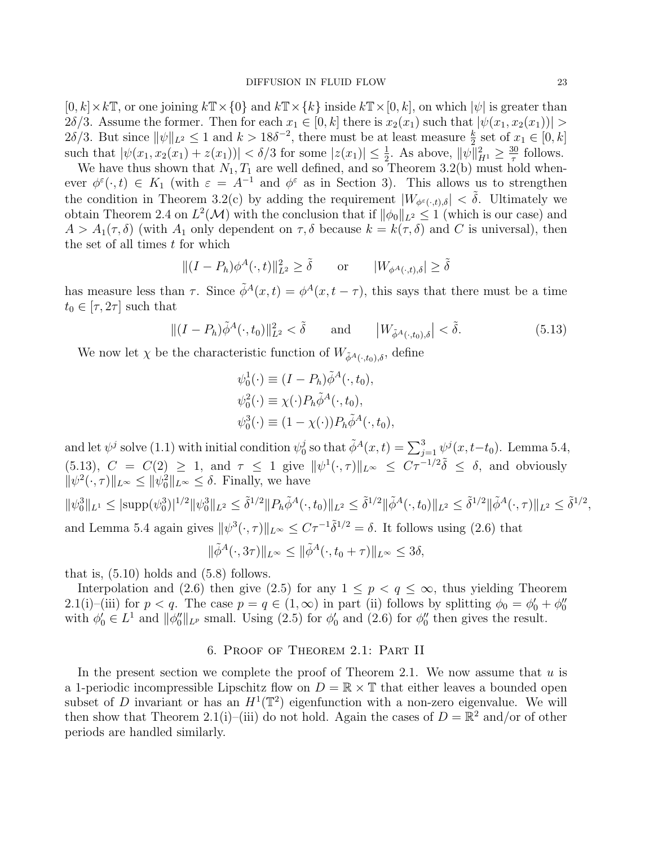$[0, k] \times k \mathbb{T}$ , or one joining  $k \mathbb{T} \times \{0\}$  and  $k \mathbb{T} \times \{k\}$  inside  $k \mathbb{T} \times [0, k]$ , on which  $|\psi|$  is greater than 2δ/3. Assume the former. Then for each  $x_1 \in [0, k]$  there is  $x_2(x_1)$  such that  $|\psi(x_1, x_2(x_1))|$ 2δ/3. But since  $\|\psi\|_{L^2} \leq 1$  and  $k > 18\delta^{-2}$ , there must be at least measure  $\frac{k}{2}$  set of  $x_1 \in [0, k]$ such that  $|\psi(x_1, x_2(x_1) + z(x_1))| < \delta/3$  for some  $|z(x_1)| \leq \frac{1}{2}$ . As above,  $||\psi||_{H^1}^2 \geq \frac{30}{\tau}$  $rac{30}{\tau}$  follows.

We have thus shown that  $N_1, T_1$  are well defined, and so Theorem 3.2(b) must hold whenever  $\phi^{\varepsilon}(\cdot,t) \in K_1$  (with  $\varepsilon = A^{-1}$  and  $\phi^{\varepsilon}$  as in Section 3). This allows us to strengthen the condition in Theorem 3.2(c) by adding the requirement  $|W_{\phi^{\varepsilon}(\cdot,t),\delta}| < \tilde{\delta}$ . Ultimately we obtain Theorem 2.4 on  $L^2(\mathcal{M})$  with the conclusion that if  $\|\phi_0\|_{L^2} \leq 1$  (which is our case) and  $A > A_1(\tau, \delta)$  (with  $A_1$  only dependent on  $\tau, \delta$  because  $k = k(\tau, \delta)$  and C is universal), then the set of all times  $t$  for which

$$
\|(I - P_h)\phi^A(\cdot, t)\|_{L^2}^2 \ge \tilde{\delta} \qquad \text{or} \qquad |W_{\phi^A(\cdot, t), \delta}| \ge \tilde{\delta}
$$

has measure less than  $\tau$ . Since  $\tilde{\phi}^{A}(x,t) = \phi^{A}(x,t-\tau)$ , this says that there must be a time  $t_0 \in [\tau, 2\tau]$  such that

$$
\|(I - P_h)\tilde{\phi}^A(\cdot, t_0)\|_{L^2}^2 < \tilde{\delta} \qquad \text{and} \qquad \left|W_{\tilde{\phi}^A(\cdot, t_0), \delta}\right| < \tilde{\delta}.\tag{5.13}
$$

We now let  $\chi$  be the characteristic function of  $W_{\tilde{\phi}^{A}(\cdot,t_0),\delta}$ , define

$$
\psi_0^1(\cdot) \equiv (I - P_h) \tilde{\phi}^A(\cdot, t_0),
$$
  
\n
$$
\psi_0^2(\cdot) \equiv \chi(\cdot) P_h \tilde{\phi}^A(\cdot, t_0),
$$
  
\n
$$
\psi_0^3(\cdot) \equiv (1 - \chi(\cdot)) P_h \tilde{\phi}^A(\cdot, t_0),
$$

and let  $\psi^j$  solve (1.1) with initial condition  $\psi^j_0$  $\tilde{\phi}^j$  so that  $\tilde{\phi}^A(x,t) = \sum_{j=1}^3 \psi^j(x,t-t_0)$ . Lemma 5.4, (5.13),  $C = C(2) \geq 1$ , and  $\tau \leq 1$  give  $\|\psi^1(\cdot, \tau)\|_{L^{\infty}} \leq C\tau^{-1/2}\tilde{\delta} \leq \delta$ , and obviously  $\|\psi^2(\cdot,\tau)\|_{L^\infty} \le \|\psi_0^2\|_{L^\infty} \le \delta$ . Finally, we have

$$
\|\psi_0^3\|_{L^1} \leq |\text{supp}(\psi_0^3)|^{1/2} \|\psi_0^3\|_{L^2} \leq \tilde{\delta}^{1/2} \|P_h \tilde{\phi}^A(\cdot, t_0)\|_{L^2} \leq \tilde{\delta}^{1/2} \|\tilde{\phi}^A(\cdot, t_0)\|_{L^2} \leq \tilde{\delta}^{1/2} \|\tilde{\phi}^A(\cdot, \tau)\|_{L^2} \leq \tilde{\delta}^{1/2},
$$

and Lemma 5.4 again gives  $\|\psi^3(\cdot,\tau)\|_{L^\infty} \leq C\tau^{-1}\tilde{\delta}^{1/2} = \delta$ . It follows using (2.6) that

$$
\|\tilde{\phi}^A(\cdot,3\tau)\|_{L^\infty} \le \|\tilde{\phi}^A(\cdot,t_0+\tau)\|_{L^\infty} \le 3\delta,
$$

that is,  $(5.10)$  holds and  $(5.8)$  follows.

Interpolation and (2.6) then give (2.5) for any  $1 \leq p < q \leq \infty$ , thus yielding Theorem 2.1(i)–(iii) for  $p < q$ . The case  $p = q \in (1, \infty)$  in part (ii) follows by splitting  $\phi_0 = \phi'_0 + \phi''_0$  with  $\phi'_0 \in L^1$  and  $||\phi''_0||_{L^p}$  small. Using (2.5) for  $\phi'_0$  and (2.6) for  $\phi''_0$  then gives the result.

# 6. Proof of Theorem 2.1: Part II

In the present section we complete the proof of Theorem 2.1. We now assume that  $u$  is a 1-periodic incompressible Lipschitz flow on  $D = \mathbb{R} \times \mathbb{T}$  that either leaves a bounded open subset of D invariant or has an  $H^1(\mathbb{T}^2)$  eigenfunction with a non-zero eigenvalue. We will then show that Theorem 2.1(i)–(iii) do not hold. Again the cases of  $D = \mathbb{R}^2$  and/or of other periods are handled similarly.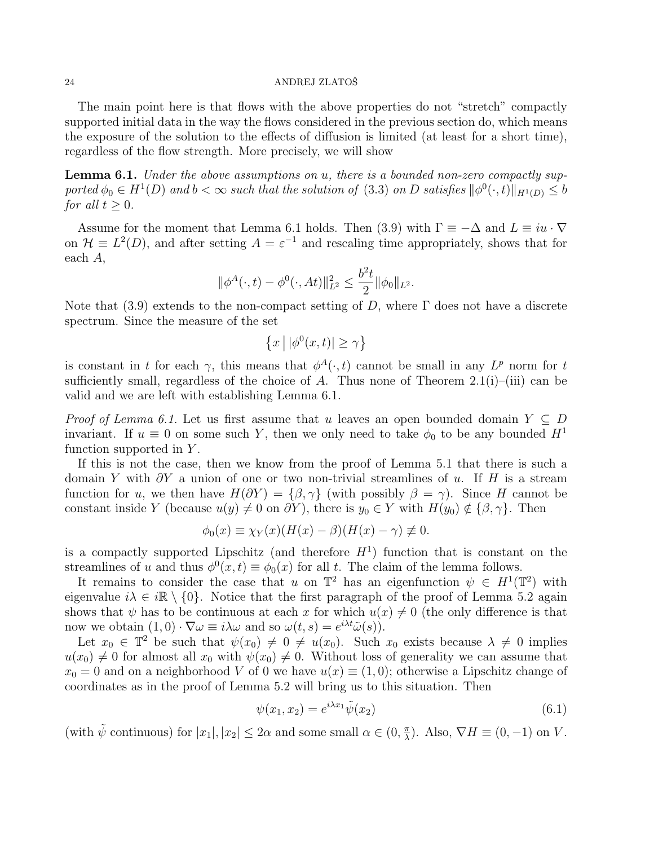The main point here is that flows with the above properties do not "stretch" compactly supported initial data in the way the flows considered in the previous section do, which means the exposure of the solution to the effects of diffusion is limited (at least for a short time), regardless of the flow strength. More precisely, we will show

**Lemma 6.1.** Under the above assumptions on u, there is a bounded non-zero compactly supported  $\phi_0 \in H^1(D)$  and  $b < \infty$  such that the solution of (3.3) on D satisfies  $\|\phi^0(\cdot,t)\|_{H^1(D)} \leq b$ for all  $t \geq 0$ .

Assume for the moment that Lemma 6.1 holds. Then (3.9) with  $\Gamma \equiv -\Delta$  and  $L \equiv iu \cdot \nabla$ on  $\mathcal{H} \equiv L^2(D)$ , and after setting  $A = \varepsilon^{-1}$  and rescaling time appropriately, shows that for each A,

$$
\|\phi^A(\cdot,t) - \phi^0(\cdot, At)\|_{L^2}^2 \le \frac{b^2t}{2} \|\phi_0\|_{L^2}.
$$

Note that (3.9) extends to the non-compact setting of D, where  $\Gamma$  does not have a discrete spectrum. Since the measure of the set

$$
\left\{x \mid |\phi^0(x,t)| \ge \gamma \right\}
$$

is constant in t for each  $\gamma$ , this means that  $\phi^A(\cdot, t)$  cannot be small in any  $L^p$  norm for t sufficiently small, regardless of the choice of A. Thus none of Theorem  $2.1(i)$ –(iii) can be valid and we are left with establishing Lemma 6.1.

*Proof of Lemma 6.1.* Let us first assume that u leaves an open bounded domain  $Y \subseteq D$ invariant. If  $u \equiv 0$  on some such Y, then we only need to take  $\phi_0$  to be any bounded  $H^1$ function supported in  $Y$ .

If this is not the case, then we know from the proof of Lemma 5.1 that there is such a domain Y with  $\partial Y$  a union of one or two non-trivial streamlines of u. If H is a stream function for u, we then have  $H(\partial Y) = \{\beta, \gamma\}$  (with possibly  $\beta = \gamma$ ). Since H cannot be constant inside Y (because  $u(y) \neq 0$  on  $\partial Y$ ), there is  $y_0 \in Y$  with  $H(y_0) \notin {\beta, \gamma}$ . Then

$$
\phi_0(x) \equiv \chi_Y(x)(H(x) - \beta)(H(x) - \gamma) \not\equiv 0.
$$

is a compactly supported Lipschitz (and therefore  $H<sup>1</sup>$ ) function that is constant on the streamlines of u and thus  $\phi^0(x,t) \equiv \phi_0(x)$  for all t. The claim of the lemma follows.

It remains to consider the case that u on  $\mathbb{T}^2$  has an eigenfunction  $\psi \in H^1(\mathbb{T}^2)$  with eigenvalue  $i\lambda \in i\mathbb{R} \setminus \{0\}$ . Notice that the first paragraph of the proof of Lemma 5.2 again shows that  $\psi$  has to be continuous at each x for which  $u(x) \neq 0$  (the only difference is that now we obtain  $(1,0) \cdot \nabla \omega \equiv i \lambda \omega$  and so  $\omega(t,s) = e^{i\lambda t} \tilde{\omega}(s)$ .

Let  $x_0 \in \mathbb{T}^2$  be such that  $\psi(x_0) \neq 0 \neq u(x_0)$ . Such  $x_0$  exists because  $\lambda \neq 0$  implies  $u(x_0) \neq 0$  for almost all  $x_0$  with  $\psi(x_0) \neq 0$ . Without loss of generality we can assume that  $x_0 = 0$  and on a neighborhood V of 0 we have  $u(x) \equiv (1, 0)$ ; otherwise a Lipschitz change of coordinates as in the proof of Lemma 5.2 will bring us to this situation. Then

$$
\psi(x_1, x_2) = e^{i\lambda x_1} \tilde{\psi}(x_2)
$$
\n(6.1)

(with  $\tilde{\psi}$  continuous) for  $|x_1|, |x_2| \leq 2\alpha$  and some small  $\alpha \in (0, \frac{\pi}{\lambda})$  $\frac{\pi}{\lambda}$ ). Also,  $\nabla H \equiv (0, -1)$  on V.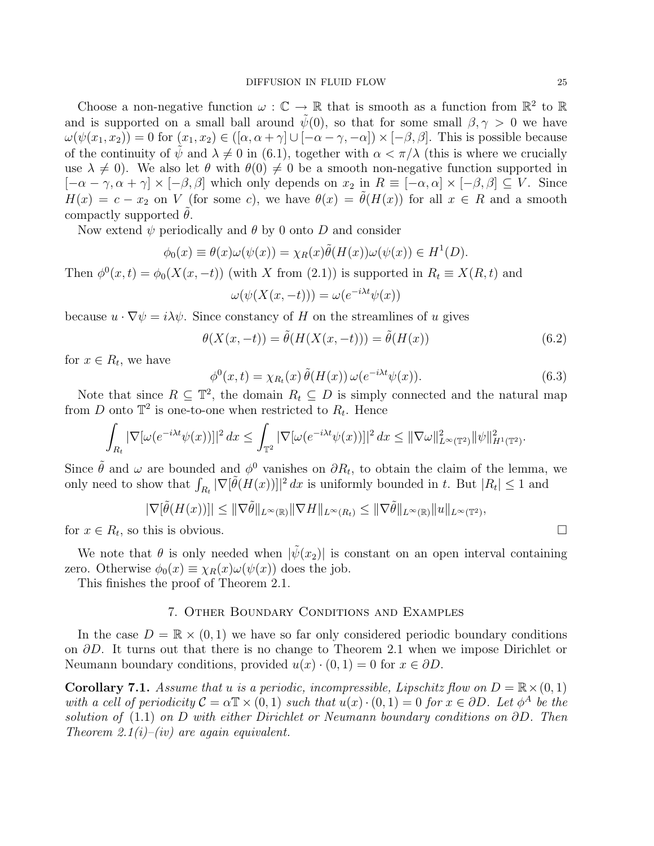Choose a non-negative function  $\omega : \mathbb{C} \to \mathbb{R}$  that is smooth as a function from  $\mathbb{R}^2$  to  $\mathbb{R}$ and is supported on a small ball around  $\psi(0)$ , so that for some small  $\beta, \gamma > 0$  we have  $\omega(\psi(x_1, x_2)) = 0$  for  $(x_1, x_2) \in ([\alpha, \alpha + \gamma] \cup [-\alpha - \gamma, -\alpha]) \times [-\beta, \beta]$ . This is possible because of the continuity of  $\psi$  and  $\lambda \neq 0$  in (6.1), together with  $\alpha < \pi/\lambda$  (this is where we crucially use  $\lambda \neq 0$ . We also let  $\theta$  with  $\theta(0) \neq 0$  be a smooth non-negative function supported in  $[-\alpha - \gamma, \alpha + \gamma] \times [-\beta, \beta]$  which only depends on  $x_2$  in  $R \equiv [-\alpha, \alpha] \times [-\beta, \beta] \subseteq V$ . Since  $H(x) = c - x_2$  on V (for some c), we have  $\theta(x) = \tilde{\theta}(H(x))$  for all  $x \in R$  and a smooth compactly supported  $\theta$ .

Now extend  $\psi$  periodically and  $\theta$  by 0 onto D and consider

$$
\phi_0(x) \equiv \theta(x)\omega(\psi(x)) = \chi_R(x)\tilde{\theta}(H(x))\omega(\psi(x)) \in H^1(D).
$$

Then  $\phi^0(x,t) = \phi_0(X(x,-t))$  (with X from (2.1)) is supported in  $R_t \equiv X(R,t)$  and

$$
\omega(\psi(X(x,-t))) = \omega(e^{-i\lambda t}\psi(x))
$$

because  $u \cdot \nabla \psi = i \lambda \psi$ . Since constancy of H on the streamlines of u gives

$$
\theta(X(x, -t)) = \tilde{\theta}(H(X(x, -t))) = \tilde{\theta}(H(x))
$$
\n(6.2)

for  $x \in R_t$ , we have

$$
\phi^{0}(x,t) = \chi_{R_t}(x) \tilde{\theta}(H(x)) \,\omega(e^{-i\lambda t}\psi(x)). \tag{6.3}
$$

Note that since  $R \subseteq \mathbb{T}^2$ , the domain  $R_t \subseteq D$  is simply connected and the natural map from D onto  $\mathbb{T}^2$  is one-to-one when restricted to  $R_t$ . Hence

$$
\int_{R_t} |\nabla[\omega(e^{-i\lambda t}\psi(x))]|^2 dx \leq \int_{\mathbb{T}^2} |\nabla[\omega(e^{-i\lambda t}\psi(x))]|^2 dx \leq ||\nabla\omega||^2_{L^{\infty}(\mathbb{T}^2)} ||\psi||^2_{H^1(\mathbb{T}^2)}.
$$

Since  $\tilde{\theta}$  and  $\omega$  are bounded and  $\phi^0$  vanishes on  $\partial R_t$ , to obtain the claim of the lemma, we only need to show that  $\int_{R_t} |\nabla[\tilde{\theta}(H(x))]|^2 dx$  is uniformly bounded in t. But  $|R_t| \leq 1$  and

$$
|\nabla[\tilde{\theta}(H(x))]| \leq ||\nabla\tilde{\theta}||_{L^{\infty}(\mathbb{R})} ||\nabla H||_{L^{\infty}(R_t)} \leq ||\nabla\tilde{\theta}||_{L^{\infty}(\mathbb{R})} ||u||_{L^{\infty}(\mathbb{T}^2)},
$$

for  $x \in R_t$ , so this is obvious.

We note that  $\theta$  is only needed when  $|\tilde{\psi}(x_2)|$  is constant on an open interval containing zero. Otherwise  $\phi_0(x) \equiv \chi_R(x) \omega(\psi(x))$  does the job.

This finishes the proof of Theorem 2.1.

### 7. Other Boundary Conditions and Examples

In the case  $D = \mathbb{R} \times (0, 1)$  we have so far only considered periodic boundary conditions on  $\partial D$ . It turns out that there is no change to Theorem 2.1 when we impose Dirichlet or Neumann boundary conditions, provided  $u(x) \cdot (0, 1) = 0$  for  $x \in \partial D$ .

**Corollary 7.1.** Assume that u is a periodic, incompressible, Lipschitz flow on  $D = \mathbb{R} \times (0, 1)$ with a cell of periodicity  $C = \alpha \mathbb{T} \times (0, 1)$  such that  $u(x) \cdot (0, 1) = 0$  for  $x \in \partial D$ . Let  $\phi^A$  be the solution of (1.1) on D with either Dirichlet or Neumann boundary conditions on ∂D. Then Theorem 2.1(i)–(iv) are again equivalent.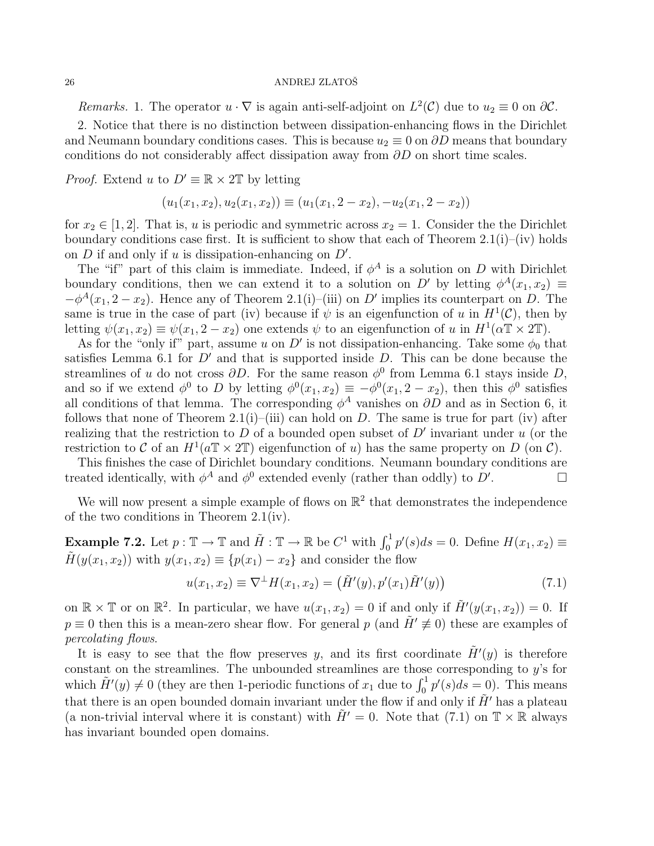Remarks. 1. The operator  $u \cdot \nabla$  is again anti-self-adjoint on  $L^2(\mathcal{C})$  due to  $u_2 \equiv 0$  on  $\partial \mathcal{C}$ .

2. Notice that there is no distinction between dissipation-enhancing flows in the Dirichlet and Neumann boundary conditions cases. This is because  $u_2 \equiv 0$  on  $\partial D$  means that boundary conditions do not considerably affect dissipation away from  $\partial D$  on short time scales.

*Proof.* Extend u to  $D' \equiv \mathbb{R} \times 2\mathbb{T}$  by letting

$$
(u_1(x_1, x_2), u_2(x_1, x_2)) \equiv (u_1(x_1, 2 - x_2), -u_2(x_1, 2 - x_2))
$$

for  $x_2 \in [1, 2]$ . That is, u is periodic and symmetric across  $x_2 = 1$ . Consider the the Dirichlet boundary conditions case first. It is sufficient to show that each of Theorem  $2.1(i)$ –(iv) holds on  $D$  if and only if  $u$  is dissipation-enhancing on  $D'$ .

The "if" part of this claim is immediate. Indeed, if  $\phi^A$  is a solution on D with Dirichlet boundary conditions, then we can extend it to a solution on D' by letting  $\phi^A(x_1, x_2) \equiv$  $-\phi^A(x_1, 2-x_2)$ . Hence any of Theorem 2.1(i)–(iii) on D' implies its counterpart on D. The same is true in the case of part (iv) because if  $\psi$  is an eigenfunction of u in  $H^1(\mathcal{C})$ , then by letting  $\psi(x_1, x_2) \equiv \psi(x_1, 2 - x_2)$  one extends  $\psi$  to an eigenfunction of u in  $H^1(\alpha \mathbb{T} \times 2\mathbb{T})$ .

As for the "only if" part, assume u on  $D'$  is not dissipation-enhancing. Take some  $\phi_0$  that satisfies Lemma 6.1 for  $D'$  and that is supported inside  $D$ . This can be done because the streamlines of u do not cross  $\partial D$ . For the same reason  $\phi^0$  from Lemma 6.1 stays inside D, and so if we extend  $\phi^0$  to D by letting  $\phi^0(x_1, x_2) \equiv -\phi^0(x_1, 2 - x_2)$ , then this  $\phi^0$  satisfies all conditions of that lemma. The corresponding  $\phi^A$  vanishes on  $\partial D$  and as in Section 6, it follows that none of Theorem 2.1(i)–(iii) can hold on D. The same is true for part (iv) after realizing that the restriction to  $D$  of a bounded open subset of  $D'$  invariant under  $u$  (or the restriction to C of an  $H^1(a\mathbb{T} \times 2\mathbb{T})$  eigenfunction of u) has the same property on D (on C).

This finishes the case of Dirichlet boundary conditions. Neumann boundary conditions are treated identically, with  $\phi^A$  and  $\phi^0$  extended evenly (rather than oddly) to D' . — П

We will now present a simple example of flows on  $\mathbb{R}^2$  that demonstrates the independence of the two conditions in Theorem 2.1(iv).

**Example 7.2.** Let  $p : \mathbb{T} \to \mathbb{T}$  and  $\tilde{H} : \mathbb{T} \to \mathbb{R}$  be  $C^1$  with  $\int_0^1 p'(s)ds = 0$ . Define  $H(x_1, x_2) \equiv$  $\tilde{H}(y(x_1, x_2))$  with  $y(x_1, x_2) \equiv \{p(x_1) - x_2\}$  and consider the flow

$$
u(x_1, x_2) \equiv \nabla^{\perp} H(x_1, x_2) = (\tilde{H}'(y), p'(x_1)\tilde{H}'(y))
$$
\n(7.1)

on  $\mathbb{R} \times \mathbb{T}$  or on  $\mathbb{R}^2$ . In particular, we have  $u(x_1, x_2) = 0$  if and only if  $\tilde{H}'(y(x_1, x_2)) = 0$ . If  $p \equiv 0$  then this is a mean-zero shear flow. For general p (and  $H' \not\equiv 0$ ) these are examples of percolating flows.

It is easy to see that the flow preserves y, and its first coordinate  $\tilde{H}'(y)$  is therefore constant on the streamlines. The unbounded streamlines are those corresponding to y's for which  $\tilde{H}'(y) \neq 0$  (they are then 1-periodic functions of  $x_1$  due to  $\int_0^1 p'(s)ds = 0$ ). This means that there is an open bounded domain invariant under the flow if and only if  $\tilde{H}'$  has a plateau (a non-trivial interval where it is constant) with  $\tilde{H}' = 0$ . Note that (7.1) on  $\mathbb{T} \times \mathbb{R}$  always has invariant bounded open domains.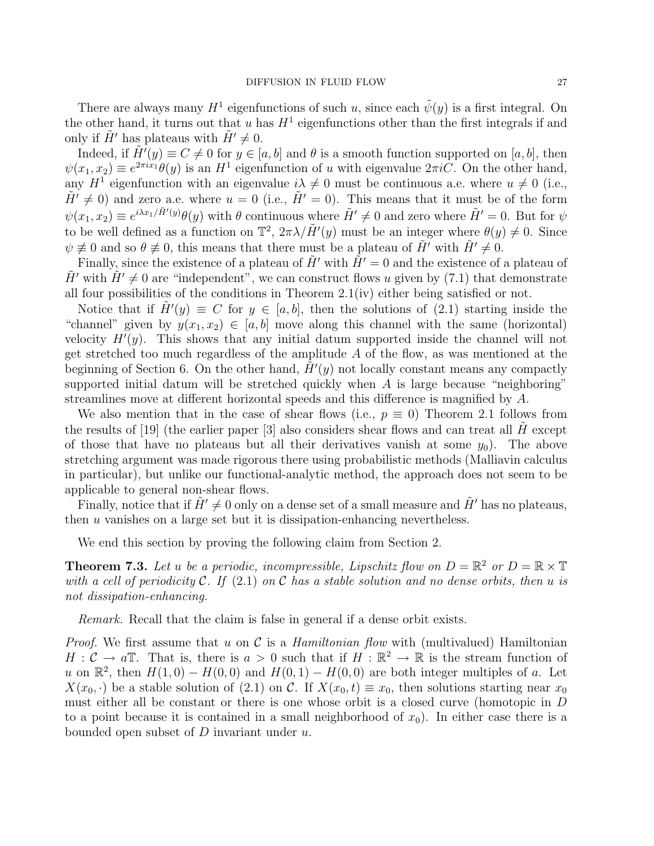There are always many  $H^1$  eigenfunctions of such u, since each  $\tilde{\psi}(y)$  is a first integral. On the other hand, it turns out that u has  $H^1$  eigenfunctions other than the first integrals if and only if H' has plateaus with  $H' \neq 0$ .

Indeed, if  $\tilde{H}'(y) \equiv C \neq 0$  for  $y \in [a, b]$  and  $\theta$  is a smooth function supported on  $[a, b]$ , then  $\psi(x_1, x_2) \equiv e^{2\pi i x_1} \theta(y)$  is an  $H^1$  eigenfunction of u with eigenvalue  $2\pi i C$ . On the other hand, any  $H^1$  eigenfunction with an eigenvalue  $i\lambda \neq 0$  must be continuous a.e. where  $u \neq 0$  (i.e.,  $\tilde{H}' \neq 0$  and zero a.e. where  $u = 0$  (i.e.,  $\tilde{H}' = 0$ ). This means that it must be of the form  $\psi(x_1, x_2) \equiv e^{i\lambda x_1/\tilde{H}'(y)} \theta(y)$  with  $\theta$  continuous where  $\tilde{H}' \neq 0$  and zero where  $\tilde{H}' = 0$ . But for  $\psi$ to be well defined as a function on  $\mathbb{T}^2$ ,  $2\pi\lambda/\tilde{H}'(y)$  must be an integer where  $\theta(y) \neq 0$ . Since  $\psi \neq 0$  and so  $\theta \neq 0$ , this means that there must be a plateau of  $\tilde{H}'$  with  $\tilde{H}' \neq 0$ .

Finally, since the existence of a plateau of  $H'$  with  $H' = 0$  and the existence of a plateau of H' with  $H' \neq 0$  are "independent", we can construct flows u given by (7.1) that demonstrate all four possibilities of the conditions in Theorem 2.1(iv) either being satisfied or not.

Notice that if  $\tilde{H}'(y) \equiv C$  for  $y \in [a, b]$ , then the solutions of (2.1) starting inside the "channel" given by  $y(x_1, x_2) \in [a, b]$  move along this channel with the same (horizontal) velocity  $H'(y)$ . This shows that any initial datum supported inside the channel will not get stretched too much regardless of the amplitude A of the flow, as was mentioned at the beginning of Section 6. On the other hand,  $\tilde{H}'(y)$  not locally constant means any compactly supported initial datum will be stretched quickly when  $A$  is large because "neighboring" streamlines move at different horizontal speeds and this difference is magnified by A.

We also mention that in the case of shear flows (i.e.,  $p \equiv 0$ ) Theorem 2.1 follows from the results of [19] (the earlier paper [3] also considers shear flows and can treat all  $H$  except of those that have no plateaus but all their derivatives vanish at some  $y_0$ ). The above stretching argument was made rigorous there using probabilistic methods (Malliavin calculus in particular), but unlike our functional-analytic method, the approach does not seem to be applicable to general non-shear flows.

Finally, notice that if  $\tilde{H}' \neq 0$  only on a dense set of a small measure and  $\tilde{H}'$  has no plateaus, then u vanishes on a large set but it is dissipation-enhancing nevertheless.

We end this section by proving the following claim from Section 2.

**Theorem 7.3.** Let u be a periodic, incompressible, Lipschitz flow on  $D = \mathbb{R}^2$  or  $D = \mathbb{R} \times \mathbb{T}$ with a cell of periodicity C. If  $(2.1)$  on C has a stable solution and no dense orbits, then u is not dissipation-enhancing.

Remark. Recall that the claim is false in general if a dense orbit exists.

*Proof.* We first assume that u on C is a *Hamiltonian flow* with (multivalued) Hamiltonian  $H: \mathcal{C} \to a\mathbb{T}$ . That is, there is  $a > 0$  such that if  $H: \mathbb{R}^2 \to \mathbb{R}$  is the stream function of u on  $\mathbb{R}^2$ , then  $H(1,0) - H(0,0)$  and  $H(0,1) - H(0,0)$  are both integer multiples of a. Let  $X(x_0, \cdot)$  be a stable solution of (2.1) on C. If  $X(x_0, t) \equiv x_0$ , then solutions starting near  $x_0$ must either all be constant or there is one whose orbit is a closed curve (homotopic in D to a point because it is contained in a small neighborhood of  $x_0$ ). In either case there is a bounded open subset of  $D$  invariant under  $u$ .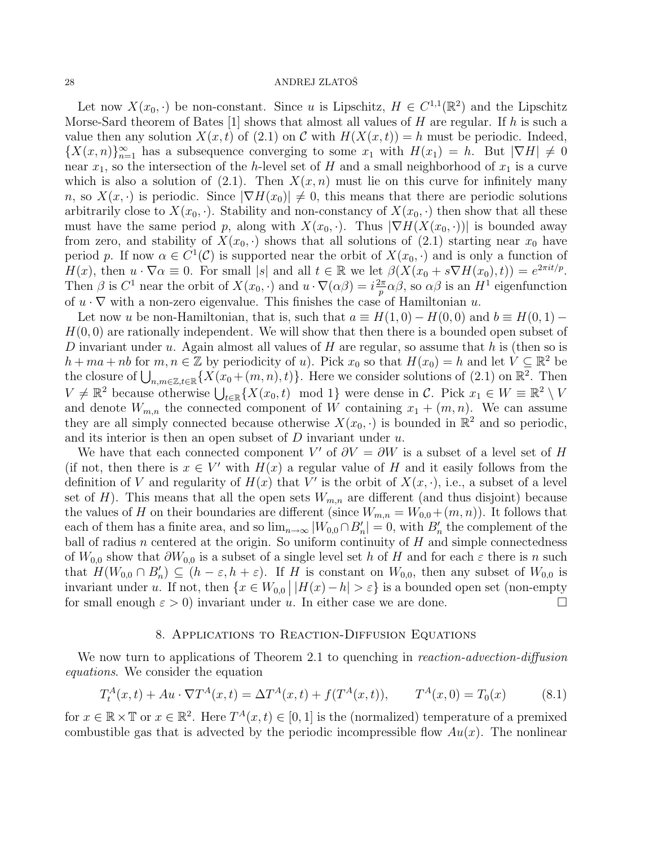Let now  $X(x_0, \cdot)$  be non-constant. Since u is Lipschitz,  $H \in C^{1,1}(\mathbb{R}^2)$  and the Lipschitz Morse-Sard theorem of Bates [1] shows that almost all values of  $H$  are regular. If  $h$  is such a value then any solution  $X(x, t)$  of (2.1) on C with  $H(X(x, t)) = h$  must be periodic. Indeed,  ${X(x,n)}_{n=1}^{\infty}$  has a subsequence converging to some  $x_1$  with  $H(x_1) = h$ . But  $|\nabla H| \neq 0$ near  $x_1$ , so the intersection of the h-level set of H and a small neighborhood of  $x_1$  is a curve which is also a solution of  $(2.1)$ . Then  $X(x, n)$  must lie on this curve for infinitely many n, so  $X(x, \cdot)$  is periodic. Since  $|\nabla H(x_0)| \neq 0$ , this means that there are periodic solutions arbitrarily close to  $X(x_0, \cdot)$ . Stability and non-constancy of  $X(x_0, \cdot)$  then show that all these must have the same period p, along with  $X(x_0, \cdot)$ . Thus  $|\nabla H(X(x_0, \cdot))|$  is bounded away from zero, and stability of  $X(x_0, \cdot)$  shows that all solutions of  $(2.1)$  starting near  $x_0$  have period p. If now  $\alpha \in C^1(\mathcal{C})$  is supported near the orbit of  $X(x_0, \cdot)$  and is only a function of  $H(x)$ , then  $u \cdot \nabla \alpha \equiv 0$ . For small |s| and all  $t \in \mathbb{R}$  we let  $\beta(X(x_0 + s \nabla H(x_0), t)) = e^{2\pi i t/p}$ . Then  $\beta$  is  $C^1$  near the orbit of  $X(x_0, \cdot)$  and  $u \cdot \nabla(\alpha \beta) = i \frac{2\pi}{n}$  $\frac{2\pi}{p}\alpha\beta$ , so  $\alpha\beta$  is an  $H^1$  eigenfunction of  $u \cdot \nabla$  with a non-zero eigenvalue. This finishes the case of Hamiltonian u.

Let now u be non-Hamiltonian, that is, such that  $a \equiv H(1,0) - H(0,0)$  and  $b \equiv H(0,1) H(0,0)$  are rationally independent. We will show that then there is a bounded open subset of D invariant under u. Again almost all values of  $H$  are regular, so assume that  $h$  is (then so is  $h + ma + nb$  for  $m, n \in \mathbb{Z}$  by periodicity of u). Pick  $x_0$  so that  $H(x_0) = h$  and let  $V \subseteq \mathbb{R}^2$  be the closure of  $\bigcup_{n,m\in\mathbb{Z},t\in\mathbb{R}}\{X(x_0+(m,n),t)\}\.$  Here we consider solutions of (2.1) on  $\mathbb{R}^2$ . Then  $V \neq \mathbb{R}^2$  because otherwise  $\bigcup_{t \in \mathbb{R}} \{X(x_0, t) \mod 1\}$  were dense in C. Pick  $x_1 \in W \equiv \mathbb{R}^2 \setminus V$ and denote  $W_{m,n}$  the connected component of W containing  $x_1 + (m, n)$ . We can assume they are all simply connected because otherwise  $X(x_0, \cdot)$  is bounded in  $\mathbb{R}^2$  and so periodic, and its interior is then an open subset of  $D$  invariant under  $u$ .

We have that each connected component V' of  $\partial V = \partial W$  is a subset of a level set of H (if not, then there is  $x \in V'$  with  $H(x)$  a regular value of H and it easily follows from the definition of V and regularity of  $H(x)$  that V' is the orbit of  $X(x, \cdot)$ , i.e., a subset of a level set of H). This means that all the open sets  $W_{m,n}$  are different (and thus disjoint) because the values of H on their boundaries are different (since  $W_{m,n} = W_{0,0} + (m,n)$ ). It follows that each of them has a finite area, and so  $\lim_{n\to\infty} |W_{0,0} \cap B'_n| = 0$ , with  $B'_n$  the complement of the ball of radius n centered at the origin. So uniform continuity of  $H$  and simple connectedness of  $W_{0,0}$  show that  $\partial W_{0,0}$  is a subset of a single level set h of H and for each  $\varepsilon$  there is n such that  $H(W_{0,0} \cap B_n') \subseteq (h - \varepsilon, h + \varepsilon)$ . If H is constant on  $W_{0,0}$ , then any subset of  $W_{0,0}$  is invariant under u. If not, then  $\{x \in W_{0,0} \mid |H(x) - h| > \varepsilon\}$  is a bounded open set (non-empty for small enough  $\varepsilon > 0$  invariant under u. In either case we are done.

# 8. Applications to Reaction-Diffusion Equations

We now turn to applications of Theorem 2.1 to quenching in *reaction-advection-diffusion* equations. We consider the equation

$$
T_t^A(x,t) + Au \cdot \nabla T^A(x,t) = \Delta T^A(x,t) + f(T^A(x,t)), \qquad T^A(x,0) = T_0(x) \tag{8.1}
$$

for  $x \in \mathbb{R} \times \mathbb{T}$  or  $x \in \mathbb{R}^2$ . Here  $T^A(x,t) \in [0,1]$  is the (normalized) temperature of a premixed combustible gas that is advected by the periodic incompressible flow  $Au(x)$ . The nonlinear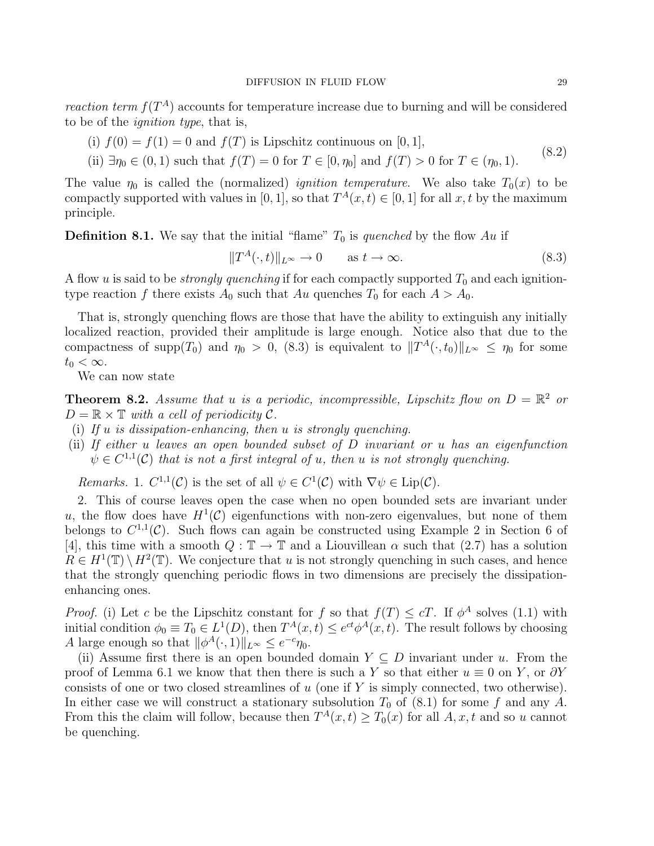- (i)  $f(0) = f(1) = 0$  and  $f(T)$  is Lipschitz continuous on [0, 1],
- (ii)  $\exists \eta_0 \in (0,1)$  such that  $f(T) = 0$  for  $T \in [0, \eta_0]$  and  $f(T) > 0$  for  $T \in (\eta_0, 1)$ . (8.2)

The value  $\eta_0$  is called the (normalized) *ignition temperature*. We also take  $T_0(x)$  to be compactly supported with values in [0, 1], so that  $T^A(x,t) \in [0,1]$  for all x, t by the maximum principle.

**Definition 8.1.** We say that the initial "flame"  $T_0$  is quenched by the flow Au if

$$
||T^A(\cdot,t)||_{L^\infty} \to 0 \quad \text{as } t \to \infty. \tag{8.3}
$$

A flow u is said to be *strongly quenching* if for each compactly supported  $T_0$  and each ignitiontype reaction f there exists  $A_0$  such that  $Au$  quenches  $T_0$  for each  $A > A_0$ .

That is, strongly quenching flows are those that have the ability to extinguish any initially localized reaction, provided their amplitude is large enough. Notice also that due to the compactness of supp $(T_0)$  and  $\eta_0 > 0$ , (8.3) is equivalent to  $||T^A(\cdot, t_0)||_{L^{\infty}} \leq \eta_0$  for some  $t_0 < \infty$ .

We can now state

**Theorem 8.2.** Assume that u is a periodic, incompressible, Lipschitz flow on  $D = \mathbb{R}^2$  or  $D = \mathbb{R} \times \mathbb{T}$  with a cell of periodicity  $\mathcal{C}$ .

- (i) If  $u$  is dissipation-enhancing, then  $u$  is strongly quenching.
- (ii) If either u leaves an open bounded subset of D invariant or u has an eigenfunction  $\psi \in C^{1,1}(\mathcal{C})$  that is not a first integral of u, then u is not strongly quenching.

Remarks. 1.  $C^{1,1}(\mathcal{C})$  is the set of all  $\psi \in C^1(\mathcal{C})$  with  $\nabla \psi \in \text{Lip}(\mathcal{C})$ .

2. This of course leaves open the case when no open bounded sets are invariant under u, the flow does have  $H^1(\mathcal{C})$  eigenfunctions with non-zero eigenvalues, but none of them belongs to  $C^{1,1}(\mathcal{C})$ . Such flows can again be constructed using Example 2 in Section 6 of [4], this time with a smooth  $Q : \mathbb{T} \to \mathbb{T}$  and a Liouvillean  $\alpha$  such that (2.7) has a solution  $R \in H^1(\mathbb{T}) \setminus H^2(\mathbb{T})$ . We conjecture that u is not strongly quenching in such cases, and hence that the strongly quenching periodic flows in two dimensions are precisely the dissipationenhancing ones.

*Proof.* (i) Let c be the Lipschitz constant for f so that  $f(T) \leq cT$ . If  $\phi^A$  solves (1.1) with initial condition  $\phi_0 \equiv T_0 \in L^1(D)$ , then  $T^A(x,t) \leq e^{ct} \phi^A(x,t)$ . The result follows by choosing A large enough so that  $\|\phi^A(\cdot, 1)\|_{L^\infty} \leq e^{-c} \eta_0$ .

(ii) Assume first there is an open bounded domain  $Y \subseteq D$  invariant under u. From the proof of Lemma 6.1 we know that then there is such a Y so that either  $u \equiv 0$  on Y, or  $\partial Y$ consists of one or two closed streamlines of  $u$  (one if  $Y$  is simply connected, two otherwise). In either case we will construct a stationary subsolution  $T_0$  of (8.1) for some f and any A. From this the claim will follow, because then  $T^A(x,t) \geq T_0(x)$  for all  $A, x, t$  and so u cannot be quenching.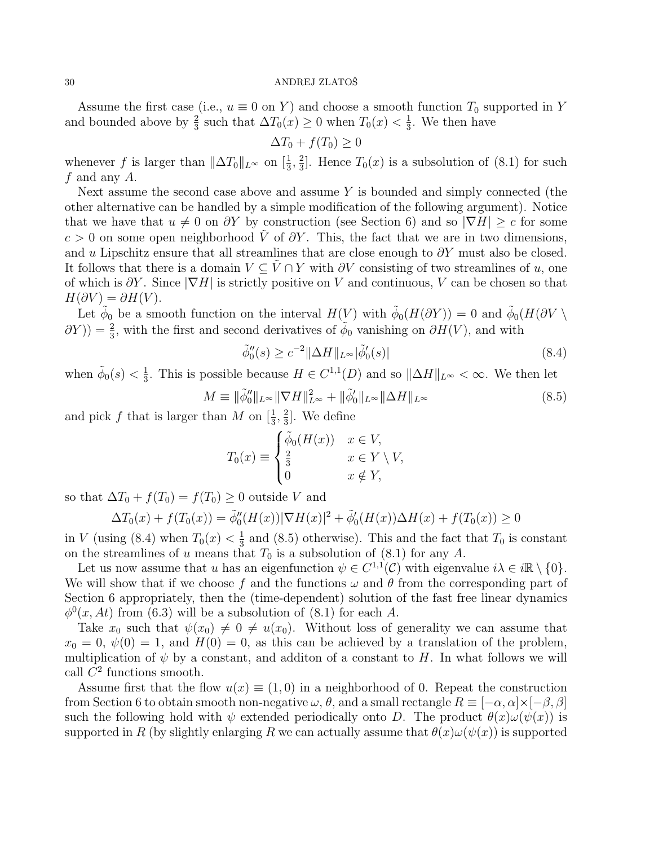Assume the first case (i.e.,  $u \equiv 0$  on Y) and choose a smooth function  $T_0$  supported in Y and bounded above by  $\frac{2}{3}$  such that  $\Delta T_0(x) \ge 0$  when  $T_0(x) < \frac{1}{3}$  $\frac{1}{3}$ . We then have

$$
\Delta T_0 + f(T_0) \ge 0
$$

whenever f is larger than  $\|\Delta T_0\|_{L^{\infty}}$  on  $[\frac{1}{3}, \frac{2}{3}]$  $\frac{2}{3}$ . Hence  $T_0(x)$  is a subsolution of  $(8.1)$  for such f and any A.

Next assume the second case above and assume  $Y$  is bounded and simply connected (the other alternative can be handled by a simple modification of the following argument). Notice that we have that  $u \neq 0$  on  $\partial Y$  by construction (see Section 6) and so  $|\nabla H| \geq c$  for some  $c > 0$  on some open neighborhood  $\tilde{V}$  of  $\partial Y$ . This, the fact that we are in two dimensions, and u Lipschitz ensure that all streamlines that are close enough to  $\partial Y$  must also be closed. It follows that there is a domain  $V \subseteq \tilde{V} \cap Y$  with  $\partial V$  consisting of two streamlines of u, one of which is  $\partial Y$ . Since  $|\nabla H|$  is strictly positive on V and continuous, V can be chosen so that  $H(\partial V) = \partial H(V)$ .

Let  $\tilde{\phi}_0$  be a smooth function on the interval  $H(V)$  with  $\tilde{\phi}_0(H(\partial Y)) = 0$  and  $\tilde{\phi}_0(H(\partial V \setminus$  $\partial(Y)$ ) =  $\frac{2}{3}$ , with the first and second derivatives of  $\phi_0$  vanishing on  $\partial H(V)$ , and with

$$
\tilde{\phi}_0''(s) \ge c^{-2} \|\Delta H\|_{L^\infty} |\tilde{\phi}_0'(s)|\tag{8.4}
$$

when  $\tilde{\phi}_0(s) < \frac{1}{3}$  $\frac{1}{3}$ . This is possible because  $H \in C^{1,1}(D)$  and so  $||\Delta H||_{L^{\infty}} < \infty$ . We then let

$$
M \equiv \|\tilde{\phi}_0''\|_{L^\infty} \|\nabla H\|_{L^\infty}^2 + \|\tilde{\phi}_0'\|_{L^\infty} \|\Delta H\|_{L^\infty}
$$
\n(8.5)

and pick f that is larger than M on  $\left[\frac{1}{3}, \frac{2}{3}\right]$  $\frac{2}{3}$ . We define

$$
T_0(x) \equiv \begin{cases} \tilde{\phi}_0(H(x)) & x \in V, \\ \frac{2}{3} & x \in Y \setminus V, \\ 0 & x \notin Y, \end{cases}
$$

so that  $\Delta T_0 + f(T_0) = f(T_0) \geq 0$  outside V and

$$
\Delta T_0(x) + f(T_0(x)) = \tilde{\phi}_0''(H(x))|\nabla H(x)|^2 + \tilde{\phi}_0'(H(x))\Delta H(x) + f(T_0(x)) \ge 0
$$

in V (using (8.4) when  $T_0(x) < \frac{1}{3}$  $\frac{1}{3}$  and (8.5) otherwise). This and the fact that  $T_0$  is constant on the streamlines of u means that  $T_0$  is a subsolution of  $(8.1)$  for any A.

Let us now assume that u has an eigenfunction  $\psi \in C^{1,1}(\mathcal{C})$  with eigenvalue  $i\lambda \in i\mathbb{R} \setminus \{0\}$ . We will show that if we choose f and the functions  $\omega$  and  $\theta$  from the corresponding part of Section 6 appropriately, then the (time-dependent) solution of the fast free linear dynamics  $\phi^0(x, At)$  from (6.3) will be a subsolution of (8.1) for each A.

Take  $x_0$  such that  $\psi(x_0) \neq 0 \neq u(x_0)$ . Without loss of generality we can assume that  $x_0 = 0, \psi(0) = 1$ , and  $H(0) = 0$ , as this can be achieved by a translation of the problem, multiplication of  $\psi$  by a constant, and addition of a constant to H. In what follows we will call  $C^2$  functions smooth.

Assume first that the flow  $u(x) \equiv (1,0)$  in a neighborhood of 0. Repeat the construction from Section 6 to obtain smooth non-negative  $\omega$ ,  $\theta$ , and a small rectangle  $R \equiv [-\alpha, \alpha] \times [-\beta, \beta]$ such the following hold with  $\psi$  extended periodically onto D. The product  $\theta(x)\omega(\psi(x))$  is supported in R (by slightly enlarging R we can actually assume that  $\theta(x)\omega(\psi(x))$  is supported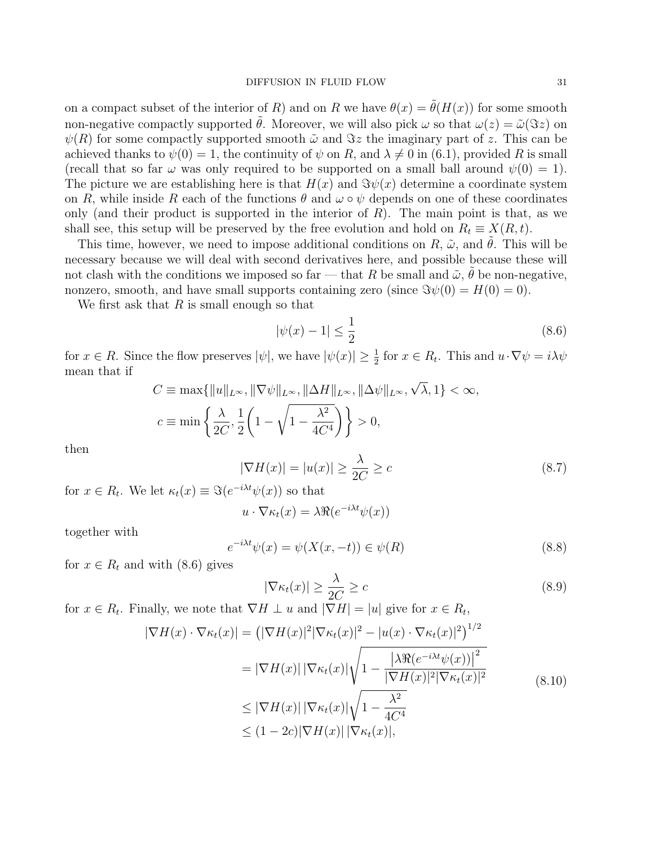on a compact subset of the interior of R) and on R we have  $\theta(x) = \tilde{\theta}(H(x))$  for some smooth non-negative compactly supported  $\hat{\theta}$ . Moreover, we will also pick  $\omega$  so that  $\omega(z) = \tilde{\omega}(3z)$  on  $\psi(R)$  for some compactly supported smooth  $\tilde{\omega}$  and  $\Im z$  the imaginary part of z. This can be achieved thanks to  $\psi(0) = 1$ , the continuity of  $\psi$  on R, and  $\lambda \neq 0$  in (6.1), provided R is small (recall that so far  $\omega$  was only required to be supported on a small ball around  $\psi(0) = 1$ ). The picture we are establishing here is that  $H(x)$  and  $\Im \psi(x)$  determine a coordinate system on R, while inside R each of the functions  $\theta$  and  $\omega \circ \psi$  depends on one of these coordinates only (and their product is supported in the interior of  $R$ ). The main point is that, as we shall see, this setup will be preserved by the free evolution and hold on  $R_t \equiv X(R, t)$ .

This time, however, we need to impose additional conditions on R,  $\tilde{\omega}$ , and  $\theta$ . This will be necessary because we will deal with second derivatives here, and possible because these will not clash with the conditions we imposed so far — that R be small and  $\tilde{\omega}$ ,  $\tilde{\theta}$  be non-negative, nonzero, smooth, and have small supports containing zero (since  $\Im \psi(0) = H(0) = 0$ ).

We first ask that  $R$  is small enough so that

$$
|\psi(x) - 1| \le \frac{1}{2} \tag{8.6}
$$

for  $x \in R$ . Since the flow preserves  $|\psi|$ , we have  $|\psi(x)| \geq \frac{1}{2}$  for  $x \in R_t$ . This and  $u \cdot \nabla \psi = i \lambda \psi$ mean that if √

$$
C \equiv \max\{\|u\|_{L^{\infty}}, \|\nabla\psi\|_{L^{\infty}}, \|\Delta H\|_{L^{\infty}}, \|\Delta\psi\|_{L^{\infty}}, \sqrt{\lambda}, 1\} < \infty,
$$
  

$$
c \equiv \min\left\{\frac{\lambda}{2C}, \frac{1}{2}\left(1 - \sqrt{1 - \frac{\lambda^2}{4C^4}}\right)\right\} > 0,
$$

then

$$
|\nabla H(x)| = |u(x)| \ge \frac{\lambda}{2C} \ge c \tag{8.7}
$$

for  $x \in R_t$ . We let  $\kappa_t(x) \equiv \Im(e^{-i\lambda t}\psi(x))$  so that

$$
u \cdot \nabla \kappa_t(x) = \lambda \Re(e^{-i\lambda t} \psi(x))
$$

together with

$$
e^{-i\lambda t}\psi(x) = \psi(X(x, -t)) \in \psi(R)
$$
\n(8.8)

for  $x \in R_t$  and with (8.6) gives

$$
|\nabla \kappa_t(x)| \ge \frac{\lambda}{2C} \ge c \tag{8.9}
$$

for  $x \in R_t$ . Finally, we note that  $\nabla H \perp u$  and  $|\nabla H| = |u|$  give for  $x \in R_t$ ,

$$
|\nabla H(x) \cdot \nabla \kappa_t(x)| = (|\nabla H(x)|^2 |\nabla \kappa_t(x)|^2 - |u(x) \cdot \nabla \kappa_t(x)|^2)^{1/2}
$$
  
\n
$$
= |\nabla H(x)| |\nabla \kappa_t(x)| \sqrt{1 - \frac{|\lambda \Re(e^{-i\lambda t} \psi(x))|^2}{|\nabla H(x)|^2 |\nabla \kappa_t(x)|^2}}
$$
  
\n
$$
\leq |\nabla H(x)| |\nabla \kappa_t(x)| \sqrt{1 - \frac{\lambda^2}{4C^4}}
$$
  
\n
$$
\leq (1 - 2c) |\nabla H(x)| |\nabla \kappa_t(x)|,
$$
\n(8.10)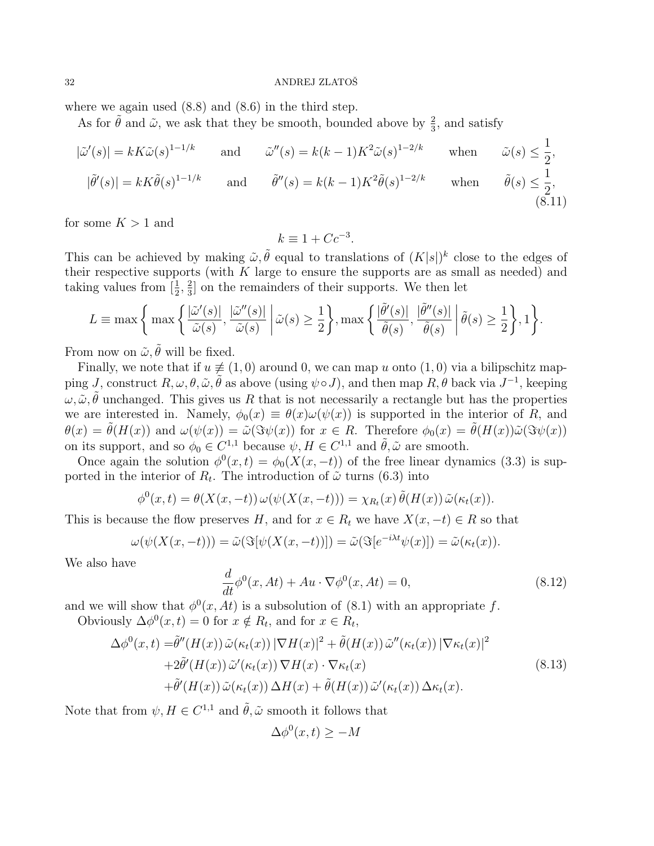where we again used  $(8.8)$  and  $(8.6)$  in the third step.

As for  $\tilde{\theta}$  and  $\tilde{\omega}$ , we ask that they be smooth, bounded above by  $\frac{2}{3}$ , and satisfy

$$
|\tilde{\omega}'(s)| = kK\tilde{\omega}(s)^{1-1/k} \quad \text{and} \quad \tilde{\omega}''(s) = k(k-1)K^2\tilde{\omega}(s)^{1-2/k} \quad \text{when} \quad \tilde{\omega}(s) \le \frac{1}{2},
$$
  

$$
|\tilde{\theta}'(s)| = kK\tilde{\theta}(s)^{1-1/k} \quad \text{and} \quad \tilde{\theta}''(s) = k(k-1)K^2\tilde{\theta}(s)^{1-2/k} \quad \text{when} \quad \tilde{\theta}(s) \le \frac{1}{2},
$$
  
(8.11)

for some  $K > 1$  and

$$
k \equiv 1 + C c^{-3}.
$$

This can be achieved by making  $\tilde{\omega}, \tilde{\theta}$  equal to translations of  $(K|s|)^k$  close to the edges of their respective supports (with  $K$  large to ensure the supports are as small as needed) and taking values from  $\left[\frac{1}{2}, \frac{2}{3}\right]$  $\frac{2}{3}$  on the remainders of their supports. We then let

$$
L \equiv \max \bigg\{ \max \bigg\{ \frac{|\tilde{\omega}'(s)|}{\tilde{\omega}(s)}, \frac{|\tilde{\omega}''(s)|}{\tilde{\omega}(s)} \bigg| \tilde{\omega}(s) \ge \frac{1}{2} \bigg\}, \max \bigg\{ \frac{|\tilde{\theta}'(s)|}{\tilde{\theta}(s)}, \frac{|\tilde{\theta}''(s)|}{\tilde{\theta}(s)} \bigg| \tilde{\theta}(s) \ge \frac{1}{2} \bigg\}, 1 \bigg\}.
$$

From now on  $\tilde{\omega}, \tilde{\theta}$  will be fixed.

Finally, we note that if  $u \neq (1, 0)$  around 0, we can map u onto  $(1, 0)$  via a bilipschitz mapping J, construct  $R, \omega, \theta, \tilde{\omega}, \tilde{\theta}$  as above (using  $\psi \circ J$ ), and then map  $R, \theta$  back via  $J^{-1}$ , keeping  $\omega, \tilde{\omega}, \tilde{\theta}$  unchanged. This gives us R that is not necessarily a rectangle but has the properties we are interested in. Namely,  $\phi_0(x) \equiv \theta(x)\omega(\psi(x))$  is supported in the interior of R, and  $\theta(x) = \tilde{\theta}(H(x))$  and  $\omega(\psi(x)) = \tilde{\omega}(\Im \psi(x))$  for  $x \in R$ . Therefore  $\phi_0(x) = \tilde{\theta}(H(x))\tilde{\omega}(\Im \psi(x))$ on its support, and so  $\phi_0 \in C^{1,1}$  because  $\psi, H \in C^{1,1}$  and  $\tilde{\theta}, \tilde{\omega}$  are smooth.

Once again the solution  $\phi^{0}(x,t) = \phi_{0}(X(x,-t))$  of the free linear dynamics (3.3) is supported in the interior of  $R_t$ . The introduction of  $\tilde{\omega}$  turns (6.3) into

$$
\phi^{0}(x,t) = \theta(X(x,-t)) \omega(\psi(X(x,-t))) = \chi_{R_t}(x) \tilde{\theta}(H(x)) \tilde{\omega}(\kappa_t(x)).
$$

This is because the flow preserves H, and for  $x \in R_t$  we have  $X(x, -t) \in R$  so that

$$
\omega(\psi(X(x,-t))) = \tilde{\omega}(\Im[\psi(X(x,-t))]) = \tilde{\omega}(\Im[e^{-i\lambda t}\psi(x)]) = \tilde{\omega}(\kappa_t(x)).
$$

We also have

$$
\frac{d}{dt}\phi^0(x, At) + Au \cdot \nabla \phi^0(x, At) = 0,\tag{8.12}
$$

and we will show that  $\phi^0(x, At)$  is a subsolution of (8.1) with an appropriate f.

Obviously  $\Delta \phi^0(x,t) = 0$  for  $x \notin R_t$ , and for  $x \in R_t$ ,

$$
\Delta \phi^{0}(x,t) = \tilde{\theta}''(H(x)) \tilde{\omega}(\kappa_{t}(x)) |\nabla H(x)|^{2} + \tilde{\theta}(H(x)) \tilde{\omega}''(\kappa_{t}(x)) |\nabla \kappa_{t}(x)|^{2} + 2\tilde{\theta}'(H(x)) \tilde{\omega}'(\kappa_{t}(x)) \nabla H(x) \cdot \nabla \kappa_{t}(x) + \tilde{\theta}'(H(x)) \tilde{\omega}(\kappa_{t}(x)) \Delta H(x) + \tilde{\theta}(H(x)) \tilde{\omega}'(\kappa_{t}(x)) \Delta \kappa_{t}(x).
$$
\n(8.13)

Note that from  $\psi, H \in C^{1,1}$  and  $\tilde{\theta}, \tilde{\omega}$  smooth it follows that

$$
\Delta \phi^0(x, t) \ge -M
$$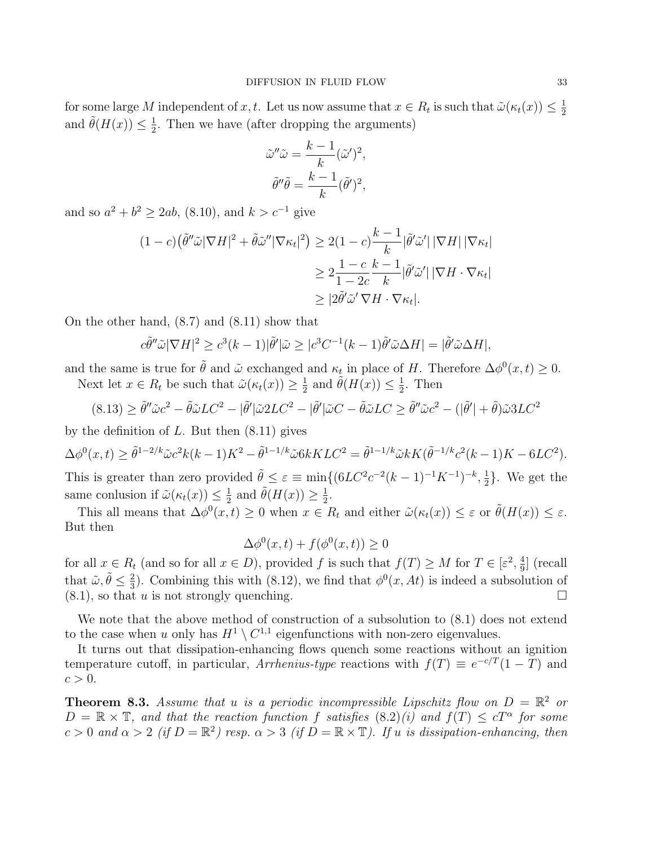for some large M independent of x, t. Let us now assume that  $x \in R_t$  is such that  $\tilde{\omega}(\kappa_t(x)) \leq \frac{1}{2}$ 2 and  $\tilde{\theta}(H(x)) \leq \frac{1}{2}$  $\frac{1}{2}$ . Then we have (after dropping the arguments)

$$
\tilde{\omega}''\tilde{\omega} = \frac{k-1}{k} (\tilde{\omega}')^2,
$$

$$
\tilde{\theta}''\tilde{\theta} = \frac{k-1}{k} (\tilde{\theta}')^2,
$$

and so  $a^2 + b^2 \ge 2ab$ , (8.10), and  $k > c^{-1}$  give

$$
(1-c)\left(\tilde{\theta}''\tilde{\omega}|\nabla H|^2 + \tilde{\theta}\tilde{\omega}''|\nabla \kappa_t|^2\right) \ge 2(1-c)\frac{k-1}{k}|\tilde{\theta}'\tilde{\omega}'| |\nabla H| |\nabla \kappa_t|
$$
  

$$
\ge 2\frac{1-c}{1-2c}\frac{k-1}{k}|\tilde{\theta}'\tilde{\omega}'| |\nabla H \cdot \nabla \kappa_t|
$$
  

$$
\ge |2\tilde{\theta}'\tilde{\omega}' \nabla H \cdot \nabla \kappa_t|.
$$

On the other hand, (8.7) and (8.11) show that

$$
c\tilde{\theta}''\tilde{\omega}|\nabla H|^2 \ge c^3(k-1)|\tilde{\theta}'|\tilde{\omega} \ge |c^3C^{-1}(k-1)\tilde{\theta}'\tilde{\omega}\Delta H| = |\tilde{\theta}'\tilde{\omega}\Delta H|,
$$

and the same is true for  $\tilde{\theta}$  and  $\tilde{\omega}$  exchanged and  $\kappa_t$  in place of H. Therefore  $\Delta \phi^0(x,t) \geq 0$ . Next let  $x \in R_t$  be such that  $\tilde{\omega}(\kappa_t(x)) \geq \frac{1}{2}$  $\frac{1}{2}$  and  $\tilde{\theta}(H(x)) \leq \frac{1}{2}$  $\frac{1}{2}$ . Then

$$
(8.13) \ge \tilde{\theta}''\tilde{\omega}c^2 - \tilde{\theta}\tilde{\omega}LC^2 - |\tilde{\theta}'|\tilde{\omega}2LC^2 - |\tilde{\theta}'|\tilde{\omega}C - \tilde{\theta}\tilde{\omega}LC \ge \tilde{\theta}''\tilde{\omega}c^2 - (|\tilde{\theta}'| + \tilde{\theta})\tilde{\omega}3LC^2
$$

by the definition of L. But then  $(8.11)$  gives

$$
\Delta \phi^0(x,t) \ge \tilde{\theta}^{1-2/k} \tilde{\omega} c^2 k(k-1) K^2 - \tilde{\theta}^{1-1/k} \tilde{\omega} 6kKLC^2 = \tilde{\theta}^{1-1/k} \tilde{\omega} k K(\tilde{\theta}^{-1/k} c^2(k-1) K - 6LC^2).
$$

This is greater than zero provided  $\tilde{\theta} \leq \varepsilon \equiv \min\{(6LC^2c^{-2}(k-1)^{-1}K^{-1})^{-k}, \frac{1}{2}$  $\frac{1}{2}$ . We get the same conlusion if  $\tilde{\omega}(\kappa_t(x)) \leq \frac{1}{2}$  $\frac{1}{2}$  and  $\tilde{\theta}(H(x)) \geq \frac{1}{2}$  $\frac{1}{2}$ .

This all means that  $\Delta \phi^0(x,t) \geq 0$  when  $x \in R_t$  and either  $\tilde{\omega}(\kappa_t(x)) \leq \varepsilon$  or  $\tilde{\theta}(H(x)) \leq \varepsilon$ . But then

$$
\Delta \phi^{0}(x,t) + f(\phi^{0}(x,t)) \ge 0
$$

for all  $x \in R_t$  (and so for all  $x \in D$ ), provided f is such that  $f(T) \geq M$  for  $T \in [\varepsilon^2, \frac{4}{9}]$  $\frac{4}{9}$  (recall that  $\tilde{\omega}, \tilde{\theta} \leq \frac{2}{3}$  $\frac{2}{3}$ ). Combining this with (8.12), we find that  $\phi^0(x, At)$  is indeed a subsolution of  $(8.1)$ , so that u is not strongly quenching.

We note that the above method of construction of a subsolution to  $(8.1)$  does not extend to the case when u only has  $H^1 \setminus C^{1,1}$  eigenfunctions with non-zero eigenvalues.

It turns out that dissipation-enhancing flows quench some reactions without an ignition temperature cutoff, in particular, Arrhenius-type reactions with  $f(T) \equiv e^{-c/T}(1-T)$  and  $c > 0$ .

**Theorem 8.3.** Assume that u is a periodic incompressible Lipschitz flow on  $D = \mathbb{R}^2$  or  $D = \mathbb{R} \times \mathbb{T}$ , and that the reaction function f satisfies  $(8.2)(i)$  and  $f(T) \leq cT^{\alpha}$  for some  $c > 0$  and  $\alpha > 2$  (if  $D = \mathbb{R}^2$ ) resp.  $\alpha > 3$  (if  $D = \mathbb{R} \times \mathbb{T}$ ). If u is dissipation-enhancing, then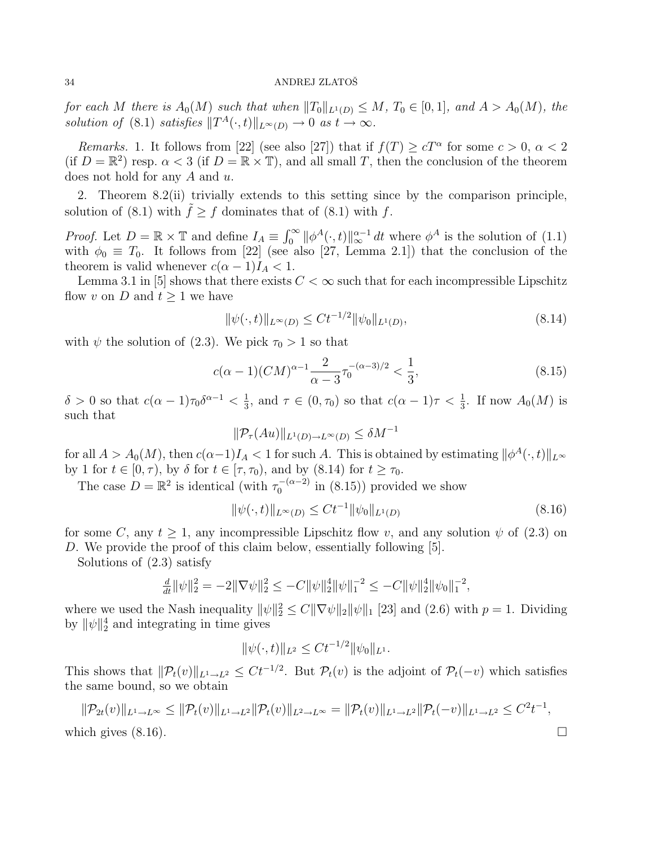for each M there is  $A_0(M)$  such that when  $||T_0||_{L^1(D)} \leq M$ ,  $T_0 \in [0, 1]$ , and  $A > A_0(M)$ , the solution of (8.1) satisfies  $||T^A(\cdot, t)||_{L^\infty(D)} \to 0$  as  $t \to \infty$ .

*Remarks.* 1. It follows from [22] (see also [27]) that if  $f(T) \geq cT^{\alpha}$  for some  $c > 0$ ,  $\alpha < 2$ (if  $D = \mathbb{R}^2$ ) resp.  $\alpha < 3$  (if  $D = \mathbb{R} \times \mathbb{T}$ ), and all small T, then the conclusion of the theorem does not hold for any  $A$  and  $u$ .

2. Theorem 8.2(ii) trivially extends to this setting since by the comparison principle, solution of (8.1) with  $\tilde{f} \ge f$  dominates that of (8.1) with f.

*Proof.* Let  $D = \mathbb{R} \times \mathbb{T}$  and define  $I_A \equiv \int_0^\infty ||\phi^A(\cdot, t)||_{\infty}^{\alpha-1} dt$  where  $\phi^A$  is the solution of (1.1) with  $\phi_0 \equiv T_0$ . It follows from [22] (see also [27, Lemma 2.1]) that the conclusion of the theorem is valid whenever  $c(\alpha - 1)I_A < 1$ .

Lemma 3.1 in [5] shows that there exists  $C < \infty$  such that for each incompressible Lipschitz flow v on D and  $t \geq 1$  we have

$$
\|\psi(\cdot,t)\|_{L^{\infty}(D)} \le C t^{-1/2} \|\psi_0\|_{L^1(D)},\tag{8.14}
$$

with  $\psi$  the solution of (2.3). We pick  $\tau_0 > 1$  so that

$$
c(\alpha - 1)(CM)^{\alpha - 1} \frac{2}{\alpha - 3} \tau_0^{-(\alpha - 3)/2} < \frac{1}{3},\tag{8.15}
$$

 $\delta > 0$  so that  $c(\alpha - 1)\tau_0 \delta^{\alpha - 1} < \frac{1}{3}$  $\frac{1}{3}$ , and  $\tau \in (0, \tau_0)$  so that  $c(\alpha - 1)\tau < \frac{1}{3}$ . If now  $A_0(M)$  is such that

$$
\|\mathcal{P}_{\tau}(Au)\|_{L^1(D)\to L^\infty(D)} \le \delta M^{-1}
$$

for all  $A > A_0(M)$ , then  $c(\alpha-1)I_A < 1$  for such A. This is obtained by estimating  $\|\phi^A(\cdot,t)\|_{L^\infty}$ by 1 for  $t \in [0, \tau)$ , by  $\delta$  for  $t \in [\tau, \tau_0)$ , and by  $(8.14)$  for  $t \geq \tau_0$ .

The case  $D = \mathbb{R}^2$  is identical (with  $\tau_0^{-(\alpha-2)}$ )  $\int_0^{-(\alpha-2)}$  in (8.15)) provided we show

$$
\|\psi(\cdot,t)\|_{L^{\infty}(D)} \le Ct^{-1} \|\psi_0\|_{L^1(D)}\tag{8.16}
$$

for some C, any  $t \geq 1$ , any incompressible Lipschitz flow v, and any solution  $\psi$  of (2.3) on D. We provide the proof of this claim below, essentially following [5].

Solutions of (2.3) satisfy

$$
\frac{d}{dt} \|\psi\|_2^2 = -2\|\nabla\psi\|_2^2 \le -C\|\psi\|_2^4 \|\psi\|_1^{-2} \le -C\|\psi\|_2^4 \|\psi_0\|_1^{-2},
$$

where we used the Nash inequality  $\|\psi\|_2^2 \leq C \|\nabla \psi\|_2 \|\psi\|_1$  [23] and (2.6) with  $p = 1$ . Dividing by  $\|\psi\|_2^4$  and integrating in time gives

$$
\|\psi(\cdot,t)\|_{L^2} \le Ct^{-1/2} \|\psi_0\|_{L^1}.
$$

This shows that  $\|\mathcal{P}_t(v)\|_{L^1\to L^2} \leq Ct^{-1/2}$ . But  $\mathcal{P}_t(v)$  is the adjoint of  $\mathcal{P}_t(-v)$  which satisfies the same bound, so we obtain

$$
\|\mathcal{P}_{2t}(v)\|_{L^1 \to L^\infty} \le \|\mathcal{P}_t(v)\|_{L^1 \to L^2} \|\mathcal{P}_t(v)\|_{L^2 \to L^\infty} = \|\mathcal{P}_t(v)\|_{L^1 \to L^2} \|\mathcal{P}_t(-v)\|_{L^1 \to L^2} \le C^2 t^{-1},
$$
  
which gives (8.16).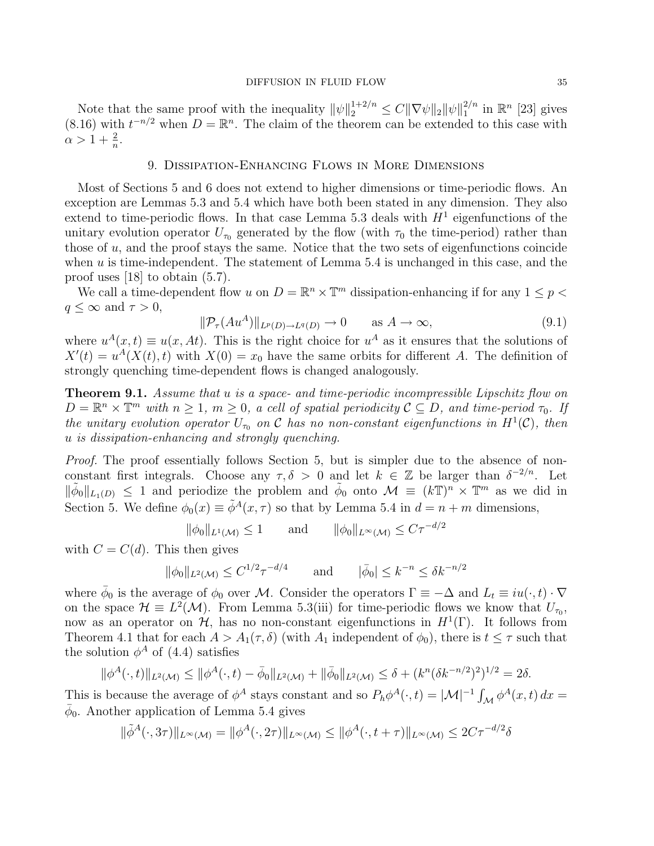Note that the same proof with the inequality  $\|\psi\|_2^{1+2/n} \leq C \|\nabla \psi\|_2 \|\psi\|_1^{2/n}$  $_1^{2/n}$  in  $\mathbb{R}^n$  [23] gives  $(8.16)$  with  $t^{-n/2}$  when  $D = \mathbb{R}^n$ . The claim of the theorem can be extended to this case with  $\alpha > 1 + \frac{2}{n}.$ 

### 9. Dissipation-Enhancing Flows in More Dimensions

Most of Sections 5 and 6 does not extend to higher dimensions or time-periodic flows. An exception are Lemmas 5.3 and 5.4 which have both been stated in any dimension. They also extend to time-periodic flows. In that case Lemma 5.3 deals with  $H<sup>1</sup>$  eigenfunctions of the unitary evolution operator  $U_{\tau_0}$  generated by the flow (with  $\tau_0$  the time-period) rather than those of  $u$ , and the proof stays the same. Notice that the two sets of eigenfunctions coincide when  $u$  is time-independent. The statement of Lemma 5.4 is unchanged in this case, and the proof uses [18] to obtain (5.7).

We call a time-dependent flow u on  $D = \mathbb{R}^n \times \mathbb{T}^m$  dissipation-enhancing if for any  $1 \leq p <$  $q \leq \infty$  and  $\tau > 0$ ,

$$
\|\mathcal{P}_{\tau}(Au^A)\|_{L^p(D)\to L^q(D)} \to 0 \quad \text{as } A \to \infty,
$$
\n(9.1)

where  $u^A(x,t) \equiv u(x,At)$ . This is the right choice for  $u^A$  as it ensures that the solutions of  $X'(t) = u^{A}(X(t), t)$  with  $X(0) = x_0$  have the same orbits for different A. The definition of strongly quenching time-dependent flows is changed analogously.

**Theorem 9.1.** Assume that u is a space- and time-periodic incompressible Lipschitz flow on  $D = \mathbb{R}^n \times \mathbb{T}^m$  with  $n \geq 1$ ,  $m \geq 0$ , a cell of spatial periodicity  $\mathcal{C} \subseteq D$ , and time-period  $\tau_0$ . If the unitary evolution operator  $U_{\tau_0}$  on C has no non-constant eigenfunctions in  $H^1(\mathcal{C})$ , then u is dissipation-enhancing and strongly quenching.

Proof. The proof essentially follows Section 5, but is simpler due to the absence of nonconstant first integrals. Choose any  $\tau, \delta > 0$  and let  $k \in \mathbb{Z}$  be larger than  $\delta^{-2/n}$ . Let  $\|\tilde{\phi}_0\|_{L_1(D)} \leq 1$  and periodize the problem and  $\tilde{\phi}_0$  onto  $\mathcal{M} \equiv (k\mathbb{T})^n \times \mathbb{T}^m$  as we did in Section 5. We define  $\phi_0(x) \equiv \tilde{\phi}^A(x, \tau)$  so that by Lemma 5.4 in  $d = n + m$  dimensions,

 $\|\phi_0\|_{L^1(M)} \leq 1$  and  $\|\phi_0\|_{L^\infty(M)} \leq C\tau^{-d/2}$ 

with  $C = C(d)$ . This then gives

$$
\|\phi_0\|_{L^2(\mathcal{M})} \leq C^{1/2} \tau^{-d/4}
$$
 and  $|\bar{\phi}_0| \leq k^{-n} \leq \delta k^{-n/2}$ 

where  $\bar{\phi}_0$  is the average of  $\phi_0$  over M. Consider the operators  $\Gamma \equiv -\Delta$  and  $L_t \equiv i u(\cdot, t) \cdot \nabla$ on the space  $\mathcal{H} \equiv L^2(\mathcal{M})$ . From Lemma 5.3(iii) for time-periodic flows we know that  $U_{\tau_0}$ , now as an operator on  $H$ , has no non-constant eigenfunctions in  $H^1(\Gamma)$ . It follows from Theorem 4.1 that for each  $A > A_1(\tau, \delta)$  (with  $A_1$  independent of  $\phi_0$ ), there is  $t \leq \tau$  such that the solution  $\phi^A$  of (4.4) satisfies

$$
\|\phi^A(\cdot,t)\|_{L^2(\mathcal{M})} \le \|\phi^A(\cdot,t) - \bar{\phi}_0\|_{L^2(\mathcal{M})} + \|\bar{\phi}_0\|_{L^2(\mathcal{M})} \le \delta + (k^n(\delta k^{-n/2})^2)^{1/2} = 2\delta.
$$

This is because the average of  $\phi^A$  stays constant and so  $P_h\phi^A(\cdot,t) = |\mathcal{M}|^{-1} \int_{\mathcal{M}} \phi^A(x,t) dx =$  $\bar{\phi}_0$ . Another application of Lemma 5.4 gives

$$
\|\tilde{\phi}^A(\cdot,3\tau)\|_{L^{\infty}(\mathcal{M})} = \|\phi^A(\cdot,2\tau)\|_{L^{\infty}(\mathcal{M})} \le \|\phi^A(\cdot,t+\tau)\|_{L^{\infty}(\mathcal{M})} \le 2C\tau^{-d/2}\delta
$$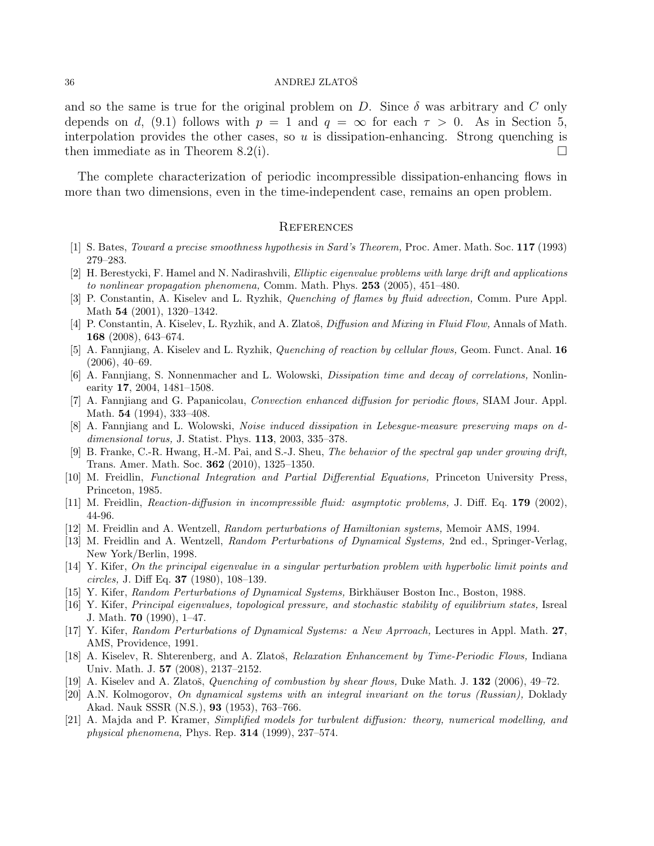and so the same is true for the original problem on D. Since  $\delta$  was arbitrary and C only depends on d, (9.1) follows with  $p = 1$  and  $q = \infty$  for each  $\tau > 0$ . As in Section 5, interpolation provides the other cases, so  $u$  is dissipation-enhancing. Strong quenching is then immediate as in Theorem 8.2(i).  $\Box$ 

The complete characterization of periodic incompressible dissipation-enhancing flows in more than two dimensions, even in the time-independent case, remains an open problem.

#### **REFERENCES**

- [1] S. Bates, Toward a precise smoothness hypothesis in Sard's Theorem, Proc. Amer. Math. Soc. 117 (1993) 279–283.
- [2] H. Berestycki, F. Hamel and N. Nadirashvili, Elliptic eigenvalue problems with large drift and applications to nonlinear propagation phenomena, Comm. Math. Phys.  $253$  (2005), 451–480.
- [3] P. Constantin, A. Kiselev and L. Ryzhik, Quenching of flames by fluid advection, Comm. Pure Appl. Math 54 (2001), 1320–1342.
- [4] P. Constantin, A. Kiselev, L. Ryzhik, and A. Zlatoš, *Diffusion and Mixing in Fluid Flow*, Annals of Math. 168 (2008), 643–674.
- [5] A. Fannjiang, A. Kiselev and L. Ryzhik, *Quenching of reaction by cellular flows*, Geom. Funct. Anal. 16 (2006), 40–69.
- [6] A. Fannjiang, S. Nonnenmacher and L. Wolowski, Dissipation time and decay of correlations, Nonlinearity 17, 2004, 1481–1508.
- [7] A. Fanniiang and G. Papanicolau, Convection enhanced diffusion for periodic flows, SIAM Jour. Appl. Math. 54 (1994), 333–408.
- [8] A. Fannjiang and L. Wolowski, Noise induced dissipation in Lebesgue-measure preserving maps on ddimensional torus, J. Statist. Phys. 113, 2003, 335–378.
- [9] B. Franke, C.-R. Hwang, H.-M. Pai, and S.-J. Sheu, The behavior of the spectral gap under growing drift, Trans. Amer. Math. Soc. 362 (2010), 1325–1350.
- [10] M. Freidlin, Functional Integration and Partial Differential Equations, Princeton University Press, Princeton, 1985.
- [11] M. Freidlin, Reaction-diffusion in incompressible fluid: asymptotic problems, J. Diff. Eq. 179 (2002), 44-96.
- [12] M. Freidlin and A. Wentzell, Random perturbations of Hamiltonian systems, Memoir AMS, 1994.
- [13] M. Freidlin and A. Wentzell, Random Perturbations of Dynamical Systems, 2nd ed., Springer-Verlag, New York/Berlin, 1998.
- [14] Y. Kifer, On the principal eigenvalue in a singular perturbation problem with hyperbolic limit points and circles, J. Diff Eq. 37 (1980), 108–139.
- [15] Y. Kifer, Random Perturbations of Dynamical Systems, Birkhäuser Boston Inc., Boston, 1988.
- [16] Y. Kifer, Principal eigenvalues, topological pressure, and stochastic stability of equilibrium states, Isreal J. Math. 70 (1990), 1–47.
- [17] Y. Kifer, Random Perturbations of Dynamical Systems: a New Aprroach, Lectures in Appl. Math. 27, AMS, Providence, 1991.
- [18] A. Kiselev, R. Shterenberg, and A. Zlatoš, *Relaxation Enhancement by Time-Periodic Flows*, Indiana Univ. Math. J. 57 (2008), 2137–2152.
- [19] A. Kiselev and A. Zlatoš, *Quenching of combustion by shear flows*, Duke Math. J.  $132$  (2006),  $49-72$ .
- [20] A.N. Kolmogorov, On dynamical systems with an integral invariant on the torus (Russian), Doklady Akad. Nauk SSSR (N.S.), 93 (1953), 763–766.
- [21] A. Majda and P. Kramer, Simplified models for turbulent diffusion: theory, numerical modelling, and physical phenomena, Phys. Rep. 314 (1999), 237–574.